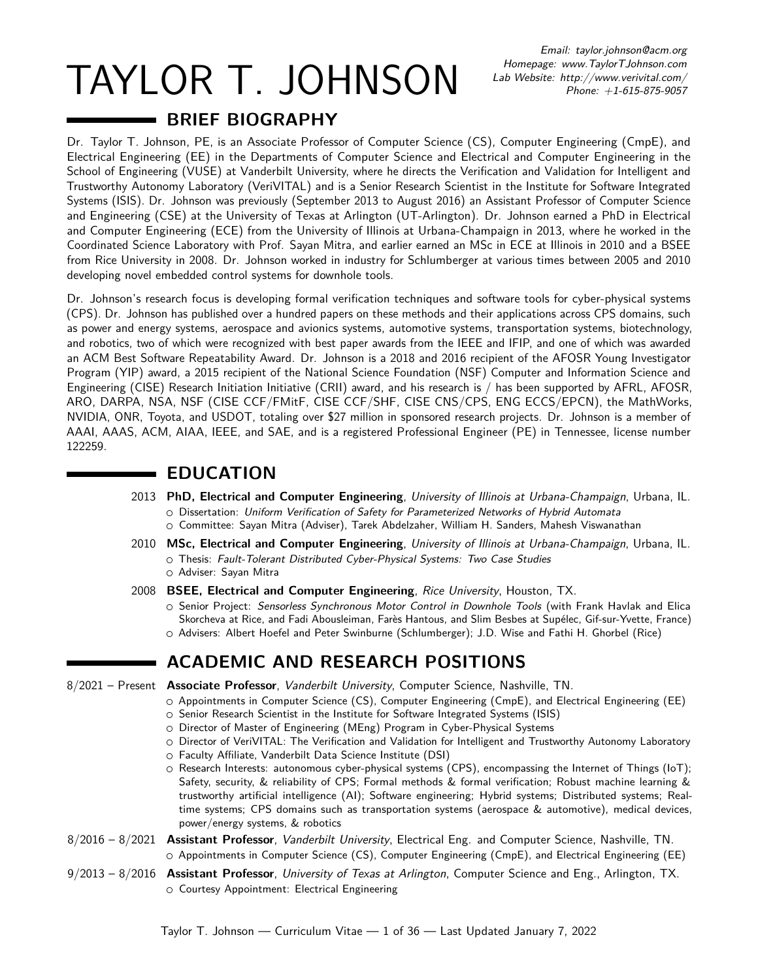TAYLOR T. JOHNSON

Email: [taylor.johnson@acm.org](mailto:taylor.johnson@acm.org) Homepage:<www.TaylorTJohnson.com> Lab Website:<http://www.verivital.com/> Phone: +1-615-875-9057

# **BRIEF BIOGRAPHY**

Dr. Taylor T. Johnson, PE, is an Associate Professor of Computer Science (CS), Computer Engineering (CmpE), and Electrical Engineering (EE) in the Departments of Computer Science and Electrical and Computer Engineering in the School of Engineering (VUSE) at Vanderbilt University, where he directs the Verification and Validation for Intelligent and Trustworthy Autonomy Laboratory (VeriVITAL) and is a Senior Research Scientist in the Institute for Software Integrated Systems (ISIS). Dr. Johnson was previously (September 2013 to August 2016) an Assistant Professor of Computer Science and Engineering (CSE) at the University of Texas at Arlington (UT-Arlington). Dr. Johnson earned a PhD in Electrical and Computer Engineering (ECE) from the University of Illinois at Urbana-Champaign in 2013, where he worked in the Coordinated Science Laboratory with Prof. Sayan Mitra, and earlier earned an MSc in ECE at Illinois in 2010 and a BSEE from Rice University in 2008. Dr. Johnson worked in industry for Schlumberger at various times between 2005 and 2010 developing novel embedded control systems for downhole tools.

Dr. Johnson's research focus is developing formal verification techniques and software tools for cyber-physical systems (CPS). Dr. Johnson has published over a hundred papers on these methods and their applications across CPS domains, such as power and energy systems, aerospace and avionics systems, automotive systems, transportation systems, biotechnology, and robotics, two of which were recognized with best paper awards from the IEEE and IFIP, and one of which was awarded an ACM Best Software Repeatability Award. Dr. Johnson is a 2018 and 2016 recipient of the AFOSR Young Investigator Program (YIP) award, a 2015 recipient of the National Science Foundation (NSF) Computer and Information Science and Engineering (CISE) Research Initiation Initiative (CRII) award, and his research is / has been supported by AFRL, AFOSR, ARO, DARPA, NSA, NSF (CISE CCF/FMitF, CISE CCF/SHF, CISE CNS/CPS, ENG ECCS/EPCN), the MathWorks, NVIDIA, ONR, Toyota, and USDOT, totaling over \$27 million in sponsored research projects. Dr. Johnson is a member of AAAI, AAAS, ACM, AIAA, IEEE, and SAE, and is a registered Professional Engineer (PE) in Tennessee, license number 122259.

## **EDUCATION**

- 2013 **PhD, Electrical and Computer Engineering**, University of Illinois at Urbana-Champaign, Urbana, IL. ○ Dissertation: [Uniform Verification of Safety for Parameterized Networks of Hybrid Automata](https://www.ideals.illinois.edu/handle/2142/46679)
	- Committee: [Sayan Mitra](http://users.crhc.illinois.edu/mitras/) (Adviser), [Tarek Abdelzaher,](http://www.cs.illinois.edu/homes/zaher/) [William H. Sanders,](http://www.crhc.illinois.edu/Faculty/whs.html) [Mahesh Viswanathan](http://www.cs.illinois.edu/~vmahesh/)
- 2010 **MSc, Electrical and Computer Engineering**, University of Illinois at Urbana-Champaign, Urbana, IL.  $\circ$  Thesis: [Fault-Tolerant Distributed Cyber-Physical Systems: Two Case Studies](https://www.ideals.illinois.edu/handle/2142/16191) ○ Adviser: Sayan Mitra
- 2008 **BSEE, Electrical and Computer Engineering**, Rice University, Houston, TX.
	- Senior Project: Sensorless Synchronous Motor Control in Downhole Tools (with Frank Havlak and Elica Skorcheva at Rice, and Fadi Abousleiman, Farès Hantous, and Slim Besbes at Supélec, Gif-sur-Yvette, France) ○ Advisers: Albert Hoefel and Peter Swinburne (Schlumberger); J.D. Wise and [Fathi H. Ghorbel](https://mech.rice.edu/ghorbel/) (Rice)

# **ACADEMIC AND RESEARCH POSITIONS**

- 8/2021 Present **Associate Professor**, Vanderbilt University, Computer Science, Nashville, TN.
	- Appointments in Computer Science (CS), Computer Engineering (CmpE), and Electrical Engineering (EE)
	- Senior Research Scientist in [the Institute for Software Integrated Systems \(ISIS\)](http://isis.vanderbilt.edu)
	- Director of Master of Engineering (MEng) Program in Cyber-Physical Systems
	- Director of [VeriVITAL:](http://www.verivital.com/) The Verification and Validation for Intelligent and Trustworthy Autonomy Laboratory
	- Faculty Affiliate, [Vanderbilt Data Science Institute \(DSI\)](https://www.vanderbilt.edu/datascience/)
	- Research Interests: autonomous cyber-physical systems (CPS), encompassing the Internet of Things (IoT); Safety, security, & reliability of CPS; Formal methods & formal verification; Robust machine learning & trustworthy artificial intelligence (AI); Software engineering; Hybrid systems; Distributed systems; Realtime systems; CPS domains such as transportation systems (aerospace & automotive), medical devices, power/energy systems, & robotics
- 8/2016 8/2021 **Assistant Professor**, Vanderbilt University, Electrical Eng. and Computer Science, Nashville, TN. ○ Appointments in Computer Science (CS), Computer Engineering (CmpE), and Electrical Engineering (EE)
- 9/2013 8/2016 **Assistant Professor**, University of Texas at Arlington, Computer Science and Eng., Arlington, TX. ○ Courtesy Appointment: Electrical Engineering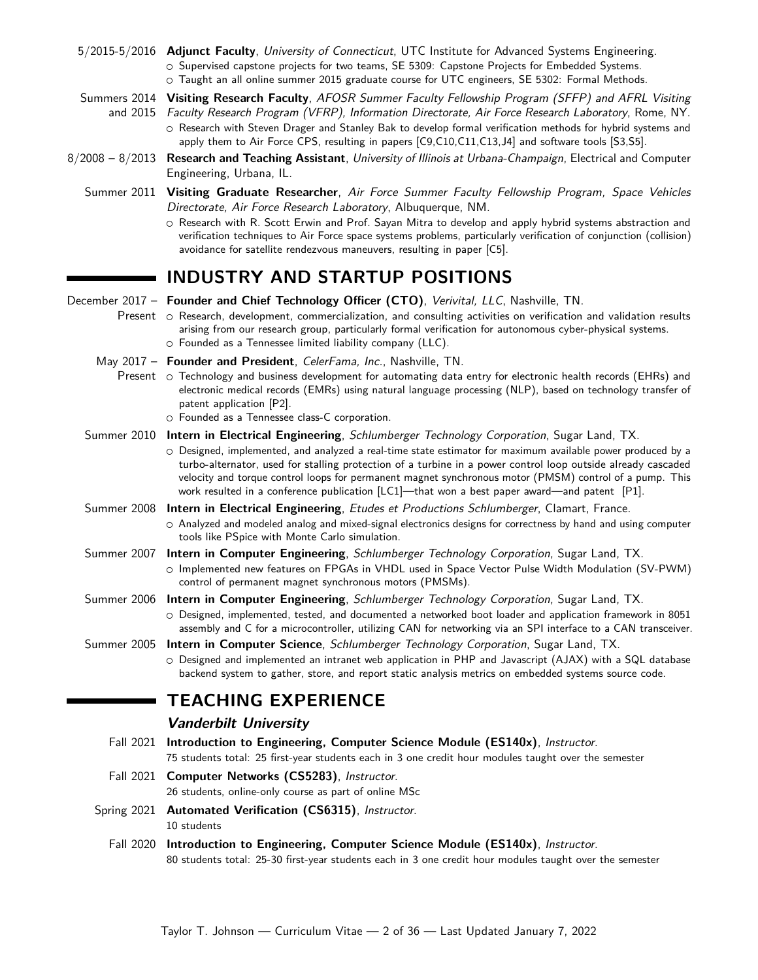|                   | 5/2015-5/2016 Adjunct Faculty, University of Connecticut, UTC Institute for Advanced Systems Engineering.<br>O Supervised capstone projects for two teams, SE 5309: Capstone Projects for Embedded Systems.<br>o Taught an all online summer 2015 graduate course for UTC engineers, SE 5302: Formal Methods.                                                                                                                                                                                                                            |
|-------------------|------------------------------------------------------------------------------------------------------------------------------------------------------------------------------------------------------------------------------------------------------------------------------------------------------------------------------------------------------------------------------------------------------------------------------------------------------------------------------------------------------------------------------------------|
|                   | Summers 2014 Visiting Research Faculty, AFOSR Summer Faculty Fellowship Program (SFFP) and AFRL Visiting<br>and 2015 Faculty Research Program (VFRP), Information Directorate, Air Force Research Laboratory, Rome, NY.<br>O Research with Steven Drager and Stanley Bak to develop formal verification methods for hybrid systems and<br>apply them to Air Force CPS, resulting in papers [C9,C10,C11,C13,J4] and software tools [S3,S5].                                                                                               |
| $8/2008 - 8/2013$ | Research and Teaching Assistant, University of Illinois at Urbana-Champaign, Electrical and Computer<br>Engineering, Urbana, IL.                                                                                                                                                                                                                                                                                                                                                                                                         |
|                   | Summer 2011 Visiting Graduate Researcher, Air Force Summer Faculty Fellowship Program, Space Vehicles<br>Directorate, Air Force Research Laboratory, Albuquerque, NM.<br>O Research with R. Scott Erwin and Prof. Sayan Mitra to develop and apply hybrid systems abstraction and<br>verification techniques to Air Force space systems problems, particularly verification of conjunction (collision)<br>avoidance for satellite rendezvous maneuvers, resulting in paper [C5].                                                         |
|                   | <b>INDUSTRY AND STARTUP POSITIONS</b>                                                                                                                                                                                                                                                                                                                                                                                                                                                                                                    |
|                   | December 2017 - Founder and Chief Technology Officer (CTO), Verivital, LLC, Nashville, TN.<br>Present o Research, development, commercialization, and consulting activities on verification and validation results<br>arising from our research group, particularly formal verification for autonomous cyber-physical systems.<br>o Founded as a Tennessee limited liability company (LLC).                                                                                                                                              |
|                   | May 2017 - Founder and President, CelerFama, Inc., Nashville, TN.<br>Present o Technology and business development for automating data entry for electronic health records (EHRs) and<br>electronic medical records (EMRs) using natural language processing (NLP), based on technology transfer of<br>patent application [P2].<br>O Founded as a Tennessee class-C corporation.                                                                                                                                                         |
| Summer 2010       | <b>Intern in Electrical Engineering</b> , Schlumberger Technology Corporation, Sugar Land, TX.<br>O Designed, implemented, and analyzed a real-time state estimator for maximum available power produced by a<br>turbo-alternator, used for stalling protection of a turbine in a power control loop outside already cascaded<br>velocity and torque control loops for permanent magnet synchronous motor (PMSM) control of a pump. This<br>work resulted in a conference publication [LC1]-that won a best paper award-and patent [P1]. |
| Summer 2008       | Intern in Electrical Engineering, Etudes et Productions Schlumberger, Clamart, France.<br>O Analyzed and modeled analog and mixed-signal electronics designs for correctness by hand and using computer<br>tools like PSpice with Monte Carlo simulation.                                                                                                                                                                                                                                                                                |
| Summer 2007       | Intern in Computer Engineering, Schlumberger Technology Corporation, Sugar Land, TX.<br>O Implemented new features on FPGAs in VHDL used in Space Vector Pulse Width Modulation (SV-PWM)<br>control of permanent magnet synchronous motors (PMSMs).                                                                                                                                                                                                                                                                                      |
|                   | Summer 2006 Intern in Computer Engineering, Schlumberger Technology Corporation, Sugar Land, TX.<br>O Designed, implemented, tested, and documented a networked boot loader and application framework in 8051<br>assembly and C for a microcontroller, utilizing CAN for networking via an SPI interface to a CAN transceiver.                                                                                                                                                                                                           |
| Summer 2005       | <b>Intern in Computer Science</b> , <i>Schlumberger Technology Corporation</i> , Sugar Land, TX.<br>O Designed and implemented an intranet web application in PHP and Javascript (AJAX) with a SQL database<br>backend system to gather, store, and report static analysis metrics on embedded systems source code.                                                                                                                                                                                                                      |
|                   | <b>TEACHING EXPERIENCE</b>                                                                                                                                                                                                                                                                                                                                                                                                                                                                                                               |
|                   | <b>Vanderbilt University</b>                                                                                                                                                                                                                                                                                                                                                                                                                                                                                                             |
| Fall 2021         | Introduction to Engineering, Computer Science Module (ES140x), Instructor.<br>75 students total: 25 first-year students each in 3 one credit hour modules taught over the semester                                                                                                                                                                                                                                                                                                                                                       |
|                   | Fall 2021 Computer Networks (CS5283), Instructor.<br>26 students, online-only course as part of online MSc                                                                                                                                                                                                                                                                                                                                                                                                                               |
|                   | Spring 2021 Automated Verification (CS6315), Instructor.<br>10 students                                                                                                                                                                                                                                                                                                                                                                                                                                                                  |

Fall 2020 **Introduction to Engineering, Computer Science Module (ES140x)**, Instructor. 80 students total: 25-30 first-year students each in 3 one credit hour modules taught over the semester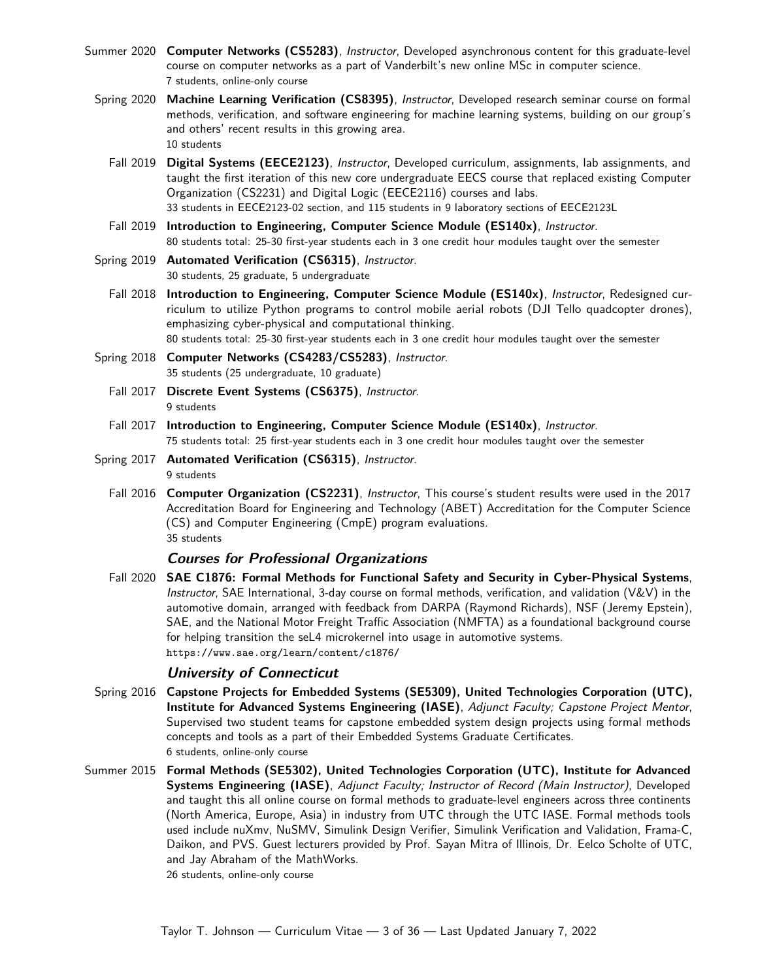- Summer 2020 **Computer Networks (CS5283)**, Instructor, Developed asynchronous content for this graduate-level course on computer networks as a part of Vanderbilt's new [online MSc in computer science.](https://engineeringonline.vanderbilt.edu/computer-science/curriculum/#computer-networks) 7 students, online-only course
	- Spring 2020 **Machine Learning Verification (CS8395)**, Instructor, Developed research seminar course on formal methods, verification, and software engineering for machine learning systems, building on our group's and others' recent results in this growing area. 10 students
		- Fall 2019 **Digital Systems (EECE2123)**, Instructor, Developed curriculum, assignments, lab assignments, and taught the first iteration of this new core undergraduate EECS course that replaced existing Computer Organization (CS2231) and Digital Logic (EECE2116) courses and labs. 33 students in EECE2123-02 section, and 115 students in 9 laboratory sections of EECE2123L
		- Fall 2019 **Introduction to Engineering, Computer Science Module (ES140x)**, Instructor. 80 students total: 25-30 first-year students each in 3 one credit hour modules taught over the semester
	- Spring 2019 **Automated Verification (CS6315)**, Instructor. 30 students, 25 graduate, 5 undergraduate
		- Fall 2018 **Introduction to Engineering, Computer Science Module (ES140x)**, Instructor, Redesigned curriculum to utilize Python programs to control mobile aerial robots (DJI Tello quadcopter drones), emphasizing cyber-physical and computational thinking. 80 students total: 25-30 first-year students each in 3 one credit hour modules taught over the semester
	- Spring 2018 **Computer Networks (CS4283/CS5283)**, Instructor. 35 students (25 undergraduate, 10 graduate)
		- Fall 2017 **Discrete Event Systems (CS6375)**, Instructor. 9 students
		- Fall 2017 **Introduction to Engineering, Computer Science Module (ES140x)**, Instructor. 75 students total: 25 first-year students each in 3 one credit hour modules taught over the semester
	- Spring 2017 **Automated Verification (CS6315)**, Instructor. 9 students
		- Fall 2016 **Computer Organization (CS2231)**, Instructor, This course's student results were used in the 2017 Accreditation Board for Engineering and Technology (ABET) Accreditation for the Computer Science (CS) and Computer Engineering (CmpE) program evaluations. 35 students

#### **Courses for Professional Organizations**

Fall 2020 **SAE C1876: Formal Methods for Functional Safety and Security in Cyber-Physical Systems**, Instructor, SAE International, 3-day course on formal methods, verification, and validation (V&V) in the automotive domain, arranged with feedback from DARPA (Raymond Richards), NSF (Jeremy Epstein), SAE, and the National Motor Freight Traffic Association (NMFTA) as a foundational background course for helping transition the seL4 microkernel into usage in automotive systems. <https://www.sae.org/learn/content/c1876/>

#### **University of Connecticut**

- Spring 2016 **[Capstone Projects for Embedded Systems \(SE5309\),](http://www.utc-iase.uconn.edu/education/course-descriptions/) United Technologies Corporation (UTC), Institute for Advanced Systems Engineering (IASE)**, Adjunct Faculty; Capstone Project Mentor, Supervised two student teams for capstone embedded system design projects using formal methods concepts and tools as a part of their Embedded Systems Graduate Certificates. 6 students, online-only course
- Summer 2015 **[Formal Methods \(SE5302\),](http://www.utc-iase.uconn.edu/education/course-descriptions/) United Technologies Corporation (UTC), Institute for Advanced Systems Engineering (IASE)**, Adjunct Faculty; Instructor of Record (Main Instructor), Developed and taught this all online course on formal methods to graduate-level engineers across three continents (North America, Europe, Asia) in industry from UTC through the UTC IASE. Formal methods tools used include nuXmv, NuSMV, Simulink Design Verifier, Simulink Verification and Validation, Frama-C, Daikon, and PVS. Guest lecturers provided by Prof. Sayan Mitra of Illinois, Dr. Eelco Scholte of UTC, and Jay Abraham of the MathWorks. 26 students, online-only course

Taylor T. Johnson — Curriculum Vitae — 3 of 36 — Last Updated January 7, 2022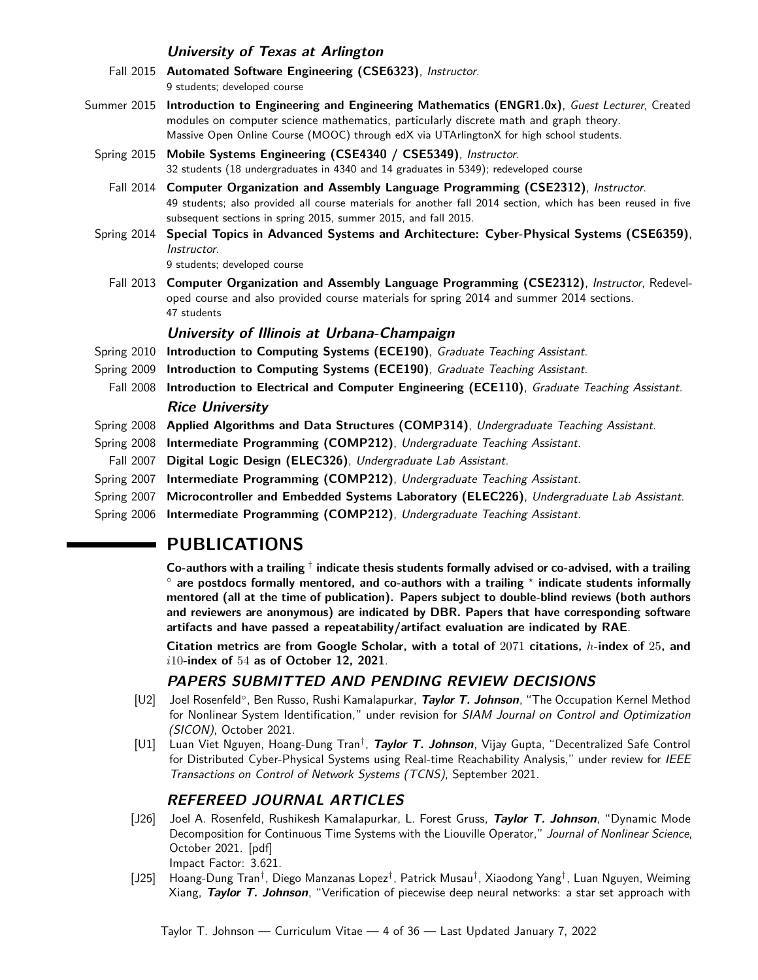#### **University of Texas at Arlington**

- Fall 2015 **[Automated Software Engineering \(CSE6323\)](http://www.taylortjohnson.com/class/cse6323/f15/)**, Instructor. 9 students; developed course
- Summer 2015 **[Introduction to Engineering and Engineering Mathematics \(ENGR1.0x\)](https://www.edx.org/course/introduction-engineering-engineering-utarlingtonx-engr1-0x)**, Guest Lecturer, Created modules on computer science mathematics, particularly discrete math and graph theory. Massive Open Online Course (MOOC) through [edX](https://www.edx.org/) via [UTArlingtonX](https://www.edx.org/school/utarlingtonx) for high school students.
	- Spring 2015 **[Mobile Systems Engineering \(CSE4340 / CSE5349\)](http://www.taylortjohnson.com/class/cse4340/s15/)**, Instructor. 32 students (18 undergraduates in 4340 and 14 graduates in 5349); redeveloped course
		- Fall 2014 **[Computer Organization and Assembly Language Programming \(CSE2312\)](http://www.taylortjohnson.com/class/cse2312/f14/)**, Instructor. 49 students; also provided all course materials for another fall 2014 section, which has been reused in five subsequent sections in spring 2015, summer 2015, and fall 2015.
	- Spring 2014 **[Special Topics in Advanced Systems and Architecture: Cyber-Physical Systems \(CSE6359\)](http://www.taylortjohnson.com/class/cse6359/s14/)**, Instructor.

9 students; developed course

Fall 2013 **[Computer Organization and Assembly Language Programming \(CSE2312\)](http://www.taylortjohnson.com/class/cse2312/f13/)**, Instructor, Redeveloped course and also provided course materials for spring 2014 and summer 2014 sections. 47 students

#### **University of Illinois at Urbana-Champaign**

- Spring 2010 **[Introduction to Computing Systems \(ECE190\)](http://courses.ece.illinois.edu/ece190/)**, Graduate Teaching Assistant.
- Spring 2009 **[Introduction to Computing Systems \(ECE190\)](http://courses.ece.illinois.edu/ece190/)**, Graduate Teaching Assistant.
- Fall 2008 **[Introduction to Electrical and Computer Engineering \(ECE110\)](http://courses.ece.illinois.edu/ece110/Lab/)**, Graduate Teaching Assistant. **Rice University**
- Spring 2008 **[Applied Algorithms and Data Structures \(COMP314\)](http://sys.cs.rice.edu/course/comp314/10/)**, Undergraduate Teaching Assistant.
- Spring 2008 **[Intermediate Programming \(COMP212\)](http://www.owlnet.rice.edu/~comp212/08-spring/)**, Undergraduate Teaching Assistant.
- Fall 2007 **[Digital Logic Design \(ELEC326\)](http://www.ece.rice.edu/~kmram/elec326/)**, Undergraduate Lab Assistant.
- Spring 2007 **[Intermediate Programming \(COMP212\)](http://www.owlnet.rice.edu/~comp212/08-spring/)**, Undergraduate Teaching Assistant.
- Spring 2007 **[Microcontroller and Embedded Systems Laboratory \(ELEC226\)](http://cnx.org/content/col10215/latest/)**, Undergraduate Lab Assistant.
- Spring 2006 **[Intermediate Programming \(COMP212\)](http://www.owlnet.rice.edu/~comp212/08-spring/)**, Undergraduate Teaching Assistant.

# **PUBLICATIONS**

**Co-authors with a trailing** † **indicate thesis students formally advised or co-advised, with a trailing** ◦ **are postdocs formally mentored, and co-authors with a trailing** *<sup>⋆</sup>* **indicate students informally mentored (all at the time of publication). Papers subject to double-blind reviews (both authors and reviewers are anonymous) are indicated by DBR. Papers that have corresponding software artifacts and have passed a repeatability/artifact evaluation are indicated by RAE**.

**Citation metrics are from [Google Scholar,](http://scholar.google.com/citations?user=MdTkXNYAAAAJ&hl=en) with a total of** 2071 **citations,** *h***-index of** 25**, and** *i*10**-index of** 54 **as of October 12, 2021**.

### **PAPERS SUBMITTED AND PENDING REVIEW DECISIONS**

- [U2] Joel Rosenfeld◦ , Ben Russo, Rushi Kamalapurkar, **Taylor T. Johnson**, "The Occupation Kernel Method for Nonlinear System Identification," under revision for SIAM Journal on Control and Optimization (SICON), October 2021.
- [U1] Luan Viet Nguyen, Hoang-Dung Tran† , **Taylor T. Johnson**, Vijay Gupta, "Decentralized Safe Control for Distributed Cyber-Physical Systems using Real-time Reachability Analysis," under review for IEEE Transactions on Control of Network Systems (TCNS), September 2021.

### **REFEREED JOURNAL ARTICLES**

- [J26] Joel A. Rosenfeld, Rushikesh Kamalapurkar, L. Forest Gruss, **Taylor T. Johnson**, "Dynamic Mode Decomposition for Continuous Time Systems with the Liouville Operator," Journal of Nonlinear Science, October 2021. [\[pdf\]](http://taylortjohnson.com/research/rosenfeld2021jns.pdf) Impact Factor: 3.621.
- [J25] Hoang-Dung Tran† , Diego Manzanas Lopez† , Patrick Musau† , Xiaodong Yang† , Luan Nguyen, Weiming Xiang, **Taylor T. Johnson**, "Verification of piecewise deep neural networks: a star set approach with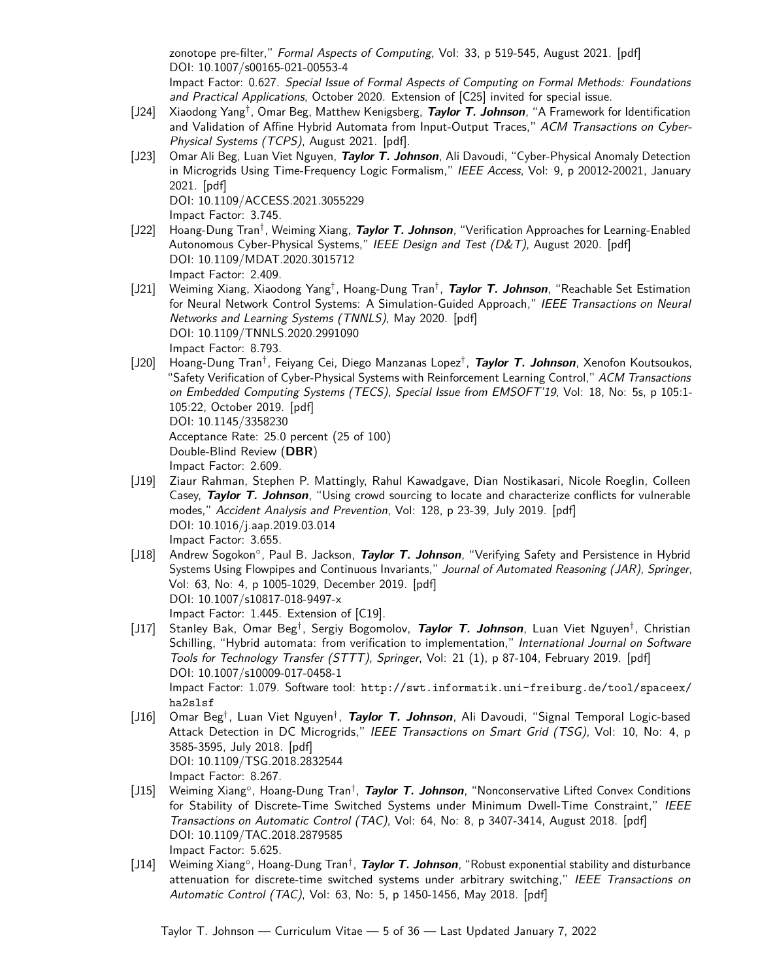zonotope pre-filter," Formal Aspects of Computing, Vol: 33, p 519-545, August 2021. [\[pdf\]](http://taylortjohnson.com/research/tran2021faoc.pdf) DOI: [10.1007/s00165-021-00553-4](https://doi.org/10.1007/s00165-021-00553-4) Impact Factor: 0.627. Special Issue of Formal Aspects of Computing on Formal Methods: Foundations

- and Practical Applications, October 2020. Extension of [\[C25\]](#page-6-0) invited for special issue. [J24] Xiaodong Yang† , Omar Beg, Matthew Kenigsberg, **Taylor T. Johnson**, "A Framework for Identification and Validation of Affine Hybrid Automata from Input-Output Traces," ACM Transactions on Cyber-Physical Systems (TCPS), August 2021. [\[pdf\]](http://taylortjohnson.com/research/yang2021tcps.pdf).
- [J23] Omar Ali Beg, Luan Viet Nguyen, **Taylor T. Johnson**, Ali Davoudi, "Cyber-Physical Anomaly Detection in Microgrids Using Time-Frequency Logic Formalism," IEEE Access, Vol: 9, p 20012-20021, January 2021. [\[pdf\]](http://taylortjohnson.com/research/beg2021access.pdf) DOI: [10.1109/ACCESS.2021.3055229](https://doi.org/10.1109/ACCESS.2021.3055229)

<span id="page-4-1"></span><span id="page-4-0"></span>Impact Factor: 3.745.

- [J22] Hoang-Dung Tran† , Weiming Xiang, **Taylor T. Johnson**, "Verification Approaches for Learning-Enabled Autonomous Cyber-Physical Systems," IEEE Design and Test (D&T), August 2020. [\[pdf\]](http://taylortjohnson.com/research/tran2020dt.pdf) DOI: [10.1109/MDAT.2020.3015712](https://doi.org/10.1109/MDAT.2020.3015712) Impact Factor: 2.409.
- [J21] Weiming Xiang, Xiaodong Yang† , Hoang-Dung Tran† , **Taylor T. Johnson**, "Reachable Set Estimation for Neural Network Control Systems: A Simulation-Guided Approach," IEEE Transactions on Neural Networks and Learning Systems (TNNLS), May 2020. [\[pdf\]](http://taylortjohnson.com/research/xiang2020tnnls.pdf) DOI: [10.1109/TNNLS.2020.2991090](https://doi.org/10.1109/TNNLS.2020.2991090) Impact Factor: 8.793.
- [J20] Hoang-Dung Tran† , Feiyang Cei, Diego Manzanas Lopez† , **Taylor T. Johnson**, Xenofon Koutsoukos, "Safety Verification of Cyber-Physical Systems with Reinforcement Learning Control," ACM Transactions on Embedded Computing Systems (TECS), Special Issue from EMSOFT'19, Vol: 18, No: 5s, p 105:1- 105:22, October 2019. [\[pdf\]](http://taylortjohnson.com/research/tran2019emsoft.pdf) DOI: [10.1145/3358230](https://doi.org/10.1145/3358230) Acceptance Rate: 25.0 percent (25 of 100) Double-Blind Review (**DBR**) Impact Factor: 2.609.
- [J19] Ziaur Rahman, Stephen P. Mattingly, Rahul Kawadgave, Dian Nostikasari, Nicole Roeglin, Colleen Casey, **Taylor T. Johnson**, "Using crowd sourcing to locate and characterize conflicts for vulnerable modes," Accident Analysis and Prevention, Vol: 128, p 23-39, July 2019. [\[pdf\]](http://taylortjohnson.com/research/rahman2019aap.pdf) DOI: [10.1016/j.aap.2019.03.014](https://doi.org/10.1016/j.aap.2019.03.014) Impact Factor: 3.655.
- <span id="page-4-3"></span>[J18] Andrew Sogokon<sup>。</sup>, Paul B. Jackson, Taylor T. Johnson, "Verifying Safety and Persistence in Hybrid Systems Using Flowpipes and Continuous Invariants," Journal of Automated Reasoning (JAR), Springer, Vol: 63, No: 4, p 1005-1029, December 2019. [\[pdf\]](http://taylortjohnson.com/research/sogokon2019jar.pdf) DOI: [10.1007/s10817-018-9497-x](https://doi.org/10.1007/s10817-018-9497-x) Impact Factor: 1.445. Extension of [\[C19\]](#page-7-0).
- <span id="page-4-4"></span>[J17] Stanley Bak, Omar Beg† , Sergiy Bogomolov, **Taylor T. Johnson**, Luan Viet Nguyen† , Christian Schilling, "Hybrid automata: from verification to implementation," International Journal on Software Tools for Technology Transfer (STTT), Springer, Vol: 21 (1), p 87-104, February 2019. [\[pdf\]](http://taylortjohnson.com/research/bak2019sttt.pdf) DOI: [10.1007/s10009-017-0458-1](https://doi.org/10.1007/s10009-017-0458-1) Impact Factor: 1.079. Software tool: [http://swt.informatik.uni-freiburg.de/tool/spaceex/](http://swt.informatik.uni-freiburg.de/tool/spaceex/ha2slsf) [ha2slsf](http://swt.informatik.uni-freiburg.de/tool/spaceex/ha2slsf)
- <span id="page-4-5"></span>[J16] Omar Beg† , Luan Viet Nguyen† , **Taylor T. Johnson**, Ali Davoudi, "Signal Temporal Logic-based Attack Detection in DC Microgrids," IEEE Transactions on Smart Grid (TSG), Vol: 10, No: 4, p 3585-3595, July 2018. [\[pdf\]](http://taylortjohnson.com/research/beg2018tsg.pdf) DOI: [10.1109/TSG.2018.2832544](https://doi.org/10.1109/TSG.2018.2832544) Impact Factor: 8.267.
- <span id="page-4-6"></span>[J15] Weiming Xiang◦ , Hoang-Dung Tran† , **Taylor T. Johnson**, "Nonconservative Lifted Convex Conditions for Stability of Discrete-Time Switched Systems under Minimum Dwell-Time Constraint," IEEE Transactions on Automatic Control (TAC), Vol: 64, No: 8, p 3407-3414, August 2018. [\[pdf\]](http://taylortjohnson.com/research/xiang2018tac_b.pdf) DOI: [10.1109/TAC.2018.2879585](https://doi.org/10.1109/TAC.2018.2879585) Impact Factor: 5.625.
- <span id="page-4-2"></span>[J14] Weiming Xiang°, Hoang-Dung Tran<sup>†</sup>, *Taylor T. Johnson*, "Robust exponential stability and disturbance attenuation for discrete-time switched systems under arbitrary switching," IEEE Transactions on Automatic Control (TAC), Vol: 63, No: 5, p 1450-1456, May 2018. [\[pdf\]](http://taylortjohnson.com/research/xiang2018tac_a.pdf)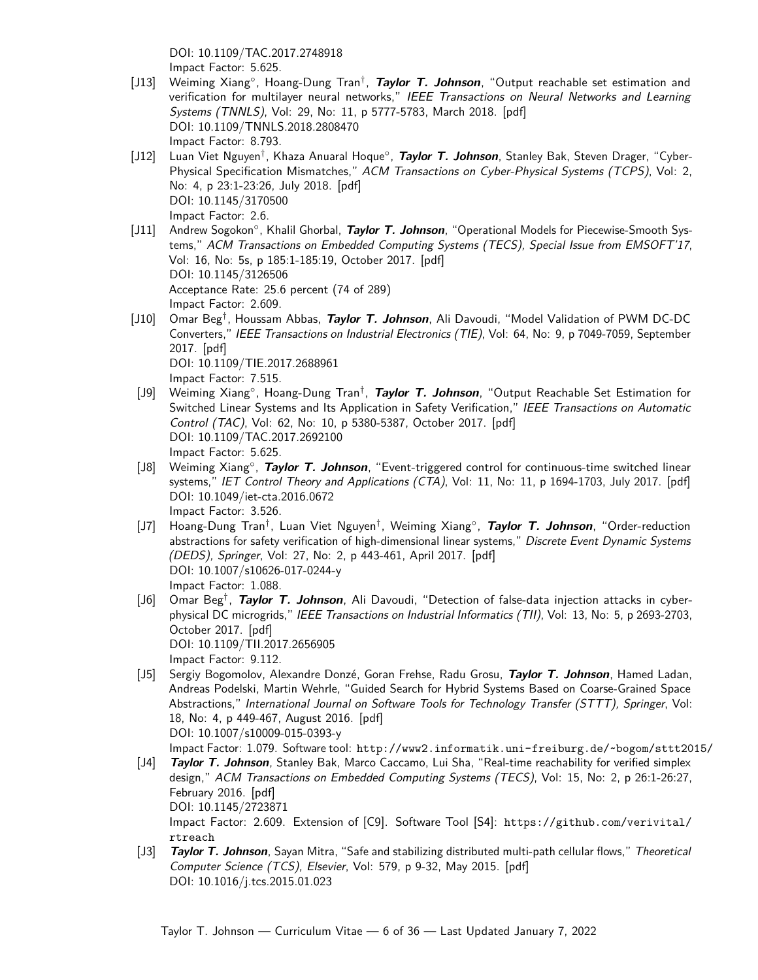<span id="page-5-5"></span><span id="page-5-2"></span>DOI: [10.1109/TAC.2017.2748918](https://doi.org/10.1109/TAC.2017.2748918) Impact Factor: 5.625.

- [J13] Weiming Xiang<sup>°</sup>, Hoang-Dung Tran<sup>†</sup>, Taylor T. Johnson, "Output reachable set estimation and verification for multilayer neural networks," IEEE Transactions on Neural Networks and Learning Systems (TNNLS), Vol: 29, No: 11, p 5777-5783, March 2018. [\[pdf\]](http://taylortjohnson.com/research/xiang2018tnnls.pdf) DOI: [10.1109/TNNLS.2018.2808470](https://doi.org/10.1109/TNNLS.2018.2808470) Impact Factor: 8.793.
- [J12] Luan Viet Nguyen† , Khaza Anuaral Hoque◦ , **Taylor T. Johnson**, Stanley Bak, Steven Drager, "Cyber-Physical Specification Mismatches," ACM Transactions on Cyber-Physical Systems (TCPS), Vol: 2, No: 4, p 23:1-23:26, July 2018. [\[pdf\]](http://taylortjohnson.com/research/nguyen2018tcps.pdf) DOI: [10.1145/3170500](https://doi.org/10.1145/3170500) Impact Factor: 2.6.
- [J11] Andrew Sogokon◦ , Khalil Ghorbal, **Taylor T. Johnson**, "Operational Models for Piecewise-Smooth Systems," ACM Transactions on Embedded Computing Systems (TECS), Special Issue from EMSOFT'17, Vol: 16, No: 5s, p 185:1-185:19, October 2017. [\[pdf\]](http://taylortjohnson.com/research/sogokon2017emsoft_tecs.pdf) DOI: [10.1145/3126506](https://doi.org/10.1145/3126506) Acceptance Rate: 25.6 percent (74 of 289) Impact Factor: 2.609.
- [J10] Omar Beg† , Houssam Abbas, **Taylor T. Johnson**, Ali Davoudi, "Model Validation of PWM DC-DC Converters," IEEE Transactions on Industrial Electronics (TIE), Vol: 64, No: 9, p 7049-7059, September 2017. [\[pdf\]](http://taylortjohnson.com/research/beg2017tie.pdf) DOI: [10.1109/TIE.2017.2688961](https://doi.org/10.1109/TIE.2017.2688961)

<span id="page-5-7"></span><span id="page-5-4"></span><span id="page-5-3"></span><span id="page-5-1"></span>Impact Factor: 7.515.

- [J9] Weiming Xiang◦ , Hoang-Dung Tran† , **Taylor T. Johnson**, "Output Reachable Set Estimation for Switched Linear Systems and Its Application in Safety Verification," IEEE Transactions on Automatic Control (TAC), Vol: 62, No: 10, p 5380-5387, October 2017. [\[pdf\]](http://taylortjohnson.com/research/xiang2017tac.pdf) DOI: [10.1109/TAC.2017.2692100](https://doi.org/10.1109/TAC.2017.2692100) Impact Factor: 5.625.
- [J8] Weiming Xiang<sup>°</sup>, Taylor T. Johnson, "Event-triggered control for continuous-time switched linear systems," IET Control Theory and Applications (CTA), Vol: 11, No: 11, p 1694-1703, July 2017. [\[pdf\]](http://taylortjohnson.com/research/xiang2017cta.pdf) DOI: [10.1049/iet-cta.2016.0672](https://doi.org/10.1049/iet-cta.2016.0672) Impact Factor: 3.526.
- [J7] Hoang-Dung Tran† , Luan Viet Nguyen† , Weiming Xiang◦ , **Taylor T. Johnson**, "Order-reduction abstractions for safety verification of high-dimensional linear systems," Discrete Event Dynamic Systems (DEDS), Springer, Vol: 27, No: 2, p 443-461, April 2017. [\[pdf\]](http://taylortjohnson.com/research/tran2017deds.pdf) DOI: [10.1007/s10626-017-0244-y](https://doi.org/10.1007/s10626-017-0244-y) Impact Factor: 1.088.
- [J6] Omar Beg† , **Taylor T. Johnson**, Ali Davoudi, "Detection of false-data injection attacks in cyberphysical DC microgrids," IEEE Transactions on Industrial Informatics (TII), Vol: 13, No: 5, p 2693-2703, October 2017. [\[pdf\]](http://taylortjohnson.com/research/beg2017tii.pdf) DOI: [10.1109/TII.2017.2656905](https://doi.org/10.1109/TII.2017.2656905) Impact Factor: 9.112.
- [J5] Sergiy Bogomolov, Alexandre Donzé, Goran Frehse, Radu Grosu, **Taylor T. Johnson**, Hamed Ladan, Andreas Podelski, Martin Wehrle, "Guided Search for Hybrid Systems Based on Coarse-Grained Space Abstractions," International Journal on Software Tools for Technology Transfer (STTT), Springer, Vol: 18, No: 4, p 449-467, August 2016. [\[pdf\]](http://taylortjohnson.com/research/bogomolov2016sttt.pdf) DOI: [10.1007/s10009-015-0393-y](https://doi.org/10.1007/s10009-015-0393-y)

<span id="page-5-6"></span><span id="page-5-0"></span>Impact Factor: 1.079. Software tool: <http://www2.informatik.uni-freiburg.de/~bogom/sttt2015/>

- [J4] **Taylor T. Johnson**, Stanley Bak, Marco Caccamo, Lui Sha, "Real-time reachability for verified simplex design," ACM Transactions on Embedded Computing Systems (TECS), Vol: 15, No: 2, p 26:1-26:27, February 2016. [\[pdf\]](http://taylortjohnson.com/research/johnson2016tecs.pdf) DOI: [10.1145/2723871](https://doi.org/10.1145/2723871) Impact Factor: 2.609. Extension of [\[C9\]](#page-8-0). Software Tool [\[S4\]](#page-19-0): [https://github.com/verivital/](https://github.com/verivital/rtreach) [rtreach](https://github.com/verivital/rtreach)
- [J3] **Taylor T. Johnson**, Sayan Mitra, "Safe and stabilizing distributed multi-path cellular flows," Theoretical Computer Science (TCS), Elsevier, Vol: 579, p 9-32, May 2015. [\[pdf\]](http://taylortjohnson.com/research/johnson2015tcs.pdf) DOI: [10.1016/j.tcs.2015.01.023](https://doi.org/10.1016/j.tcs.2015.01.023)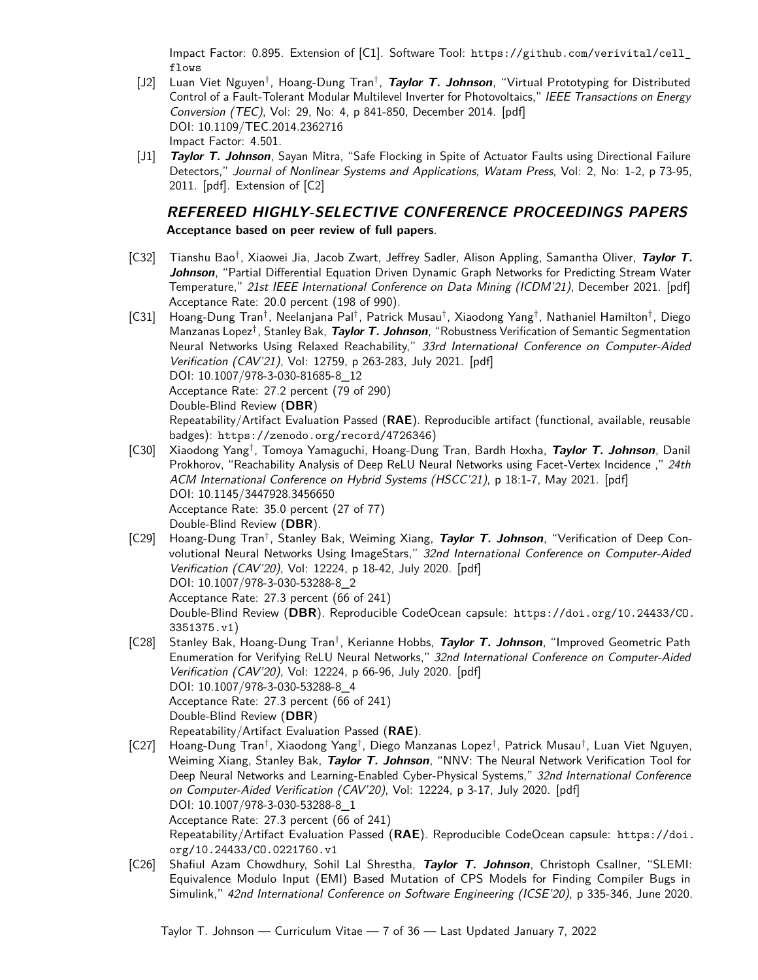Impact Factor: 0.895. Extension of [\[C1\]](#page-9-0). Software Tool: [https://github.com/verivital/cell\\_](https://github.com/verivital/cell_flows) [flows](https://github.com/verivital/cell_flows)

- [J2] Luan Viet Nguyen<sup>†</sup>, Hoang-Dung Tran<sup>†</sup>, Taylor T. Johnson, "Virtual Prototyping for Distributed Control of a Fault-Tolerant Modular Multilevel Inverter for Photovoltaics," IEEE Transactions on Energy Conversion (TEC), Vol: 29, No: 4, p 841-850, December 2014. [\[pdf\]](http://taylortjohnson.com/research/nguyen2014tec.pdf) DOI: [10.1109/TEC.2014.2362716](https://doi.org/10.1109/TEC.2014.2362716) Impact Factor: 4.501.
- [J1] **Taylor T. Johnson**, Sayan Mitra, "Safe Flocking in Spite of Actuator Faults using Directional Failure Detectors," Journal of Nonlinear Systems and Applications, Watam Press, Vol: 2, No: 1-2, p 73-95, 2011. [\[pdf\]](http://taylortjohnson.com/research/johnson2011jnsa.pdf). Extension of [\[C2\]](#page-9-1)

# **REFEREED HIGHLY-SELECTIVE CONFERENCE PROCEEDINGS PAPERS**

**Acceptance based on peer review of full papers**.

- [C32] Tianshu Bao† , Xiaowei Jia, Jacob Zwart, Jeffrey Sadler, Alison Appling, Samantha Oliver, **Taylor T. Johnson**, "Partial Differential Equation Driven Dynamic Graph Networks for Predicting Stream Water Temperature," 21st IEEE International Conference on Data Mining (ICDM'21), December 2021. [\[pdf\]](http://taylortjohnson.com/research/bao2021icdm.pdf) Acceptance Rate: 20.0 percent (198 of 990).
- [C31] Hoang-Dung Tran†, Neelanjana Pal†, Patrick Musau†, Xiaodong Yang†, Nathaniel Hamilton†, Diego Manzanas Lopez† , Stanley Bak, **Taylor T. Johnson**, "Robustness Verification of Semantic Segmentation Neural Networks Using Relaxed Reachability," 33rd International Conference on Computer-Aided Verification (CAV'21), Vol: 12759, p 263-283, July 2021. [\[pdf\]](http://taylortjohnson.com/research/tran2021cav.pdf) DOI: [10.1007/978-3-030-81685-8\\_12](https://doi.org/10.1007/978-3-030-81685-8_12) Acceptance Rate: 27.2 percent (79 of 290) Double-Blind Review (**DBR**) Repeatability/Artifact Evaluation Passed (**RAE**). Reproducible artifact (functional, available, reusable badges): <https://zenodo.org/record/4726346>)
- <span id="page-6-2"></span>[C30] Xiaodong Yang† , Tomoya Yamaguchi, Hoang-Dung Tran, Bardh Hoxha, **Taylor T. Johnson**, Danil Prokhorov, "Reachability Analysis of Deep ReLU Neural Networks using Facet-Vertex Incidence ," 24th ACM International Conference on Hybrid Systems (HSCC'21), p 18:1-7, May 2021. [\[pdf\]](http://taylortjohnson.com/research/yang2021hscc.pdf) DOI: [10.1145/3447928.3456650](https://doi.org/10.1145/3447928.3456650) Acceptance Rate: 35.0 percent (27 of 77) Double-Blind Review (**DBR**).
- [C29] Hoang-Dung Tran† , Stanley Bak, Weiming Xiang, **Taylor T. Johnson**, "Verification of Deep Convolutional Neural Networks Using ImageStars," 32nd International Conference on Computer-Aided Verification (CAV'20), Vol: 12224, p 18-42, July 2020. [\[pdf\]](http://taylortjohnson.com/research/tran2020cav.pdf) DOI: [10.1007/978-3-030-53288-8\\_2](https://doi.org/10.1007/978-3-030-53288-8_2) Acceptance Rate: 27.3 percent (66 of 241) Double-Blind Review (**DBR**). Reproducible CodeOcean capsule: [https://doi.org/10.24433/CO.](https://doi.org/10.24433/CO.3351375.v1) [3351375.v1](https://doi.org/10.24433/CO.3351375.v1))
- <span id="page-6-1"></span>[C28] Stanley Bak, Hoang-Dung Tran† , Kerianne Hobbs, **Taylor T. Johnson**, "Improved Geometric Path Enumeration for Verifying ReLU Neural Networks," 32nd International Conference on Computer-Aided Verification (CAV'20), Vol: 12224, p 66-96, July 2020. [\[pdf\]](http://taylortjohnson.com/research/bak2020cav.pdf) DOI: [10.1007/978-3-030-53288-8\\_4](https://doi.org/10.1007/978-3-030-53288-8_4) Acceptance Rate: 27.3 percent (66 of 241) Double-Blind Review (**DBR**) Repeatability/Artifact Evaluation Passed (**RAE**).
- <span id="page-6-3"></span>[C27] Hoang-Dung Tran†, Xiaodong Yang†, Diego Manzanas Lopez†, Patrick Musau†, Luan Viet Nguyen, Weiming Xiang, Stanley Bak, **Taylor T. Johnson**, "NNV: The Neural Network Verification Tool for Deep Neural Networks and Learning-Enabled Cyber-Physical Systems," 32nd International Conference on Computer-Aided Verification (CAV'20), Vol: 12224, p 3-17, July 2020. [\[pdf\]](http://taylortjohnson.com/research/tran2020cav_tool.pdf) DOI: [10.1007/978-3-030-53288-8\\_1](https://doi.org/10.1007/978-3-030-53288-8_1) Acceptance Rate: 27.3 percent (66 of 241) Repeatability/Artifact Evaluation Passed (**RAE**). Reproducible CodeOcean capsule: [https://doi.](https://doi.org/10.24433/CO.0221760.v1) [org/10.24433/CO.0221760.v1](https://doi.org/10.24433/CO.0221760.v1)
- <span id="page-6-0"></span>[C26] Shafiul Azam Chowdhury, Sohil Lal Shrestha, **Taylor T. Johnson**, Christoph Csallner, "SLEMI: Equivalence Modulo Input (EMI) Based Mutation of CPS Models for Finding Compiler Bugs in Simulink," 42nd International Conference on Software Engineering (ICSE'20), p 335-346, June 2020.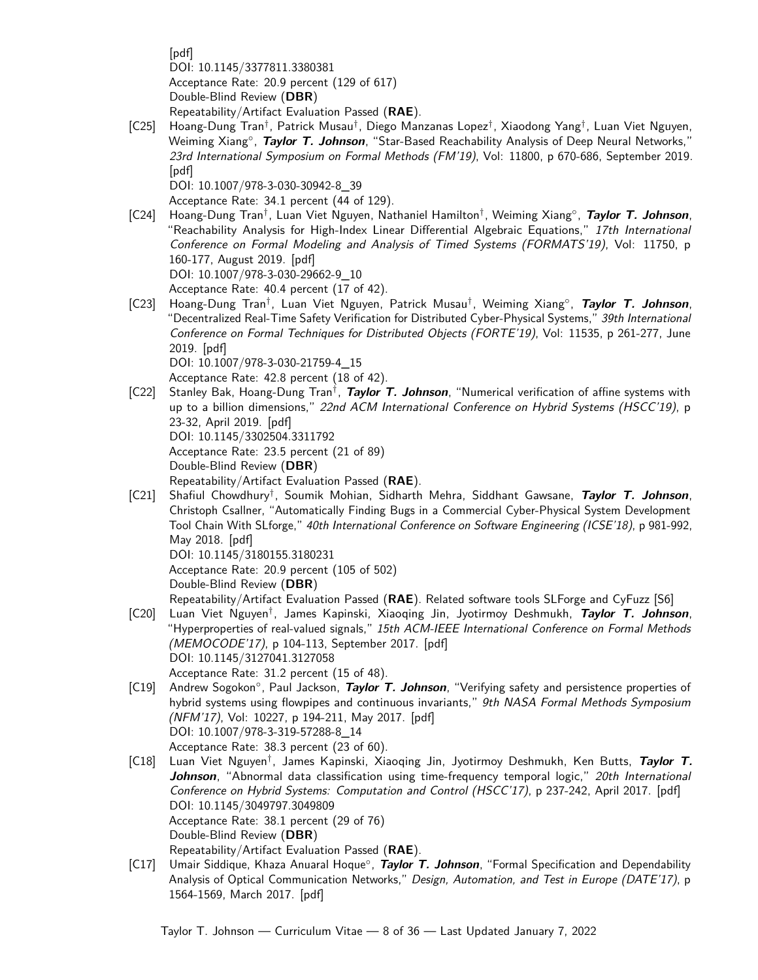[\[pdf\]](http://taylortjohnson.com/research/chowdhury2020icse.pdf) DOI: [10.1145/3377811.3380381](https://doi.org/10.1145/3377811.3380381) Acceptance Rate: 20.9 percent (129 of 617) Double-Blind Review (**DBR**) Repeatability/Artifact Evaluation Passed (**RAE**).

[C25] Hoang-Dung Tran† , Patrick Musau† , Diego Manzanas Lopez† , Xiaodong Yang† , Luan Viet Nguyen, Weiming Xiang◦ , **Taylor T. Johnson**, "Star-Based Reachability Analysis of Deep Neural Networks," 23rd International Symposium on Formal Methods (FM'19), Vol: 11800, p 670-686, September 2019. [\[pdf\]](http://taylortjohnson.com/research/tran2019fm.pdf) DOI: [10.1007/978-3-030-30942-8\\_39](https://doi.org/10.1007/978-3-030-30942-8_39)

<span id="page-7-2"></span><span id="page-7-1"></span>Acceptance Rate: 34.1 percent (44 of 129).

[C24] Hoang-Dung Tran† , Luan Viet Nguyen, Nathaniel Hamilton† , Weiming Xiang◦ , **Taylor T. Johnson**, "Reachability Analysis for High-Index Linear Differential Algebraic Equations," 17th International Conference on Formal Modeling and Analysis of Timed Systems (FORMATS'19), Vol: 11750, p 160-177, August 2019. [\[pdf\]](http://taylortjohnson.com/research/tran2019formats.pdf) DOI: [10.1007/978-3-030-29662-9\\_10](https://doi.org/10.1007/978-3-030-29662-9_10)

Acceptance Rate: 40.4 percent (17 of 42).

[C23] Hoang-Dung Tran† , Luan Viet Nguyen, Patrick Musau† , Weiming Xiang◦ , **Taylor T. Johnson**, "Decentralized Real-Time Safety Verification for Distributed Cyber-Physical Systems," 39th International Conference on Formal Techniques for Distributed Objects (FORTE'19), Vol: 11535, p 261-277, June 2019. [\[pdf\]](http://taylortjohnson.com/research/tran2019forte.pdf)

DOI: [10.1007/978-3-030-21759-4\\_15](https://doi.org/10.1007/978-3-030-21759-4_15)

<span id="page-7-3"></span>Acceptance Rate: 42.8 percent (18 of 42).

[C22] Stanley Bak, Hoang-Dung Tran† , **Taylor T. Johnson**, "Numerical verification of affine systems with up to a billion dimensions," 22nd ACM International Conference on Hybrid Systems (HSCC'19), p 23-32, April 2019. [\[pdf\]](http://taylortjohnson.com/research/bak2019hscc.pdf) DOI: [10.1145/3302504.3311792](https://doi.org/10.1145/3302504.3311792) Acceptance Rate: 23.5 percent (21 of 89) Double-Blind Review (**DBR**)

<span id="page-7-6"></span>Repeatability/Artifact Evaluation Passed (**RAE**).

[C21] Shafiul Chowdhury† , Soumik Mohian, Sidharth Mehra, Siddhant Gawsane, **Taylor T. Johnson**, Christoph Csallner, "Automatically Finding Bugs in a Commercial Cyber-Physical System Development Tool Chain With SLforge," 40th International Conference on Software Engineering (ICSE'18), p 981-992, May 2018. [\[pdf\]](http://taylortjohnson.com/research/chowdhury2018icse.pdf) DOI: [10.1145/3180155.3180231](https://doi.org/10.1145/3180155.3180231)

Acceptance Rate: 20.9 percent (105 of 502)

Double-Blind Review (**DBR**)

<span id="page-7-7"></span><span id="page-7-0"></span>Repeatability/Artifact Evaluation Passed (**RAE**). Related software tools SLForge and CyFuzz [\[S6\]](#page-19-0)

- [C20] Luan Viet Nguyen† , James Kapinski, Xiaoqing Jin, Jyotirmoy Deshmukh, **Taylor T. Johnson**, "Hyperproperties of real-valued signals," 15th ACM-IEEE International Conference on Formal Methods (MEMOCODE'17), p 104-113, September 2017. [\[pdf\]](http://taylortjohnson.com/research/nguyen2017memocode.pdf) DOI: [10.1145/3127041.3127058](https://doi.org/10.1145/3127041.3127058) Acceptance Rate: 31.2 percent (15 of 48).
- [C19] Andrew Sogokon◦ , Paul Jackson, **Taylor T. Johnson**, "Verifying safety and persistence properties of hybrid systems using flowpipes and continuous invariants," 9th NASA Formal Methods Symposium (NFM'17), Vol: 10227, p 194-211, May 2017. [\[pdf\]](http://taylortjohnson.com/research/sogokon2017nfm.pdf) DOI: [10.1007/978-3-319-57288-8\\_14](https://doi.org/10.1007/978-3-319-57288-8_14) Acceptance Rate: 38.3 percent (23 of 60).
- <span id="page-7-5"></span>[C18] Luan Viet Nguyen† , James Kapinski, Xiaoqing Jin, Jyotirmoy Deshmukh, Ken Butts, **Taylor T. Johnson**, "Abnormal data classification using time-frequency temporal logic," 20th International Conference on Hybrid Systems: Computation and Control (HSCC'17), p 237-242, April 2017. [\[pdf\]](http://taylortjohnson.com/research/nguyen2017hscc.pdf) DOI: [10.1145/3049797.3049809](https://doi.org/10.1145/3049797.3049809) Acceptance Rate: 38.1 percent (29 of 76) Double-Blind Review (**DBR**) Repeatability/Artifact Evaluation Passed (**RAE**).
- <span id="page-7-4"></span>[C17] Umair Siddique, Khaza Anuaral Hoque◦ , **Taylor T. Johnson**, "Formal Specification and Dependability Analysis of Optical Communication Networks," Design, Automation, and Test in Europe (DATE'17), p 1564-1569, March 2017. [\[pdf\]](http://taylortjohnson.com/research/siddique2017date.pdf)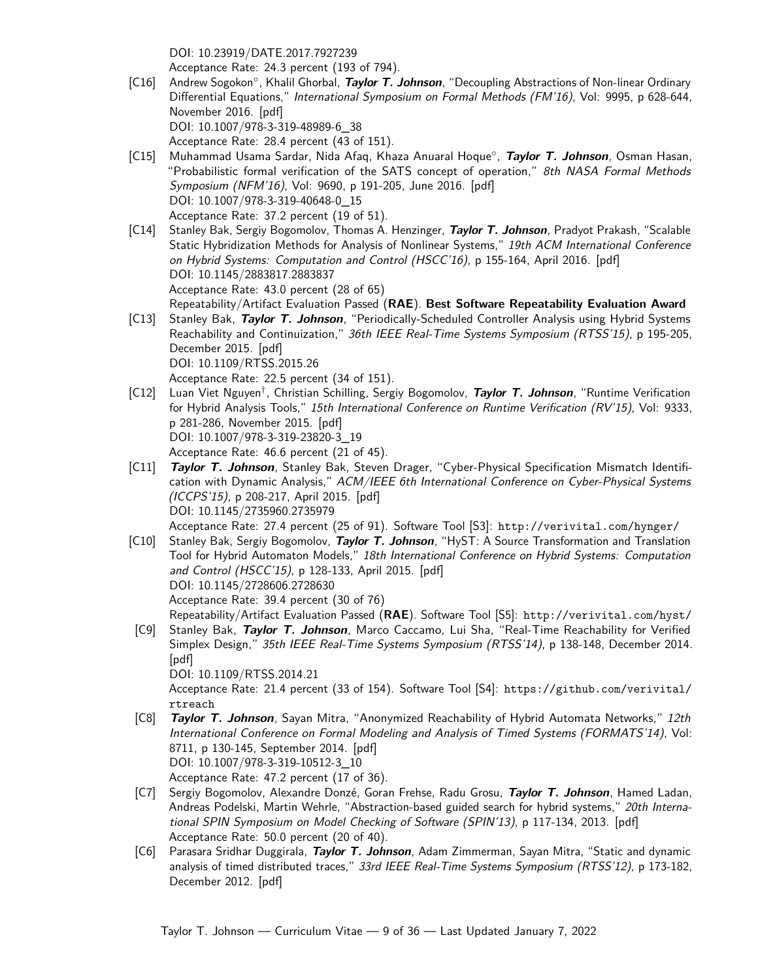DOI: [10.23919/DATE.2017.7927239](https://doi.org/10.23919/DATE.2017.7927239)

<span id="page-8-5"></span><span id="page-8-3"></span>Acceptance Rate: 24.3 percent (193 of 794).

- [C16] Andrew Sogokon◦ , Khalil Ghorbal, **Taylor T. Johnson**, "Decoupling Abstractions of Non-linear Ordinary Differential Equations," International Symposium on Formal Methods (FM'16), Vol: 9995, p 628-644, November 2016. [\[pdf\]](http://taylortjohnson.com/research/sogokon2016fm.pdf) DOI: [10.1007/978-3-319-48989-6\\_38](https://doi.org/10.1007/978-3-319-48989-6_38) Acceptance Rate: 28.4 percent (43 of 151).
- <span id="page-8-7"></span>[C15] Muhammad Usama Sardar, Nida Afaq, Khaza Anuaral Hoque◦ , **Taylor T. Johnson**, Osman Hasan, "Probabilistic formal verification of the SATS concept of operation," 8th NASA Formal Methods Symposium (NFM'16), Vol: 9690, p 191-205, June 2016. [\[pdf\]](http://taylortjohnson.com/research/sardar2016nfm.pdf) DOI: [10.1007/978-3-319-40648-0\\_15](https://doi.org/10.1007/978-3-319-40648-0_15) Acceptance Rate: 37.2 percent (19 of 51).
- [C14] Stanley Bak, Sergiy Bogomolov, Thomas A. Henzinger, **Taylor T. Johnson**, Pradyot Prakash, "Scalable Static Hybridization Methods for Analysis of Nonlinear Systems," 19th ACM International Conference on Hybrid Systems: Computation and Control (HSCC'16), p 155-164, April 2016. [\[pdf\]](http://taylortjohnson.com/research/bak2016hscc.pdf) DOI: [10.1145/2883817.2883837](https://doi.org/10.1145/2883817.2883837) Acceptance Rate: 43.0 percent (28 of 65) Repeatability/Artifact Evaluation Passed (**RAE**). **Best Software Repeatability Evaluation Award**
- <span id="page-8-8"></span>[C13] Stanley Bak, **Taylor T. Johnson**, "Periodically-Scheduled Controller Analysis using Hybrid Systems Reachability and Continuization," 36th IEEE Real-Time Systems Symposium (RTSS'15), p 195-205, December 2015. [\[pdf\]](http://taylortjohnson.com/research/bak2015rtss.pdf) DOI: [10.1109/RTSS.2015.26](https://doi.org/10.1109/RTSS.2015.26) Acceptance Rate: 22.5 percent (34 of 151).
- [C12] Luan Viet Nguyen† , Christian Schilling, Sergiy Bogomolov, **Taylor T. Johnson**, "Runtime Verification for Hybrid Analysis Tools," 15th International Conference on Runtime Verification (RV'15), Vol: 9333, p 281-286, November 2015. [\[pdf\]](http://taylortjohnson.com/research/nguyen2015rv.pdf) DOI: [10.1007/978-3-319-23820-3\\_19](https://doi.org/10.1007/978-3-319-23820-3_19) Acceptance Rate: 46.6 percent (21 of 45).
- [C11] **Taylor T. Johnson**, Stanley Bak, Steven Drager, "Cyber-Physical Specification Mismatch Identification with Dynamic Analysis," ACM/IEEE 6th International Conference on Cyber-Physical Systems (ICCPS'15), p 208-217, April 2015. [\[pdf\]](http://taylortjohnson.com/research/johnson2015iccps.pdf) DOI: [10.1145/2735960.2735979](https://doi.org/10.1145/2735960.2735979)

<span id="page-8-2"></span><span id="page-8-1"></span><span id="page-8-0"></span>Acceptance Rate: 27.4 percent (25 of 91). Software Tool [\[S3\]](#page-19-0): <http://verivital.com/hynger/>

[C10] Stanley Bak, Sergiy Bogomolov, **Taylor T. Johnson**, "HyST: A Source Transformation and Translation Tool for Hybrid Automaton Models," 18th International Conference on Hybrid Systems: Computation and Control (HSCC'15), p 128-133, April 2015. [\[pdf\]](http://taylortjohnson.com/research/bak2015hscc.pdf) DOI: [10.1145/2728606.2728630](https://doi.org/10.1145/2728606.2728630) Acceptance Rate: 39.4 percent (30 of 76)

<span id="page-8-6"></span>Repeatability/Artifact Evaluation Passed (**RAE**). Software Tool [\[S5\]](#page-19-0): <http://verivital.com/hyst/>

[C9] Stanley Bak, **Taylor T. Johnson**, Marco Caccamo, Lui Sha, "Real-Time Reachability for Verified Simplex Design," 35th IEEE Real-Time Systems Symposium (RTSS'14), p 138-148, December 2014. [\[pdf\]](http://taylortjohnson.com/research/bak2014rtss.pdf) DOI: [10.1109/RTSS.2014.21](https://doi.org/10.1109/RTSS.2014.21) Acceptance Rate: 21.4 percent (33 of 154). Software Tool [\[S4\]](#page-19-0): [https://github.com/verivital/](https://github.com/verivital/rtreach)

[rtreach](https://github.com/verivital/rtreach) [C8] **Taylor T. Johnson**, Sayan Mitra, "Anonymized Reachability of Hybrid Automata Networks," 12th International Conference on Formal Modeling and Analysis of Timed Systems (FORMATS'14), Vol:

8711, p 130-145, September 2014. [\[pdf\]](http://taylortjohnson.com/research/johnson2014formats.pdf) DOI: [10.1007/978-3-319-10512-3\\_10](https://doi.org/10.1007/978-3-319-10512-3_10)

<span id="page-8-4"></span>Acceptance Rate: 47.2 percent (17 of 36).

- [C7] Sergiy Bogomolov, Alexandre Donzé, Goran Frehse, Radu Grosu, **Taylor T. Johnson**, Hamed Ladan, Andreas Podelski, Martin Wehrle, "Abstraction-based guided search for hybrid systems," 20th International SPIN Symposium on Model Checking of Software (SPIN'13), p 117-134, 2013. [\[pdf\]](http://taylortjohnson.com/research/bogomolov2013spin.pdf) Acceptance Rate: 50.0 percent (20 of 40).
- [C6] Parasara Sridhar Duggirala, **Taylor T. Johnson**, Adam Zimmerman, Sayan Mitra, "Static and dynamic analysis of timed distributed traces," 33rd IEEE Real-Time Systems Symposium (RTSS'12), p 173-182, December 2012. [\[pdf\]](http://taylortjohnson.com/research/duggirala2012rtss.pdf)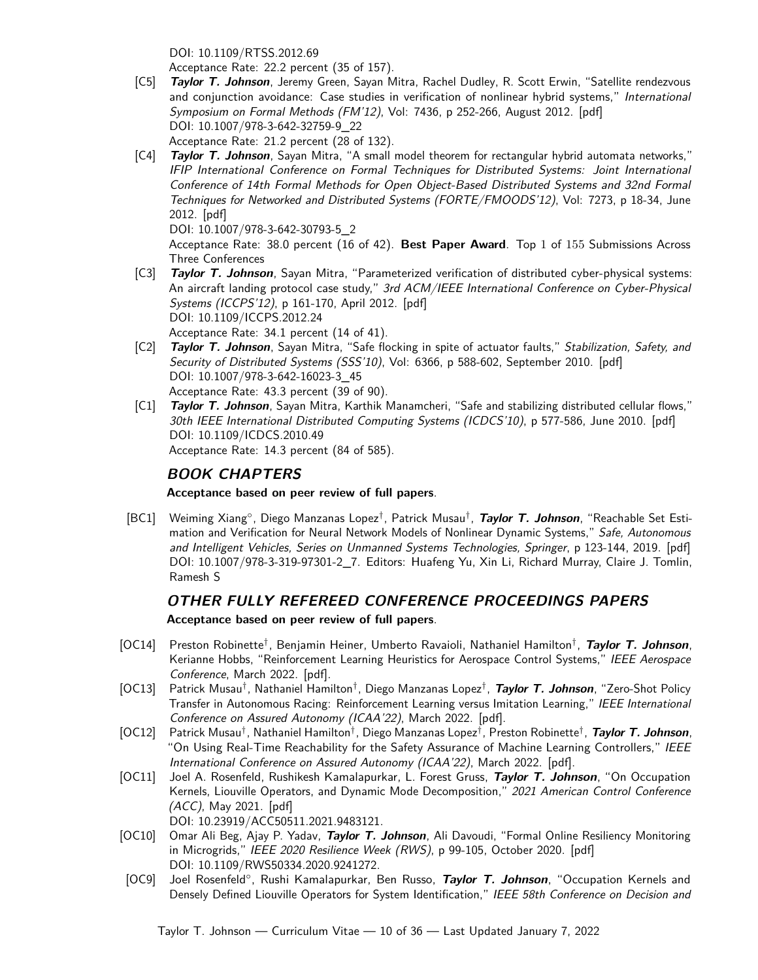<span id="page-9-2"></span>DOI: [10.1109/RTSS.2012.69](https://doi.org/10.1109/RTSS.2012.69)

Acceptance Rate: 22.2 percent (35 of 157).

- [C5] **Taylor T. Johnson**, Jeremy Green, Sayan Mitra, Rachel Dudley, R. Scott Erwin, "Satellite rendezvous and conjunction avoidance: Case studies in verification of nonlinear hybrid systems," International Symposium on Formal Methods (FM'12), Vol: 7436, p 252-266, August 2012. [\[pdf\]](http://taylortjohnson.com/research/johnson2012fm.pdf) DOI: [10.1007/978-3-642-32759-9\\_22](https://doi.org/10.1007/978-3-642-32759-9_22) Acceptance Rate: 21.2 percent (28 of 132).
- [C4] **Taylor T. Johnson**, Sayan Mitra, "A small model theorem for rectangular hybrid automata networks," IFIP International Conference on Formal Techniques for Distributed Systems: Joint International Conference of 14th Formal Methods for Open Object-Based Distributed Systems and 32nd Formal Techniques for Networked and Distributed Systems (FORTE/FMOODS'12), Vol: 7273, p 18-34, June 2012. [\[pdf\]](http://taylortjohnson.com/research/johnson2012forte.pdf)

<span id="page-9-3"></span>DOI: [10.1007/978-3-642-30793-5\\_2](https://doi.org/10.1007/978-3-642-30793-5_2)

<span id="page-9-1"></span><span id="page-9-0"></span>Acceptance Rate: 38.0 percent (16 of 42). **Best Paper Award**. Top 1 of 155 Submissions Across Three Conferences

- [C3] **Taylor T. Johnson**, Sayan Mitra, "Parameterized verification of distributed cyber-physical systems: An aircraft landing protocol case study," 3rd ACM/IEEE International Conference on Cyber-Physical Systems (ICCPS'12), p 161-170, April 2012. [\[pdf\]](http://taylortjohnson.com/research/johnson2012iccps.pdf) DOI: [10.1109/ICCPS.2012.24](https://doi.org/10.1109/ICCPS.2012.24) Acceptance Rate: 34.1 percent (14 of 41).
- [C2] **Taylor T. Johnson**, Sayan Mitra, "Safe flocking in spite of actuator faults," Stabilization, Safety, and Security of Distributed Systems (SSS'10), Vol: 6366, p 588-602, September 2010. [\[pdf\]](http://taylortjohnson.com/research/johnson2010sss.pdf) DOI: [10.1007/978-3-642-16023-3\\_45](https://doi.org/10.1007/978-3-642-16023-3_45) Acceptance Rate: 43.3 percent (39 of 90).
- [C1] **Taylor T. Johnson**, Sayan Mitra, Karthik Manamcheri, "Safe and stabilizing distributed cellular flows," 30th IEEE International Distributed Computing Systems (ICDCS'10), p 577-586, June 2010. [\[pdf\]](http://taylortjohnson.com/research/johnson2010icdcs.pdf) DOI: [10.1109/ICDCS.2010.49](https://doi.org/10.1109/ICDCS.2010.49) Acceptance Rate: 14.3 percent (84 of 585).

### **BOOK CHAPTERS**

**Acceptance based on peer review of full papers**.

<span id="page-9-4"></span>[BC1] Weiming Xiang◦ , Diego Manzanas Lopez† , Patrick Musau† , **Taylor T. Johnson**, "Reachable Set Estimation and Verification for Neural Network Models of Nonlinear Dynamic Systems," Safe, Autonomous and Intelligent Vehicles, Series on Unmanned Systems Technologies, Springer, p 123-144, 2019. [\[pdf\]](http://taylortjohnson.com/research/xiang2019ust.pdf) DOI: 10.1007/978-3-319-97301-2 7. Editors: Huafeng Yu, Xin Li, Richard Murray, Claire J. Tomlin, Ramesh S

## **OTHER FULLY REFEREED CONFERENCE PROCEEDINGS PAPERS Acceptance based on peer review of full papers**.

- [OC14] Preston Robinette† , Benjamin Heiner, Umberto Ravaioli, Nathaniel Hamilton† , **Taylor T. Johnson**, Kerianne Hobbs, "Reinforcement Learning Heuristics for Aerospace Control Systems," IEEE Aerospace Conference, March 2022. [\[pdf\]](http://taylortjohnson.com/research/robinette2022aerospace.pdf).
- [OC13] Patrick Musau† , Nathaniel Hamilton† , Diego Manzanas Lopez† , **Taylor T. Johnson**, "Zero-Shot Policy Transfer in Autonomous Racing: Reinforcement Learning versus Imitation Learning," IEEE International Conference on Assured Autonomy (ICAA'22), March 2022. [\[pdf\]](http://taylortjohnson.com/research/hamilton2022icaa.pdf).
- [OC12] Patrick Musau† , Nathaniel Hamilton† , Diego Manzanas Lopez† , Preston Robinette† , **Taylor T. Johnson**, "On Using Real-Time Reachability for the Safety Assurance of Machine Learning Controllers," IEEE International Conference on Assured Autonomy (ICAA'22), March 2022. [\[pdf\]](http://taylortjohnson.com/research/musau2022icaa.pdf).
- [OC11] Joel A. Rosenfeld, Rushikesh Kamalapurkar, L. Forest Gruss, **Taylor T. Johnson**, "On Occupation Kernels, Liouville Operators, and Dynamic Mode Decomposition," 2021 American Control Conference (ACC), May 2021. [\[pdf\]](http://taylortjohnson.com/research/rosenfeld2021acc.pdf)

<span id="page-9-5"></span>DOI: [10.23919/ACC50511.2021.9483121.](https://doi.org/10.23919/ACC50511.2021.9483121)

- [OC10] Omar Ali Beg, Ajay P. Yadav, **Taylor T. Johnson**, Ali Davoudi, "Formal Online Resiliency Monitoring in Microgrids," IEEE 2020 Resilience Week (RWS), p 99-105, October 2020. [\[pdf\]](http://taylortjohnson.com/research/beg2020rw.pdf) DOI: [10.1109/RWS50334.2020.9241272.](https://doi.org/10.1109/RWS50334.2020.9241272)
- [OC9] Joel Rosenfeld◦ , Rushi Kamalapurkar, Ben Russo, **Taylor T. Johnson**, "Occupation Kernels and Densely Defined Liouville Operators for System Identification," IEEE 58th Conference on Decision and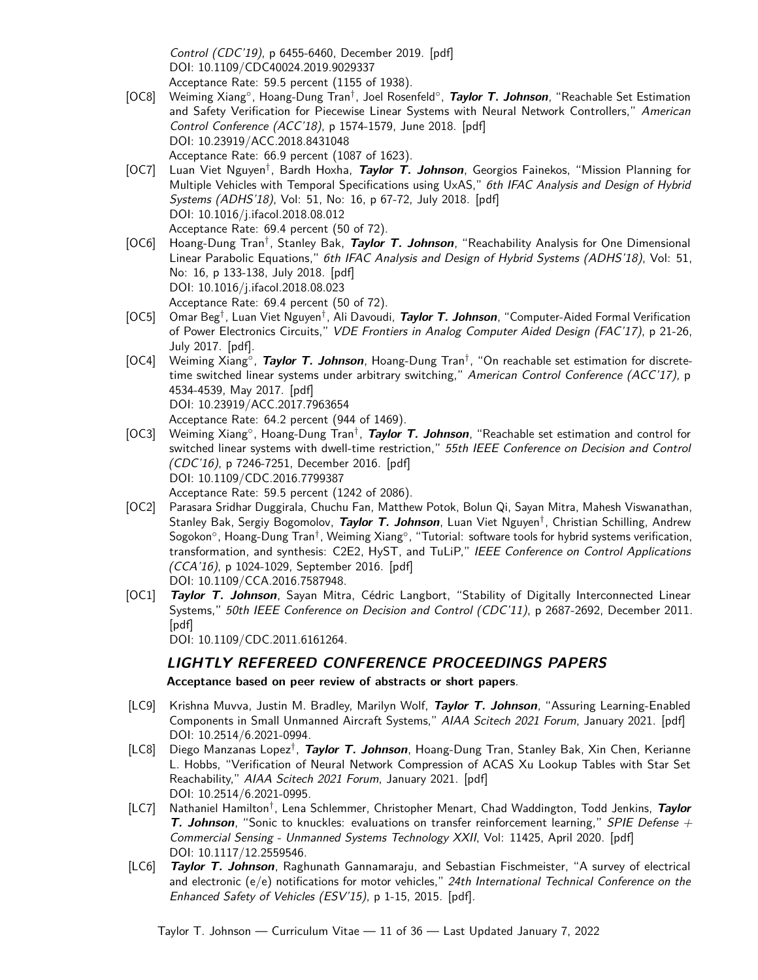<span id="page-10-0"></span>Control (CDC'19), p 6455-6460, December 2019. [\[pdf\]](http://taylortjohnson.com/research/rosenfeld2019cdc.pdf) DOI: [10.1109/CDC40024.2019.9029337](https://doi.org/10.1109/CDC40024.2019.9029337) Acceptance Rate: 59.5 percent (1155 of 1938).

- [OC8] Weiming Xiang◦ , Hoang-Dung Tran† , Joel Rosenfeld◦ , **Taylor T. Johnson**, "Reachable Set Estimation and Safety Verification for Piecewise Linear Systems with Neural Network Controllers," American Control Conference (ACC'18), p 1574-1579, June 2018. [\[pdf\]](http://taylortjohnson.com/research/xiang2018acc.pdf) DOI: [10.23919/ACC.2018.8431048](https://doi.org/10.23919/ACC.2018.8431048) Acceptance Rate: 66.9 percent (1087 of 1623).
- [OC7] Luan Viet Nguyen† , Bardh Hoxha, **Taylor T. Johnson**, Georgios Fainekos, "Mission Planning for Multiple Vehicles with Temporal Specifications using UxAS," 6th IFAC Analysis and Design of Hybrid Systems (ADHS'18), Vol: 51, No: 16, p 67-72, July 2018. [\[pdf\]](http://taylortjohnson.com/research/nguyen2018adhs.pdf) DOI: [10.1016/j.ifacol.2018.08.012](https://doi.org/10.1016/j.ifacol.2018.08.012) Acceptance Rate: 69.4 percent (50 of 72).
- <span id="page-10-7"></span>[OC6] Hoang-Dung Tran† , Stanley Bak, **Taylor T. Johnson**, "Reachability Analysis for One Dimensional Linear Parabolic Equations," 6th IFAC Analysis and Design of Hybrid Systems (ADHS'18), Vol: 51, No: 16, p 133-138, July 2018. [\[pdf\]](http://taylortjohnson.com/research/tran2018adhs.pdf) DOI: [10.1016/j.ifacol.2018.08.023](https://doi.org/10.1016/j.ifacol.2018.08.023) Acceptance Rate: 69.4 percent (50 of 72).
- <span id="page-10-4"></span>[OC5] Omar Beg† , Luan Viet Nguyen† , Ali Davoudi, **Taylor T. Johnson**, "Computer-Aided Formal Verification of Power Electronics Circuits," VDE Frontiers in Analog Computer Aided Design (FAC'17), p 21-26, July 2017. [\[pdf\]](http://taylortjohnson.com/research/beg2017fac.pdf).
- <span id="page-10-5"></span>[OC4] Weiming Xiang◦ , **Taylor T. Johnson**, Hoang-Dung Tran† , "On reachable set estimation for discretetime switched linear systems under arbitrary switching," American Control Conference (ACC'17), p 4534-4539, May 2017. [\[pdf\]](http://taylortjohnson.com/research/xiang2017acc.pdf) DOI: [10.23919/ACC.2017.7963654](https://doi.org/10.23919/ACC.2017.7963654) Acceptance Rate: 64.2 percent (944 of 1469).
- <span id="page-10-6"></span>[OC3] Weiming Xiang<sup>°</sup>, Hoang-Dung Tran<sup>†</sup>, *Taylor T. Johnson*, "Reachable set estimation and control for switched linear systems with dwell-time restriction," 55th IEEE Conference on Decision and Control (CDC'16), p 7246-7251, December 2016. [\[pdf\]](http://taylortjohnson.com/research/xiang2016cdc.pdf) DOI: [10.1109/CDC.2016.7799387](https://doi.org/10.1109/CDC.2016.7799387) Acceptance Rate: 59.5 percent (1242 of 2086).
- [OC2] Parasara Sridhar Duggirala, Chuchu Fan, Matthew Potok, Bolun Qi, Sayan Mitra, Mahesh Viswanathan, Stanley Bak, Sergiy Bogomolov, **Taylor T. Johnson**, Luan Viet Nguyen† , Christian Schilling, Andrew Sogokon°, Hoang-Dung Tran<sup>†</sup>, Weiming Xiang°, "Tutorial: software tools for hybrid systems verification, transformation, and synthesis: C2E2, HyST, and TuLiP," IEEE Conference on Control Applications (CCA'16), p 1024-1029, September 2016. [\[pdf\]](http://taylortjohnson.com/research/duggirala2016msc.pdf) DOI: [10.1109/CCA.2016.7587948.](https://doi.org/10.1109/CCA.2016.7587948)
- [OC1] **Taylor T. Johnson**, Sayan Mitra, Cédric Langbort, "Stability of Digitally Interconnected Linear Systems," 50th IEEE Conference on Decision and Control (CDC'11), p 2687-2692, December 2011. [\[pdf\]](http://taylortjohnson.com/research/johnson2011cdc.pdf)

<span id="page-10-3"></span>DOI: [10.1109/CDC.2011.6161264.](https://doi.org/10.1109/CDC.2011.6161264)

### **LIGHTLY REFEREED CONFERENCE PROCEEDINGS PAPERS**

<span id="page-10-2"></span>**Acceptance based on peer review of abstracts or short papers**.

- [LC9] Krishna Muvva, Justin M. Bradley, Marilyn Wolf, **Taylor T. Johnson**, "Assuring Learning-Enabled Components in Small Unmanned Aircraft Systems," AIAA Scitech 2021 Forum, January 2021. [\[pdf\]](http://taylortjohnson.com/research/muvva2021scitech.pdf) DOI: [10.2514/6.2021-0994.](https://doi.org/10.2514/6.2021-0994)
- [LC8] Diego Manzanas Lopez† , **Taylor T. Johnson**, Hoang-Dung Tran, Stanley Bak, Xin Chen, Kerianne L. Hobbs, "Verification of Neural Network Compression of ACAS Xu Lookup Tables with Star Set Reachability," AIAA Scitech 2021 Forum, January 2021. [\[pdf\]](http://taylortjohnson.com/research/lopez2021scitech.pdf) DOI: [10.2514/6.2021-0995.](https://doi.org/10.2514/6.2021-0995)
- <span id="page-10-1"></span>[LC7] Nathaniel Hamilton† , Lena Schlemmer, Christopher Menart, Chad Waddington, Todd Jenkins, **Taylor T. Johnson**, "Sonic to knuckles: evaluations on transfer reinforcement learning," SPIE Defense + Commercial Sensing - Unmanned Systems Technology XXII, Vol: 11425, April 2020. [\[pdf\]](http://taylortjohnson.com/research/hamilton2020spie.pdf) DOI: [10.1117/12.2559546.](https://doi.org/10.1117/12.2559546)
- [LC6] **Taylor T. Johnson**, Raghunath Gannamaraju, and Sebastian Fischmeister, "A survey of electrical and electronic ( $e/e$ ) notifications for motor vehicles," 24th International Technical Conference on the Enhanced Safety of Vehicles (ESV'15), p 1-15, 2015. [\[pdf\]](http://taylortjohnson.com/research/johnson2015esv.pdf).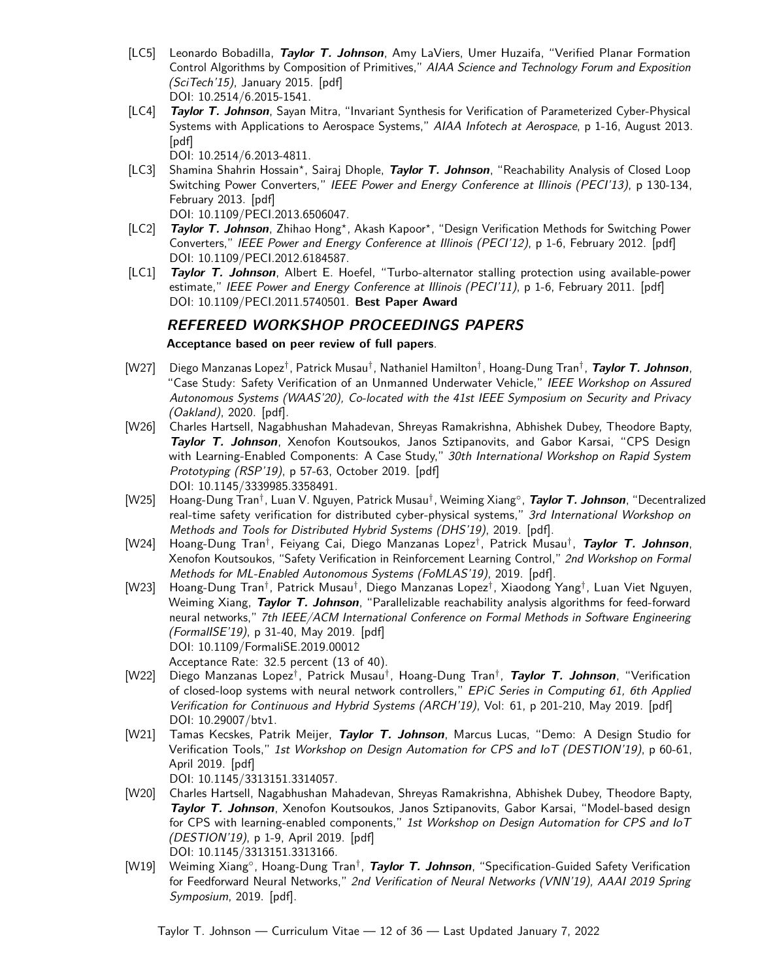- [LC5] Leonardo Bobadilla, **Taylor T. Johnson**, Amy LaViers, Umer Huzaifa, "Verified Planar Formation Control Algorithms by Composition of Primitives," AIAA Science and Technology Forum and Exposition (SciTech'15), January 2015. [\[pdf\]](http://taylortjohnson.com/research/bobadilla2015scitech.pdf) DOI: [10.2514/6.2015-1541.](https://doi.org/10.2514/6.2015-1541)
- [LC4] **Taylor T. Johnson**, Sayan Mitra, "Invariant Synthesis for Verification of Parameterized Cyber-Physical Systems with Applications to Aerospace Systems," AIAA Infotech at Aerospace, p 1-16, August 2013. [\[pdf\]](http://taylortjohnson.com/research/johnson2013infotech.pdf)

<span id="page-11-8"></span><span id="page-11-7"></span><span id="page-11-4"></span>DOI: [10.2514/6.2013-4811.](https://doi.org/10.2514/6.2013-4811)

[LC3] Shamina Shahrin Hossain*<sup>⋆</sup>* , Sairaj Dhople, **Taylor T. Johnson**, "Reachability Analysis of Closed Loop Switching Power Converters," IEEE Power and Energy Conference at Illinois (PECI'13), p 130-134, February 2013. [\[pdf\]](http://taylortjohnson.com/research/hossain2013peci.pdf)

<span id="page-11-0"></span>DOI: [10.1109/PECI.2013.6506047.](https://doi.org/10.1109/PECI.2013.6506047)

- [LC2] **Taylor T. Johnson**, Zhihao Hong*<sup>⋆</sup>* , Akash Kapoor*<sup>⋆</sup>* , "Design Verification Methods for Switching Power Converters," IEEE Power and Energy Conference at Illinois (PECI'12), p 1-6, February 2012. [\[pdf\]](http://taylortjohnson.com/research/johnson2012peci.pdf) DOI: [10.1109/PECI.2012.6184587.](https://doi.org/10.1109/PECI.2012.6184587)
- [LC1] **Taylor T. Johnson**, Albert E. Hoefel, "Turbo-alternator stalling protection using available-power estimate," IEEE Power and Energy Conference at Illinois (PECI'11), p 1-6, February 2011. [\[pdf\]](http://taylortjohnson.com/research/johnson2011peci.pdf) DOI: [10.1109/PECI.2011.5740501.](https://doi.org/10.1109/PECI.2011.5740501) **Best Paper Award**

### **REFEREED WORKSHOP PROCEEDINGS PAPERS**

<span id="page-11-1"></span>**Acceptance based on peer review of full papers**.

- <span id="page-11-5"></span>[W27] Diego Manzanas Lopez† , Patrick Musau† , Nathaniel Hamilton† , Hoang-Dung Tran† , **Taylor T. Johnson**, "Case Study: Safety Verification of an Unmanned Underwater Vehicle," IEEE Workshop on Assured Autonomous Systems (WAAS'20), Co-located with the 41st IEEE Symposium on Security and Privacy (Oakland), 2020. [\[pdf\]](http://taylortjohnson.com/research/lopez2020waas.pdf).
- [W26] Charles Hartsell, Nagabhushan Mahadevan, Shreyas Ramakrishna, Abhishek Dubey, Theodore Bapty, **Taylor T. Johnson**, Xenofon Koutsoukos, Janos Sztipanovits, and Gabor Karsai, "CPS Design with Learning-Enabled Components: A Case Study," 30th International Workshop on Rapid System Prototyping (RSP'19), p 57-63, October 2019. [\[pdf\]](http://taylortjohnson.com/research/hartsell2019rsp.pdf) DOI: [10.1145/3339985.3358491.](https://doi.org/10.1145/3339985.3358491)
- [W25] Hoang-Dung Tran† , Luan V. Nguyen, Patrick Musau† , Weiming Xiang◦ , **Taylor T. Johnson**, "Decentralized real-time safety verification for distributed cyber-physical systems," 3rd International Workshop on Methods and Tools for Distributed Hybrid Systems (DHS'19), 2019. [\[pdf\]](http://taylortjohnson.com/research/tran2019dhs.pdf).
- <span id="page-11-2"></span>[W24] Hoang-Dung Tran† , Feiyang Cai, Diego Manzanas Lopez† , Patrick Musau† , **Taylor T. Johnson**, Xenofon Koutsoukos, "Safety Verification in Reinforcement Learning Control," 2nd Workshop on Formal Methods for ML-Enabled Autonomous Systems (FoMLAS'19), 2019. [\[pdf\]](http://taylortjohnson.com/research/tran2019fomlas.pdf).
- <span id="page-11-6"></span>[W23] Hoang-Dung Tran† , Patrick Musau† , Diego Manzanas Lopez† , Xiaodong Yang† , Luan Viet Nguyen, Weiming Xiang, **Taylor T. Johnson**, "Parallelizable reachability analysis algorithms for feed-forward neural networks," 7th IEEE/ACM International Conference on Formal Methods in Software Engineering (FormalISE'19), p 31-40, May 2019. [\[pdf\]](http://taylortjohnson.com/research/tran2019formalise.pdf) DOI: [10.1109/FormaliSE.2019.00012](https://doi.org/10.1109/FormaliSE.2019.00012) Acceptance Rate: 32.5 percent (13 of 40).
- [W22] Diego Manzanas Lopez† , Patrick Musau† , Hoang-Dung Tran† , **Taylor T. Johnson**, "Verification of closed-loop systems with neural network controllers," EPiC Series in Computing 61, 6th Applied Verification for Continuous and Hybrid Systems (ARCH'19), Vol: 61, p 201-210, May 2019. [\[pdf\]](http://taylortjohnson.com/research/lopez2019arch.pdf) DOI: [10.29007/btv1.](https://doi.org/10.29007/btv1)
- [W21] Tamas Kecskes, Patrik Meijer, **Taylor T. Johnson**, Marcus Lucas, "Demo: A Design Studio for Verification Tools," 1st Workshop on Design Automation for CPS and IoT (DESTION'19), p 60-61, April 2019. [\[pdf\]](http://taylortjohnson.com/research/kecskes2019destion.pdf)

<span id="page-11-3"></span>DOI: [10.1145/3313151.3314057.](https://doi.org/10.1145/3313151.3314057)

- [W20] Charles Hartsell, Nagabhushan Mahadevan, Shreyas Ramakrishna, Abhishek Dubey, Theodore Bapty, **Taylor T. Johnson**, Xenofon Koutsoukos, Janos Sztipanovits, Gabor Karsai, "Model-based design for CPS with learning-enabled components," 1st Workshop on Design Automation for CPS and loT (DESTION'19), p 1-9, April 2019. [\[pdf\]](http://taylortjohnson.com/research/hartsell2019destion.pdf) DOI: [10.1145/3313151.3313166.](https://doi.org/10.1145/3313151.3313166)
- [W19] Weiming Xiang°, Hoang-Dung Tran<sup>†</sup>, *Taylor T. Johnson*, "Specification-Guided Safety Verification for Feedforward Neural Networks," 2nd Verification of Neural Networks (VNN'19), AAAI 2019 Spring Symposium, 2019. [\[pdf\]](http://taylortjohnson.com/research/xiang2019vnn.pdf).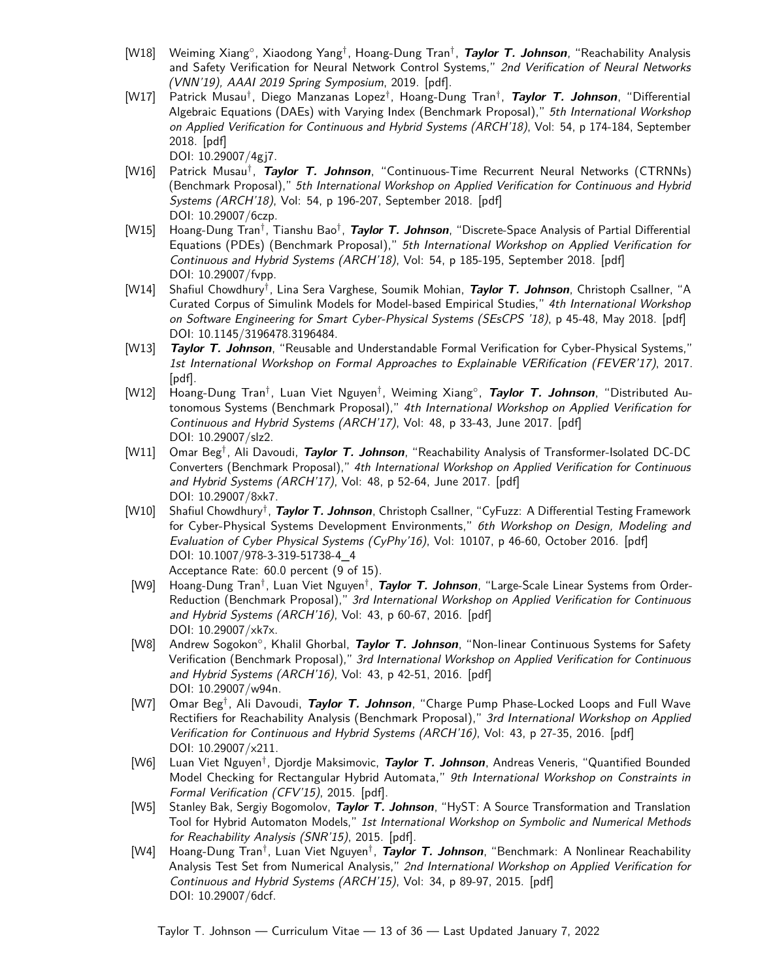- [W18] Weiming Xiang◦ , Xiaodong Yang† , Hoang-Dung Tran† , **Taylor T. Johnson**, "Reachability Analysis and Safety Verification for Neural Network Control Systems," 2nd Verification of Neural Networks (VNN'19), AAAI 2019 Spring Symposium, 2019. [\[pdf\]](http://taylortjohnson.com/research/xiang2019vnn_nncs.pdf).
- [W17] Patrick Musau† , Diego Manzanas Lopez† , Hoang-Dung Tran† , **Taylor T. Johnson**, "Differential Algebraic Equations (DAEs) with Varying Index (Benchmark Proposal)," 5th International Workshop on Applied Verification for Continuous and Hybrid Systems (ARCH'18), Vol: 54, p 174-184, September 2018. [\[pdf\]](http://taylortjohnson.com/research/musau2018arch_dae.pdf)

<span id="page-12-2"></span><span id="page-12-1"></span><span id="page-12-0"></span>DOI: [10.29007/4gj7.](https://doi.org/10.29007/4gj7)

- [W16] Patrick Musau† , **Taylor T. Johnson**, "Continuous-Time Recurrent Neural Networks (CTRNNs) (Benchmark Proposal)," 5th International Workshop on Applied Verification for Continuous and Hybrid Systems (ARCH'18), Vol: 54, p 196-207, September 2018. [\[pdf\]](http://taylortjohnson.com/research/musau2018arch_ctrnn.pdf) DOI: [10.29007/6czp.](https://doi.org/10.29007/6czp)
- [W15] Hoang-Dung Tran† , Tianshu Bao† , **Taylor T. Johnson**, "Discrete-Space Analysis of Partial Differential Equations (PDEs) (Benchmark Proposal)," 5th International Workshop on Applied Verification for Continuous and Hybrid Systems (ARCH'18), Vol: 54, p 185-195, September 2018. [\[pdf\]](http://taylortjohnson.com/research/tran2018arch.pdf) DOI: [10.29007/fvpp.](https://doi.org/10.29007/fvpp)
- [W14] Shafiul Chowdhury† , Lina Sera Varghese, Soumik Mohian, **Taylor T. Johnson**, Christoph Csallner, "A Curated Corpus of Simulink Models for Model-based Empirical Studies," 4th International Workshop on Software Engineering for Smart Cyber-Physical Systems (SEsCPS '18), p 45-48, May 2018. [\[pdf\]](http://taylortjohnson.com/research/chowdhury2018sescps.pdf) DOI: [10.1145/3196478.3196484.](https://doi.org/10.1145/3196478.3196484)
- <span id="page-12-7"></span>[W13] **Taylor T. Johnson**, "Reusable and Understandable Formal Verification for Cyber-Physical Systems," 1st International Workshop on Formal Approaches to Explainable VERification (FEVER'17), 2017. [\[pdf\]](http://taylortjohnson.com/research/johnson2017fever.pdf).
- <span id="page-12-10"></span>[W12] Hoang-Dung Tran† , Luan Viet Nguyen† , Weiming Xiang◦ , **Taylor T. Johnson**, "Distributed Autonomous Systems (Benchmark Proposal)," 4th International Workshop on Applied Verification for Continuous and Hybrid Systems (ARCH'17), Vol: 48, p 33-43, June 2017. [\[pdf\]](http://taylortjohnson.com/research/tran2017arch.pdf) DOI: [10.29007/slz2.](https://doi.org/10.29007/slz2)
- <span id="page-12-6"></span>[W11] Omar Beg† , Ali Davoudi, **Taylor T. Johnson**, "Reachability Analysis of Transformer-Isolated DC-DC Converters (Benchmark Proposal)," 4th International Workshop on Applied Verification for Continuous and Hybrid Systems (ARCH'17), Vol: 48, p 52-64, June 2017. [\[pdf\]](http://taylortjohnson.com/research/beg2017arch.pdf) DOI: [10.29007/8xk7.](https://doi.org/10.29007/8xk7)
- <span id="page-12-4"></span>[W10] Shafiul Chowdhury† , **Taylor T. Johnson**, Christoph Csallner, "CyFuzz: A Differential Testing Framework for Cyber-Physical Systems Development Environments," 6th Workshop on Design, Modeling and Evaluation of Cyber Physical Systems (CyPhy'16), Vol: 10107, p 46-60, October 2016. [\[pdf\]](http://taylortjohnson.com/research/chowdhury2016cyphy.pdf) DOI: [10.1007/978-3-319-51738-4\\_4](https://doi.org/10.1007/978-3-319-51738-4_4) Acceptance Rate: 60.0 percent (9 of 15).
- <span id="page-12-8"></span>[W9] Hoang-Dung Tran† , Luan Viet Nguyen† , **Taylor T. Johnson**, "Large-Scale Linear Systems from Order-Reduction (Benchmark Proposal)," 3rd International Workshop on Applied Verification for Continuous and Hybrid Systems (ARCH'16), Vol: 43, p 60-67, 2016. [\[pdf\]](http://taylortjohnson.com/research/tran2016arch.pdf) DOI: [10.29007/xk7x.](https://doi.org/10.29007/xk7x)
- <span id="page-12-3"></span>[W8] Andrew Sogokon◦ , Khalil Ghorbal, **Taylor T. Johnson**, "Non-linear Continuous Systems for Safety Verification (Benchmark Proposal)," 3rd International Workshop on Applied Verification for Continuous and Hybrid Systems (ARCH'16), Vol: 43, p 42-51, 2016. [\[pdf\]](http://taylortjohnson.com/research/sogokon2016arch.pdf) DOI: [10.29007/w94n.](https://doi.org/10.29007/w94n)
- <span id="page-12-5"></span>[W7] Omar Beg† , Ali Davoudi, **Taylor T. Johnson**, "Charge Pump Phase-Locked Loops and Full Wave Rectifiers for Reachability Analysis (Benchmark Proposal)," 3rd International Workshop on Applied Verification for Continuous and Hybrid Systems (ARCH'16), Vol: 43, p 27-35, 2016. [\[pdf\]](http://taylortjohnson.com/research/beg2016arch.pdf) DOI: [10.29007/x211.](https://doi.org/10.29007/x211)
- [W6] Luan Viet Nguyen† , Djordje Maksimovic, **Taylor T. Johnson**, Andreas Veneris, "Quantified Bounded Model Checking for Rectangular Hybrid Automata," 9th International Workshop on Constraints in Formal Verification (CFV'15), 2015. [\[pdf\]](http://taylortjohnson.com/research/nguyen2015cfv.pdf).
- <span id="page-12-9"></span>[W5] Stanley Bak, Sergiy Bogomolov, **Taylor T. Johnson**, "HyST: A Source Transformation and Translation Tool for Hybrid Automaton Models," 1st International Workshop on Symbolic and Numerical Methods for Reachability Analysis (SNR'15), 2015. [\[pdf\]](http://taylortjohnson.com/research/bak2015snr.pdf).
- [W4] Hoang-Dung Tran† , Luan Viet Nguyen† , **Taylor T. Johnson**, "Benchmark: A Nonlinear Reachability Analysis Test Set from Numerical Analysis," 2nd International Workshop on Applied Verification for Continuous and Hybrid Systems (ARCH'15), Vol: 34, p 89-97, 2015. [\[pdf\]](http://taylortjohnson.com/research/tran2015arch.pdf) DOI: [10.29007/6dcf.](https://doi.org/10.29007/6dcf)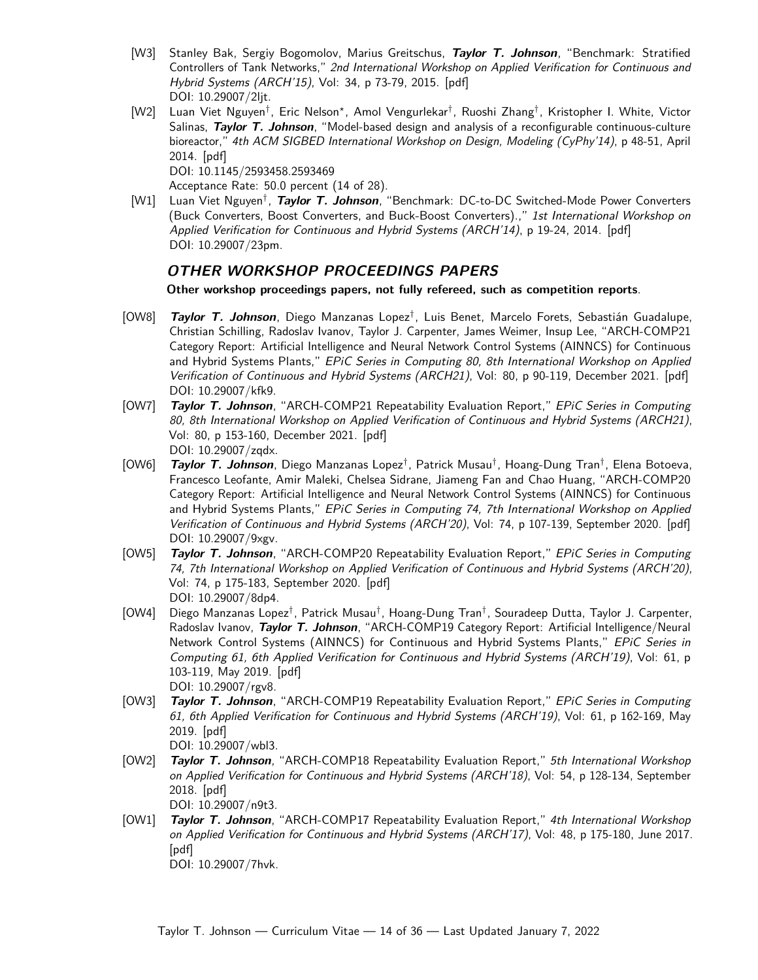- [W3] Stanley Bak, Sergiy Bogomolov, Marius Greitschus, **Taylor T. Johnson**, "Benchmark: Stratified Controllers of Tank Networks," 2nd International Workshop on Applied Verification for Continuous and Hybrid Systems (ARCH'15), Vol: 34, p 73-79, 2015. [\[pdf\]](http://taylortjohnson.com/research/bak2015arch.pdf) DOI: [10.29007/2ljt.](https://doi.org/10.29007/2ljt)
- [W2] Luan Viet Nguyen<sup>†</sup>, Eric Nelson\*, Amol Vengurlekar<sup>†</sup>, Ruoshi Zhang<sup>†</sup>, Kristopher I. White, Victor Salinas, **Taylor T. Johnson**, "Model-based design and analysis of a reconfigurable continuous-culture bioreactor," 4th ACM SIGBED International Workshop on Design, Modeling (CyPhy'14), p 48-51, April 2014. [\[pdf\]](http://taylortjohnson.com/research/nguyen2014cyphy.pdf)

<span id="page-13-3"></span><span id="page-13-2"></span>DOI: [10.1145/2593458.2593469](https://doi.org/10.1145/2593458.2593469)

Acceptance Rate: 50.0 percent (14 of 28).

[W1] Luan Viet Nguyen† , **Taylor T. Johnson**, "Benchmark: DC-to-DC Switched-Mode Power Converters (Buck Converters, Boost Converters, and Buck-Boost Converters).," 1st International Workshop on Applied Verification for Continuous and Hybrid Systems (ARCH'14), p 19-24, 2014. [\[pdf\]](http://taylortjohnson.com/research/nguyen2014arch.pdf) DOI: [10.29007/23pm.](https://doi.org/10.29007/23pm)

### **OTHER WORKSHOP PROCEEDINGS PAPERS**

**Other workshop proceedings papers, not fully refereed, such as competition reports**.

- [OW8] **Taylor T. Johnson**, Diego Manzanas Lopez† , Luis Benet, Marcelo Forets, Sebastián Guadalupe, Christian Schilling, Radoslav Ivanov, Taylor J. Carpenter, James Weimer, Insup Lee, "ARCH-COMP21 Category Report: Artificial Intelligence and Neural Network Control Systems (AINNCS) for Continuous and Hybrid Systems Plants," EPiC Series in Computing 80, 8th International Workshop on Applied Verification of Continuous and Hybrid Systems (ARCH21), Vol: 80, p 90-119, December 2021. [\[pdf\]](http://taylortjohnson.com/research/johnson2021archcomp_ainncs.pdf) DOI: [10.29007/kfk9.](https://doi.org/10.29007/kfk9)
- [OW7] **Taylor T. Johnson**, "ARCH-COMP21 Repeatability Evaluation Report," EPiC Series in Computing 80, 8th International Workshop on Applied Verification of Continuous and Hybrid Systems (ARCH21), Vol: 80, p 153-160, December 2021. [\[pdf\]](http://taylortjohnson.com/research/johnson2021archcomp.pdf) DOI: [10.29007/zqdx.](https://doi.org/10.29007/zqdx)
- [OW6] **Taylor T. Johnson**, Diego Manzanas Lopez† , Patrick Musau† , Hoang-Dung Tran† , Elena Botoeva, Francesco Leofante, Amir Maleki, Chelsea Sidrane, Jiameng Fan and Chao Huang, "ARCH-COMP20 Category Report: Artificial Intelligence and Neural Network Control Systems (AINNCS) for Continuous and Hybrid Systems Plants," EPiC Series in Computing 74, 7th International Workshop on Applied Verification of Continuous and Hybrid Systems (ARCH'20), Vol: 74, p 107-139, September 2020. [\[pdf\]](http://taylortjohnson.com/research/johnson2020archcomp_ainncs.pdf) DOI: [10.29007/9xgv.](https://doi.org/10.29007/9xgv)
- <span id="page-13-0"></span>[OW5] **Taylor T. Johnson**, "ARCH-COMP20 Repeatability Evaluation Report," EPiC Series in Computing 74, 7th International Workshop on Applied Verification of Continuous and Hybrid Systems (ARCH'20), Vol: 74, p 175-183, September 2020. [\[pdf\]](http://taylortjohnson.com/research/johnson2020archcomp.pdf) DOI: [10.29007/8dp4.](https://doi.org/10.29007/8dp4)
- <span id="page-13-1"></span>[OW4] Diego Manzanas Lopez<sup>†</sup>, Patrick Musau<sup>†</sup>, Hoang-Dung Tran<sup>†</sup>, Souradeep Dutta, Taylor J. Carpenter, Radoslav Ivanov, **Taylor T. Johnson**, "ARCH-COMP19 Category Report: Artificial Intelligence/Neural Network Control Systems (AINNCS) for Continuous and Hybrid Systems Plants," EPiC Series in Computing 61, 6th Applied Verification for Continuous and Hybrid Systems (ARCH'19), Vol: 61, p 103-119, May 2019. [\[pdf\]](http://taylortjohnson.com/research/lopez2019archcomp.pdf) DOI: [10.29007/rgv8.](https://doi.org/10.29007/rgv8)
- [OW3] **Taylor T. Johnson**, "ARCH-COMP19 Repeatability Evaluation Report," EPiC Series in Computing 61, 6th Applied Verification for Continuous and Hybrid Systems (ARCH'19), Vol: 61, p 162-169, May 2019. [\[pdf\]](http://taylortjohnson.com/research/johnson2019archcomp.pdf)
- DOI: [10.29007/wbl3.](https://doi.org/10.29007/wbl3) [OW2] **Taylor T. Johnson**, "ARCH-COMP18 Repeatability Evaluation Report," 5th International Workshop on Applied Verification for Continuous and Hybrid Systems (ARCH'18), Vol: 54, p 128-134, September
	- 2018. [\[pdf\]](http://taylortjohnson.com/research/johnson2018archcomp.pdf) DOI: [10.29007/n9t3.](https://doi.org/10.29007/n9t3)
- <span id="page-13-4"></span>[OW1] **Taylor T. Johnson**, "ARCH-COMP17 Repeatability Evaluation Report," 4th International Workshop on Applied Verification for Continuous and Hybrid Systems (ARCH'17), Vol: 48, p 175-180, June 2017. [\[pdf\]](http://taylortjohnson.com/research/johnson2017archcomp.pdf)

DOI: [10.29007/7hvk.](https://doi.org/10.29007/7hvk)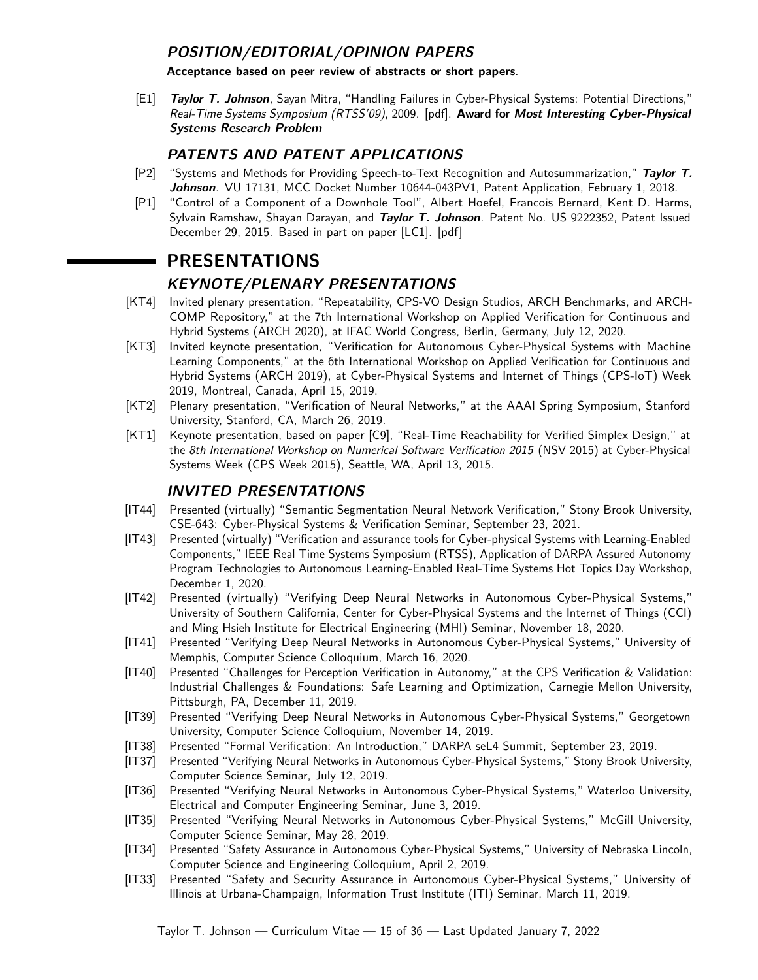### **POSITION/EDITORIAL/OPINION PAPERS**

**Acceptance based on peer review of abstracts or short papers**.

[E1] **Taylor T. Johnson**, Sayan Mitra, "Handling Failures in Cyber-Physical Systems: Potential Directions," Real-Time Systems Symposium (RTSS'09), 2009. [\[pdf\]](http://taylortjohnson.com/research/johnson2009rtss.pdf). **Award for Most Interesting Cyber-Physical Systems Research Problem**

### **PATENTS AND PATENT APPLICATIONS**

- <span id="page-14-0"></span>[P2] "Systems and Methods for Providing Speech-to-Text Recognition and Autosummarization," **Taylor T. Johnson**. VU 17131, MCC Docket Number 10644-043PV1, Patent Application, February 1, 2018.
- [P1] "Control of a Component of a Downhole Tool", Albert Hoefel, Francois Bernard, Kent D. Harms, Sylvain Ramshaw, Shayan Darayan, and **Taylor T. Johnson**. Patent No. US 9222352, Patent Issued December 29, 2015. Based in part on paper [\[LC1\]](#page-11-0). [\[pdf\]](http://www.taylortjohnson.com/research/hoefel2015patent.pdf)

# **PRESENTATIONS**

### **KEYNOTE/PLENARY PRESENTATIONS**

- [KT4] Invited plenary presentation, "Repeatability, CPS-VO Design Studios, ARCH Benchmarks, and ARCH-COMP Repository," at the [7th International Workshop on Applied Verification for Continuous and](https://cps-vo.org/group/ARCH/) [Hybrid Systems \(ARCH 2020\),](https://cps-vo.org/group/ARCH/) at IFAC World Congress, Berlin, Germany, July 12, 2020.
- [KT3] Invited keynote presentation, "Verification for Autonomous Cyber-Physical Systems with Machine Learning Components," at the [6th International Workshop on Applied Verification for Continuous and](https://cps-vo.org/group/ARCH/) [Hybrid Systems \(ARCH 2019\),](https://cps-vo.org/group/ARCH/) at Cyber-Physical Systems and Internet of Things (CPS-IoT) Week 2019, Montreal, Canada, April 15, 2019.
- [KT2] Plenary presentation, "Verification of Neural Networks," at the [AAAI Spring Symposium,](https://aaai.org/Symposia/Spring/sss19.php) Stanford University, Stanford, CA, March 26, 2019.
- [KT1] Keynote presentation, based on paper [\[C9\]](#page-8-0), "Real-Time Reachability for Verified Simplex Design," at the [8th International Workshop on Numerical Software Verification 2015](http://nsv2015.informatik.uni-freiburg.de/) (NSV 2015) at Cyber-Physical Systems Week [\(CPS Week 2015\)](http://www.cpsweek.org/2015/), Seattle, WA, April 13, 2015.

### **INVITED PRESENTATIONS**

- [IT44] Presented (virtually) "Semantic Segmentation Neural Network Verification," Stony Brook University, [CSE-643: Cyber-Physical Systems & Verification Seminar,](https://sites.google.com/cs.stonybrook.edu/cps-verif-seminar) September 23, 2021.
- [IT43] Presented (virtually) "Verification and assurance tools for Cyber-physical Systems with Learning-Enabled Components," IEEE Real Time Systems Symposium (RTSS), [Application of DARPA Assured Autonomy](http://2020.rtss.org/workshop-darpa/) [Program Technologies to Autonomous Learning-Enabled Real-Time Systems Hot Topics Day Workshop,](http://2020.rtss.org/workshop-darpa/) December 1, 2020.
- [IT42] Presented (virtually) "Verifying Deep Neural Networks in Autonomous Cyber-Physical Systems," University of Southern California, [Center for Cyber-Physical Systems and the Internet of Things \(CCI\)](https://cci.usc.edu/index.php/2020/11/13/4652/) [and Ming Hsieh Institute for Electrical Engineering \(MHI\) Seminar,](https://cci.usc.edu/index.php/2020/11/13/4652/) November 18, 2020.
- [IT41] Presented "Verifying Deep Neural Networks in Autonomous Cyber-Physical Systems," University of Memphis, [Computer Science Colloquium,](https://www.memphis.edu/cs/news_and_events/colloquium.php) March 16, 2020.
- [IT40] Presented "Challenges for Perception Verification in Autonomy," at the [CPS Verification & Validation:](https://www.ls.cs.cmu.edu/CPSVVIF-2019/Participants.html#02) [Industrial Challenges & Foundations: Safe Learning and Optimization,](https://www.ls.cs.cmu.edu/CPSVVIF-2019/Participants.html#02) Carnegie Mellon University, Pittsburgh, PA, December 11, 2019.
- [IT39] Presented "Verifying Deep Neural Networks in Autonomous Cyber-Physical Systems," Georgetown University, [Computer Science Colloquium,](https://guevents.georgetown.edu/event/cs_colloquium_-_taylor_johnson_vanderbilt) November 14, 2019.
- [IT38] Presented "Formal Verification: An Introduction," [DARPA seL4 Summit,](https://www.sel4-us.org/summit2019/#agenda) September 23, 2019.
- [IT37] Presented "Verifying Neural Networks in Autonomous Cyber-Physical Systems," Stony Brook University, Computer Science Seminar, July 12, 2019.
- [IT36] Presented "Verifying Neural Networks in Autonomous Cyber-Physical Systems," Waterloo University, [Electrical and Computer Engineering Seminar,](https://uwaterloo.ca/centre-pattern-analysis-machine-intelligence/news/seminar-verifying-neural-networks-autonomous-cyber-physical) June 3, 2019.
- [IT35] Presented "Verifying Neural Networks in Autonomous Cyber-Physical Systems," McGill University, Computer Science Seminar, May 28, 2019.
- [IT34] Presented "Safety Assurance in Autonomous Cyber-Physical Systems," University of Nebraska Lincoln, [Computer Science and Engineering Colloquium,](https://cse.unl.edu/colloquium/2018-2019/taylor-t-johnson) April 2, 2019.
- [IT33] Presented "Safety and Security Assurance in Autonomous Cyber-Physical Systems," University of Illinois at Urbana-Champaign, [Information Trust Institute \(ITI\) Seminar,](https://calendars.illinois.edu/detail/2568?eventId=33336914) March 11, 2019.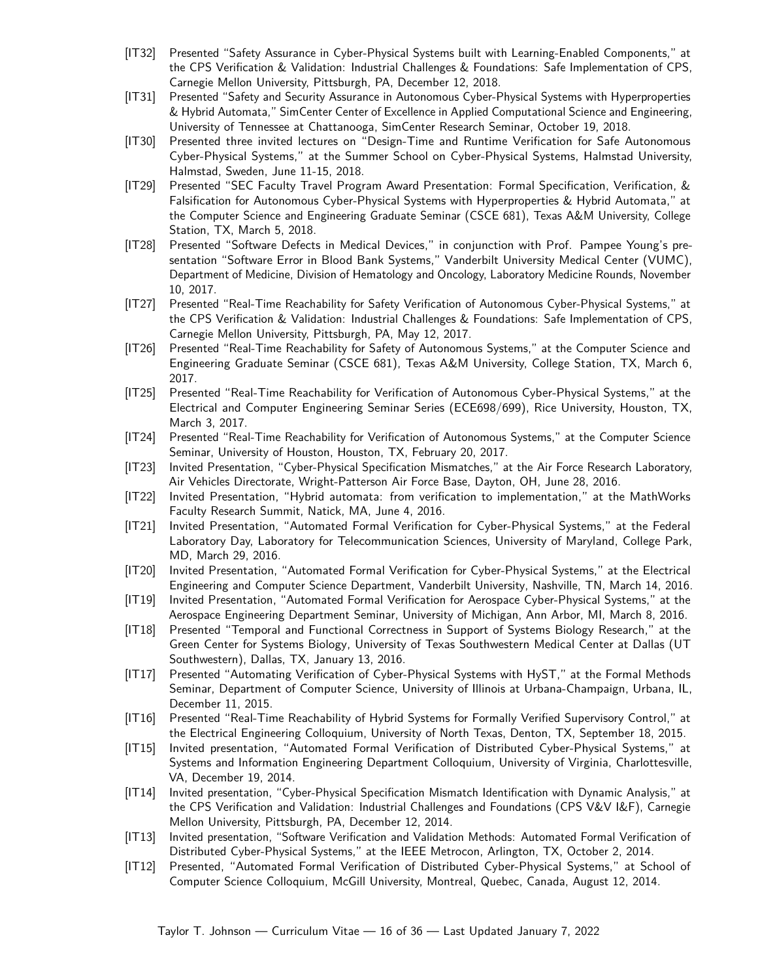- [IT32] Presented "Safety Assurance in Cyber-Physical Systems built with Learning-Enabled Components," at the [CPS Verification & Validation: Industrial Challenges & Foundations: Safe Implementation of CPS,](http://www.ls.cs.cmu.edu/CPSVVIF-2018/Participants.html#N10030) Carnegie Mellon University, Pittsburgh, PA, December 12, 2018.
- [IT31] Presented "Safety and Security Assurance in Autonomous Cyber-Physical Systems with Hyperproperties & Hybrid Automata," SimCenter Center of Excellence in Applied Computational Science and Engineering, University of Tennessee at Chattanooga, [SimCenter Research Seminar,](https://www.utc.edu/simcenter/upcoming-events.php) October 19, 2018.
- [IT30] Presented three invited lectures on "Design-Time and Runtime Verification for Safe Autonomous Cyber-Physical Systems," at the [Summer School on Cyber-Physical Systems,](http://ceres.hh.se/CPS_2018) Halmstad University, Halmstad, Sweden, June 11-15, 2018.
- [IT29] Presented "SEC Faculty Travel Program Award Presentation: Formal Specification, Verification, & Falsification for Autonomous Cyber-Physical Systems with Hyperproperties & Hybrid Automata," at the [Computer Science and Engineering Graduate Seminar \(CSCE 681\),](https://engineering.tamu.edu/cse/research/seminars/abstracts/distinguished-lecture/2017-2018.html) Texas A&M University, College Station, TX, March 5, 2018.
- [IT28] Presented "Software Defects in Medical Devices," in conjunction with Prof. Pampee Young's presentation "Software Error in Blood Bank Systems," Vanderbilt University Medical Center (VUMC), Department of Medicine, Division of Hematology and Oncology, Laboratory Medicine Rounds, November 10, 2017.
- [IT27] Presented "Real-Time Reachability for Safety Verification of Autonomous Cyber-Physical Systems," at the [CPS Verification & Validation: Industrial Challenges & Foundations: Safe Implementation of CPS,](http://www.ls.cs.cmu.edu/CPSVVIF-2017/Participants.html#Johnson) Carnegie Mellon University, Pittsburgh, PA, May 12, 2017.
- [IT26] Presented "Real-Time Reachability for Safety of Autonomous Systems," at the [Computer Science and](https://engineering.tamu.edu/cse/research/seminars/abstracts/csce-681/2016-2017#johnson) [Engineering Graduate Seminar \(CSCE 681\),](https://engineering.tamu.edu/cse/research/seminars/abstracts/csce-681/2016-2017#johnson) Texas A&M University, College Station, TX, March 6, 2017.
- [IT25] Presented "Real-Time Reachability for Verification of Autonomous Cyber-Physical Systems," at the [Electrical and Computer Engineering Seminar Series \(ECE698/699\),](http://events.rice.edu/index.cfm?EventRecord=32564) Rice University, Houston, TX, March 3, 2017.
- [IT24] Presented "Real-Time Reachability for Verification of Autonomous Systems," at the [Computer Science](http://www.uh.edu/nsm/computer-science/news-events/seminars/2017/0220-johnson.php) [Seminar,](http://www.uh.edu/nsm/computer-science/news-events/seminars/2017/0220-johnson.php) University of Houston, Houston, TX, February 20, 2017.
- [IT23] Invited Presentation, "Cyber-Physical Specification Mismatches," at the Air Force Research Laboratory, Air Vehicles Directorate, Wright-Patterson Air Force Base, Dayton, OH, June 28, 2016.
- [IT22] Invited Presentation, "Hybrid automata: from verification to implementation," at the MathWorks Faculty Research Summit, Natick, MA, June 4, 2016.
- [IT21] Invited Presentation, "Automated Formal Verification for Cyber-Physical Systems," at the Federal Laboratory Day, Laboratory for Telecommunication Sciences, University of Maryland, College Park, MD, March 29, 2016.
- [IT20] Invited Presentation, "Automated Formal Verification for Cyber-Physical Systems," at the Electrical Engineering and Computer Science Department, Vanderbilt University, Nashville, TN, March 14, 2016.
- [IT19] Invited Presentation, "Automated Formal Verification for Aerospace Cyber-Physical Systems," at the [Aerospace Engineering Department Seminar,](http://www.engin.umich.edu/college/about/cal/events/2016/march/aero-department-seminar-automated-formal-verification-for-aerospace-cyber-physical-systems) University of Michigan, Ann Arbor, MI, March 8, 2016.
- [IT18] Presented "Temporal and Functional Correctness in Support of Systems Biology Research," at the [Green Center for Systems Biology,](http://www.utsouthwestern.edu/education/medical-school/departments/green-center-biology/index.html) University of Texas Southwestern Medical Center at Dallas (UT Southwestern), Dallas, TX, January 13, 2016.
- [IT17] Presented "Automating Verification of Cyber-Physical Systems with HyST," at the [Formal Methods](https://wiki.engr.illinois.edu/display/fmseminar/Formal+Methods+Seminar) [Seminar,](https://wiki.engr.illinois.edu/display/fmseminar/Formal+Methods+Seminar) Department of Computer Science, University of Illinois at Urbana-Champaign, Urbana, IL, December 11, 2015.
- [IT16] Presented "Real-Time Reachability of Hybrid Systems for Formally Verified Supervisory Control," at the Electrical Engineering Colloquium, University of North Texas, Denton, TX, September 18, 2015.
- [IT15] Invited presentation, "Automated Formal Verification of Distributed Cyber-Physical Systems," at Systems and Information Engineering Department Colloquium, University of Virginia, Charlottesville, VA, December 19, 2014.
- [IT14] Invited presentation, "Cyber-Physical Specification Mismatch Identification with Dynamic Analysis," at the [CPS Verification and Validation: Industrial Challenges and Foundations \(CPS V&V I&F\),](http://www.ls.cs.cmu.edu/CPSVVIF) Carnegie Mellon University, Pittsburgh, PA, December 12, 2014.
- [IT13] Invited presentation, "Software Verification and Validation Methods: Automated Formal Verification of Distributed Cyber-Physical Systems," at the [IEEE Metrocon,](http://metrocon.org/) Arlington, TX, October 2, 2014.
- [IT12] Presented, "Automated Formal Verification of Distributed Cyber-Physical Systems," at School of Computer Science Colloquium, McGill University, Montreal, Quebec, Canada, August 12, 2014.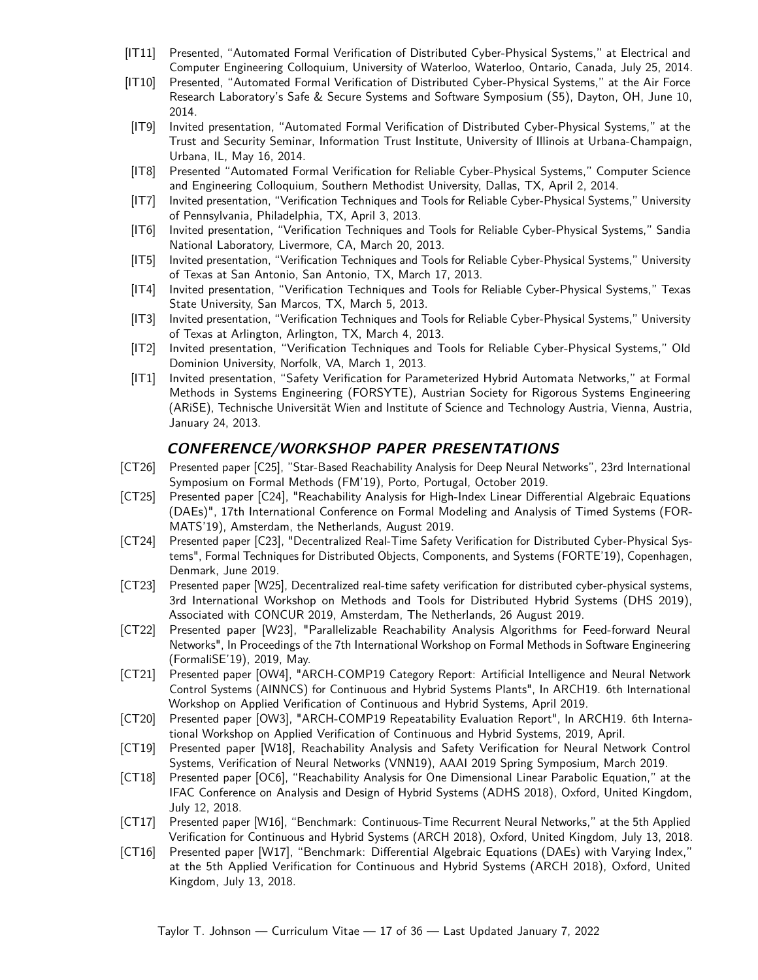- [IT11] Presented, "Automated Formal Verification of Distributed Cyber-Physical Systems," at Electrical and Computer Engineering Colloquium, University of Waterloo, Waterloo, Ontario, Canada, July 25, 2014.
- [IT10] Presented, "Automated Formal Verification of Distributed Cyber-Physical Systems," at the [Air Force](http://www.mys5.org/) [Research Laboratory's Safe & Secure Systems and Software Symposium \(S5\),](http://www.mys5.org/) Dayton, OH, June 10, 2014.
- [IT9] Invited presentation, "Automated Formal Verification of Distributed Cyber-Physical Systems," at the [Trust and Security Seminar,](http://www.iti.illinois.edu/seminarsevents/iti-trust-and-security-seminar-tss) Information Trust Institute, University of Illinois at Urbana-Champaign, Urbana, IL, May 16, 2014.
- [IT8] Presented "Automated Formal Verification for Reliable Cyber-Physical Systems," Computer Science and Engineering Colloquium, Southern Methodist University, Dallas, TX, April 2, 2014.
- [IT7] Invited presentation, "Verification Techniques and Tools for Reliable Cyber-Physical Systems," University of Pennsylvania, Philadelphia, TX, April 3, 2013.
- [IT6] Invited presentation, "Verification Techniques and Tools for Reliable Cyber-Physical Systems," Sandia National Laboratory, Livermore, CA, March 20, 2013.
- [IT5] Invited presentation, "Verification Techniques and Tools for Reliable Cyber-Physical Systems," University of Texas at San Antonio, San Antonio, TX, March 17, 2013.
- [IT4] Invited presentation, "Verification Techniques and Tools for Reliable Cyber-Physical Systems," Texas State University, San Marcos, TX, March 5, 2013.
- [IT3] Invited presentation, "Verification Techniques and Tools for Reliable Cyber-Physical Systems," University of Texas at Arlington, Arlington, TX, March 4, 2013.
- [IT2] Invited presentation, "Verification Techniques and Tools for Reliable Cyber-Physical Systems," Old Dominion University, Norfolk, VA, March 1, 2013.
- [IT1] Invited presentation, "Safety Verification for Parameterized Hybrid Automata Networks," at [Formal](http://forsyte.at/) [Methods in Systems Engineering \(FORSYTE\),](http://forsyte.at/) [Austrian Society for Rigorous Systems Engineering](http://arise.or.at/) [\(ARiSE\),](http://arise.or.at/) Technische Universität Wien and [Institute of Science and Technology Austria,](ist.ac.at) Vienna, Austria, January 24, 2013.

### **CONFERENCE/WORKSHOP PAPER PRESENTATIONS**

- [CT26] Presented paper [\[C25\]](#page-6-0), "Star-Based Reachability Analysis for Deep Neural Networks", 23rd International Symposium on Formal Methods (FM'19), Porto, Portugal, October 2019.
- [CT25] Presented paper [\[C24\]](#page-7-1), "Reachability Analysis for High-Index Linear Differential Algebraic Equations (DAEs)", 17th International Conference on Formal Modeling and Analysis of Timed Systems (FOR-MATS'19), Amsterdam, the Netherlands, August 2019.
- [CT24] Presented paper [\[C23\]](#page-7-2), "Decentralized Real-Time Safety Verification for Distributed Cyber-Physical Systems", Formal Techniques for Distributed Objects, Components, and Systems (FORTE'19), Copenhagen, Denmark, June 2019.
- [CT23] Presented paper [\[W25\]](#page-11-1), Decentralized real-time safety verification for distributed cyber-physical systems, 3rd International Workshop on Methods and Tools for Distributed Hybrid Systems (DHS 2019), Associated with CONCUR 2019, Amsterdam, The Netherlands, 26 August 2019.
- [CT22] Presented paper [\[W23\]](#page-11-2), "Parallelizable Reachability Analysis Algorithms for Feed-forward Neural Networks", In Proceedings of the 7th International Workshop on Formal Methods in Software Engineering (FormaliSE'19), 2019, May.
- [CT21] Presented paper [\[OW4\]](#page-13-0), "ARCH-COMP19 Category Report: Artificial Intelligence and Neural Network Control Systems (AINNCS) for Continuous and Hybrid Systems Plants", In ARCH19. 6th International Workshop on Applied Verification of Continuous and Hybrid Systems, April 2019.
- [CT20] Presented paper [\[OW3\]](#page-13-1), "ARCH-COMP19 Repeatability Evaluation Report", In ARCH19. 6th International Workshop on Applied Verification of Continuous and Hybrid Systems, 2019, April.
- [CT19] Presented paper [\[W18\]](#page-11-3), Reachability Analysis and Safety Verification for Neural Network Control Systems, Verification of Neural Networks (VNN19), AAAI 2019 Spring Symposium, March 2019.
- [CT18] Presented paper [\[OC6\]](#page-10-0), "Reachability Analysis for One Dimensional Linear Parabolic Equation," at the IFAC Conference on Analysis and Design of Hybrid Systems [\(ADHS 2018\)](https://www.cs.ox.ac.uk/conferences/ADHS18/), Oxford, United Kingdom, July 12, 2018.
- [CT17] Presented paper [\[W16\]](#page-12-0), "Benchmark: Continuous-Time Recurrent Neural Networks," at the 5th Applied Verification for Continuous and Hybrid Systems [\(ARCH 2018\)](https://cps-vo.org/group/ARCH), Oxford, United Kingdom, July 13, 2018.
- [CT16] Presented paper [\[W17\]](#page-12-1), "Benchmark: Differential Algebraic Equations (DAEs) with Varying Index," at the 5th Applied Verification for Continuous and Hybrid Systems [\(ARCH 2018\)](https://cps-vo.org/group/ARCH), Oxford, United Kingdom, July 13, 2018.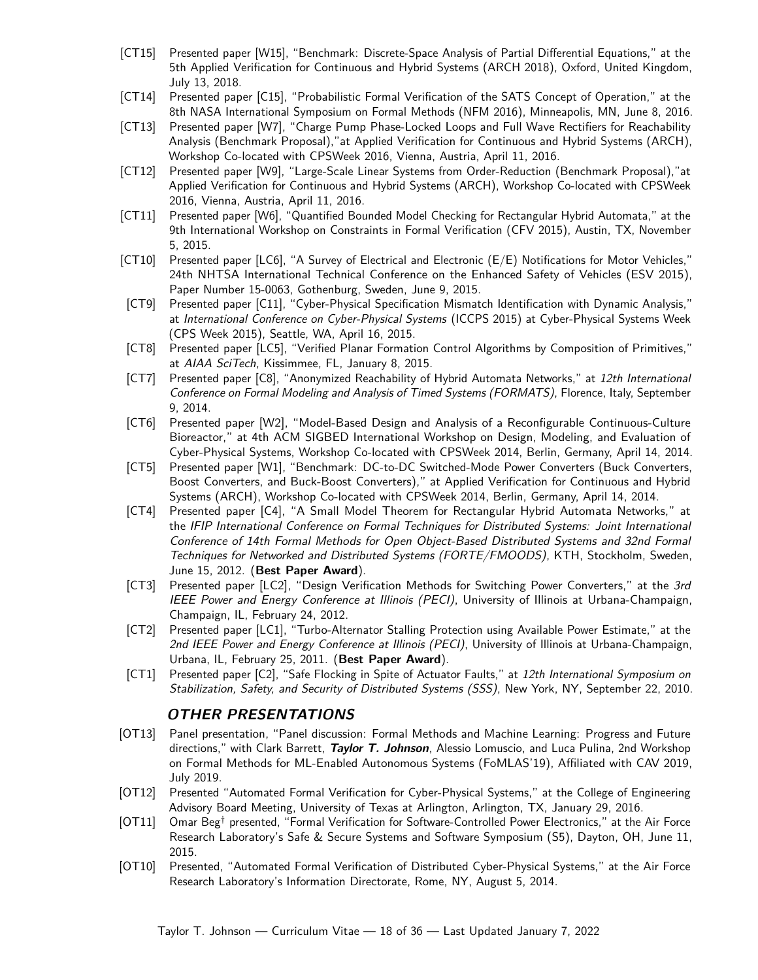- [CT15] Presented paper [\[W15\]](#page-12-2), "Benchmark: Discrete-Space Analysis of Partial Differential Equations," at the 5th Applied Verification for Continuous and Hybrid Systems [\(ARCH 2018\)](https://cps-vo.org/group/ARCH), Oxford, United Kingdom, July 13, 2018.
- [CT14] Presented paper [\[C15\]](#page-8-5), "Probabilistic Formal Verification of the SATS Concept of Operation," at the 8th NASA International Symposium on Formal Methods [\(NFM 2016\)](http://crisys.cs.umn.edu/nfm2016/), Minneapolis, MN, June 8, 2016.
- [CT13] Presented paper [\[W7\]](#page-12-3), "Charge Pump Phase-Locked Loops and Full Wave Rectifiers for Reachability Analysis (Benchmark Proposal),"at [Applied Verification for Continuous and Hybrid Systems \(ARCH\),](http://cps-vo.org/group/ARCH) Workshop Co-located with CPSWeek 2016, Vienna, Austria, April 11, 2016.
- [CT12] Presented paper [\[W9\]](#page-12-4), "Large-Scale Linear Systems from Order-Reduction (Benchmark Proposal),"at [Applied Verification for Continuous and Hybrid Systems \(ARCH\),](http://cps-vo.org/group/ARCH) Workshop Co-located with CPSWeek 2016, Vienna, Austria, April 11, 2016.
- [CT11] Presented paper [\[W6\]](#page-12-5), "Quantified Bounded Model Checking for Rectangular Hybrid Automata," at the 9th International Workshop on Constraints in Formal Verification [\(CFV 2015\)](http://web.engr.oregonstate.edu/~alex/cfv15.html), Austin, TX, November 5, 2015.
- [CT10] Presented paper [\[LC6\]](#page-10-1), "A Survey of Electrical and Electronic (E/E) Notifications for Motor Vehicles," 24th NHTSA International Technical Conference on the Enhanced Safety of Vehicles [\(ESV 2015\)](http://www-esv.nhtsa.dot.gov/), Paper Number 15-0063, Gothenburg, Sweden, June 9, 2015.
- [CT9] Presented paper [\[C11\]](#page-8-2), "Cyber-Physical Specification Mismatch Identification with Dynamic Analysis," at [International Conference on Cyber-Physical Systems](http://iccps.acm.org/2015/) (ICCPS 2015) at Cyber-Physical Systems Week [\(CPS Week 2015\)](http://www.cpsweek.org/2015/), Seattle, WA, April 16, 2015.
- [CT8] Presented paper [\[LC5\]](#page-10-2), "Verified Planar Formation Control Algorithms by Composition of Primitives," at [AIAA SciTech](http://www.aiaa-scitech.org/), Kissimmee, FL, January 8, 2015.
- [CT7] Presented paper [\[C8\]](#page-8-6), "Anonymized Reachability of Hybrid Automata Networks," at [12th International](http://formats2014.unifi.it/) [Conference on Formal Modeling and Analysis of Timed Systems \(FORMATS\)](http://formats2014.unifi.it/), Florence, Italy, September 9, 2014.
- [CT6] Presented paper [\[W2\]](#page-13-2), "Model-Based Design and Analysis of a Reconfigurable Continuous-Culture Bioreactor," at [4th ACM SIGBED International Workshop on Design, Modeling, and Evaluation of](http://www.cyphy.org/) [Cyber-Physical Systems,](http://www.cyphy.org/) Workshop Co-located with CPSWeek 2014, Berlin, Germany, April 14, 2014.
- [CT5] Presented paper [\[W1\]](#page-13-3), "Benchmark: DC-to-DC Switched-Mode Power Converters (Buck Converters, Boost Converters, and Buck-Boost Converters)," at [Applied Verification for Continuous and Hybrid](http://cps-vo.org/group/ARCH) [Systems \(ARCH\),](http://cps-vo.org/group/ARCH) Workshop Co-located with CPSWeek 2014, Berlin, Germany, April 14, 2014.
- [CT4] Presented paper [\[C4\]](#page-9-2), "A Small Model Theorem for Rectangular Hybrid Automata Networks," at the [IFIP International Conference on Formal Techniques for Distributed Systems: Joint International](http://discotec.ict.kth.se/) [Conference of 14th Formal Methods for Open Object-Based Distributed Systems and 32nd Formal](http://discotec.ict.kth.se/) [Techniques for Networked and Distributed Systems \(FORTE/FMOODS\)](http://discotec.ict.kth.se/), KTH, Stockholm, Sweden, June 15, 2012. (**Best Paper Award**).
- [CT3] Presented paper [\[LC2\]](#page-11-4), "Design Verification Methods for Switching Power Converters," at the [3rd](http://peci.ece.illinois.edu/) [IEEE Power and Energy Conference at Illinois \(PECI\)](http://peci.ece.illinois.edu/), University of Illinois at Urbana-Champaign, Champaign, IL, February 24, 2012.
- [CT2] Presented paper [\[LC1\]](#page-11-0), "Turbo-Alternator Stalling Protection using Available Power Estimate," at the [2nd IEEE Power and Energy Conference at Illinois \(PECI\)](http://peci.ece.illinois.edu/), University of Illinois at Urbana-Champaign, Urbana, IL, February 25, 2011. (**Best Paper Award**).
- [CT1] Presented paper [\[C2\]](#page-9-1), "Safe Flocking in Spite of Actuator Faults," at [12th International Symposium on](http://www.cs.bgu.ac.il/~dolev/SSS10/) [Stabilization, Safety, and Security of Distributed Systems \(SSS\)](http://www.cs.bgu.ac.il/~dolev/SSS10/), New York, NY, September 22, 2010.

### **OTHER PRESENTATIONS**

- [OT13] Panel presentation, "Panel discussion: Formal Methods and Machine Learning: Progress and Future directions," with Clark Barrett, **Taylor T. Johnson**, Alessio Lomuscio, and Luca Pulina, 2nd Workshop on Formal Methods for ML-Enabled Autonomous Systems (FoMLAS'19), Affiliated with CAV 2019, July 2019.
- [OT12] Presented "Automated Formal Verification for Cyber-Physical Systems," at the [College of Engineering](http://www.uta.edu/engineering/community/board/index.php) [Advisory Board Meeting,](http://www.uta.edu/engineering/community/board/index.php) University of Texas at Arlington, Arlington, TX, January 29, 2016.
- [OT11] Omar Beg† presented, "Formal Verification for Software-Controlled Power Electronics," at the [Air Force](http://www.mys5.org/) [Research Laboratory's Safe & Secure Systems and Software Symposium \(S5\),](http://www.mys5.org/) Dayton, OH, June 11, 2015.
- [OT10] Presented, "Automated Formal Verification of Distributed Cyber-Physical Systems," at the [Air Force](http://www.wpafb.af.mil/afrl/ri/) [Research Laboratory's Information Directorate,](http://www.wpafb.af.mil/afrl/ri/) Rome, NY, August 5, 2014.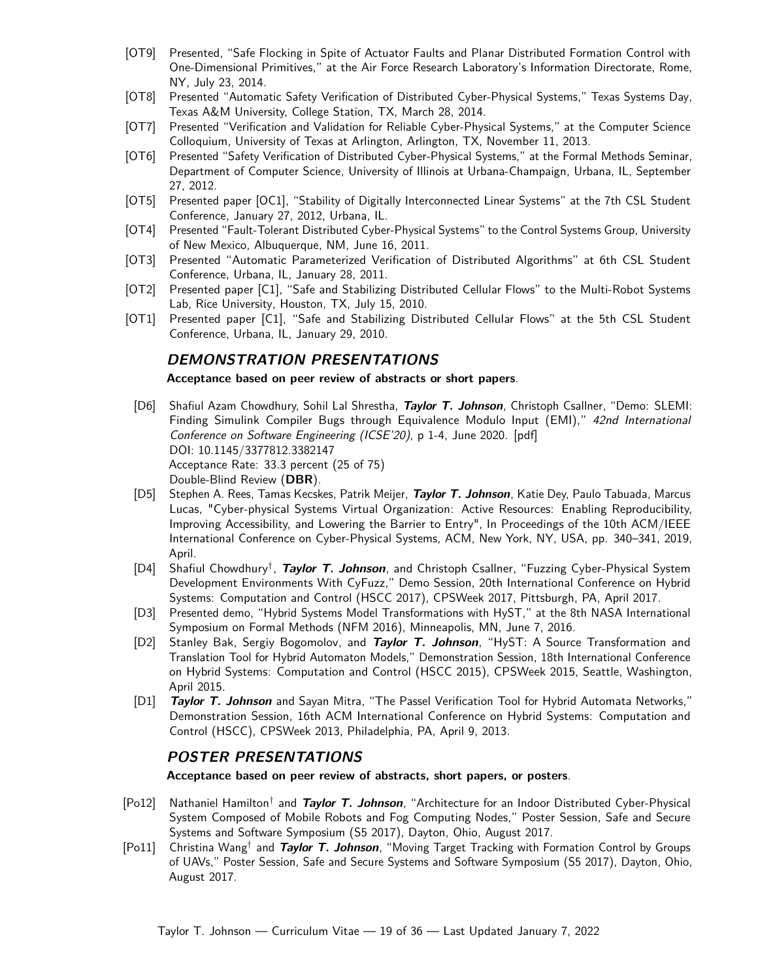- [OT9] Presented, "Safe Flocking in Spite of Actuator Faults and Planar Distributed Formation Control with One-Dimensional Primitives," at the [Air Force Research Laboratory's Information Directorate,](http://www.wpafb.af.mil/afrl/ri/) Rome, NY, July 23, 2014.
- [OT8] Presented "Automatic Safety Verification of Distributed Cyber-Physical Systems," [Texas Systems Day,](http://scr.tamu.edu/?page_id=385) Texas A&M University, College Station, TX, March 28, 2014.
- [OT7] Presented "Verification and Validation for Reliable Cyber-Physical Systems," at the [Computer Science](http://cse.uta.edu/news/seminars/InvitedTalks.asp) [Colloquium,](http://cse.uta.edu/news/seminars/InvitedTalks.asp) University of Texas at Arlington, Arlington, TX, November 11, 2013.
- [OT6] Presented "Safety Verification of Distributed Cyber-Physical Systems," at the [Formal Methods Seminar,](https://wiki.engr.illinois.edu/display/fmseminar/Formal+Methods+Seminar) Department of Computer Science, University of Illinois at Urbana-Champaign, Urbana, IL, September 27, 2012.
- [OT5] Presented paper [\[OC1\]](#page-10-3), "Stability of Digitally Interconnected Linear Systems" at the [7th CSL Student](http://www.csl.illinois.edu/csl-student-conference-2012/schedule/quotstability-digitally-interconnected-linear-systemsquot) [Conference,](http://www.csl.illinois.edu/csl-student-conference-2012/schedule/quotstability-digitally-interconnected-linear-systemsquot) January 27, 2012, Urbana, IL.
- [OT4] Presented "Fault-Tolerant Distributed Cyber-Physical Systems" to the [Control Systems Group,](http://controls.ece.unm.edu) [University](http://www.unm.edu) [of New Mexico,](http://www.unm.edu) Albuquerque, NM, June 16, 2011.
- [OT3] Presented "Automatic Parameterized Verification of Distributed Algorithms" at [6th CSL Student](http://www.csl.uiuc.edu/csl-student-conference/schedule/session-4a-systems-and-hardware-design-1) [Conference,](http://www.csl.uiuc.edu/csl-student-conference/schedule/session-4a-systems-and-hardware-design-1) Urbana, IL, January 28, 2011.
- [OT2] Presented paper [\[C1\]](#page-9-0), "Safe and Stabilizing Distributed Cellular Flows" to the [Multi-Robot Systems](http://mrsl.rice.edu/) [Lab,](http://mrsl.rice.edu/) [Rice University,](http://www.rice.edu) Houston, TX, July 15, 2010.
- <span id="page-18-0"></span>[OT1] Presented paper [\[C1\]](#page-9-0), "Safe and Stabilizing Distributed Cellular Flows" at the [5th CSL Student](http://www.ifp.illinois.edu/studconf/previous/CSL-10/students/johnson.html) [Conference,](http://www.ifp.illinois.edu/studconf/previous/CSL-10/students/johnson.html) Urbana, IL, January 29, 2010.

### **DEMONSTRATION PRESENTATIONS**

<span id="page-18-1"></span>**Acceptance based on peer review of abstracts or short papers**.

- [D6] Shafiul Azam Chowdhury, Sohil Lal Shrestha, **Taylor T. Johnson**, Christoph Csallner, "Demo: SLEMI: Finding Simulink Compiler Bugs through Equivalence Modulo Input (EMI)," 42nd International Conference on Software Engineering (ICSE'20), p 1-4, June 2020. [\[pdf\]](http://taylortjohnson.com/research/chowdhury2020icse_demo.pdf) DOI: [10.1145/3377812.3382147](https://doi.org/10.1145/3377812.3382147) Acceptance Rate: 33.3 percent (25 of 75) Double-Blind Review (**DBR**).
- [D5] Stephen A. Rees, Tamas Kecskes, Patrik Meijer, **Taylor T. Johnson**, Katie Dey, Paulo Tabuada, Marcus Lucas, "Cyber-physical Systems Virtual Organization: Active Resources: Enabling Reproducibility, Improving Accessibility, and Lowering the Barrier to Entry", In Proceedings of the 10th ACM/IEEE International Conference on Cyber-Physical Systems, ACM, New York, NY, USA, pp. 340–341, 2019, April.
- [D4] Shafiul Chowdhury† , **Taylor T. Johnson**, and Christoph Csallner, "Fuzzing Cyber-Physical System Development Environments With CyFuzz," Demo Session, 20th International Conference on Hybrid Systems: Computation and Control (HSCC 2017), CPSWeek 2017, Pittsburgh, PA, April 2017.
- [D3] Presented demo, "Hybrid Systems Model Transformations with HyST," at the 8th NASA International Symposium on Formal Methods [\(NFM 2016\)](http://crisys.cs.umn.edu/nfm2016/), Minneapolis, MN, June 7, 2016.
- [D2] Stanley Bak, Sergiy Bogomolov, and **Taylor T. Johnson**, "HyST: A Source Transformation and Translation Tool for Hybrid Automaton Models," Demonstration Session, 18th International Conference on Hybrid Systems: Computation and Control (HSCC 2015), CPSWeek 2015, Seattle, Washington, April 2015.
- [D1] **Taylor T. Johnson** and Sayan Mitra, "The Passel Verification Tool for Hybrid Automata Networks," Demonstration Session, [16th ACM International Conference on Hybrid Systems: Computation and](http://hscc2013.hscc-conference.org/) [Control \(HSCC\),](http://hscc2013.hscc-conference.org/) CPSWeek 2013, Philadelphia, PA, April 9, 2013.

### **POSTER PRESENTATIONS**

**Acceptance based on peer review of abstracts, short papers, or posters**.

- <span id="page-18-2"></span>[Po12] Nathaniel Hamilton† and **Taylor T. Johnson**, "Architecture for an Indoor Distributed Cyber-Physical System Composed of Mobile Robots and Fog Computing Nodes," Poster Session, Safe and Secure Systems and Software Symposium (S5 2017), Dayton, Ohio, August 2017.
- [Po11] Christina Wang† and **Taylor T. Johnson**, "Moving Target Tracking with Formation Control by Groups of UAVs," Poster Session, Safe and Secure Systems and Software Symposium (S5 2017), Dayton, Ohio, August 2017.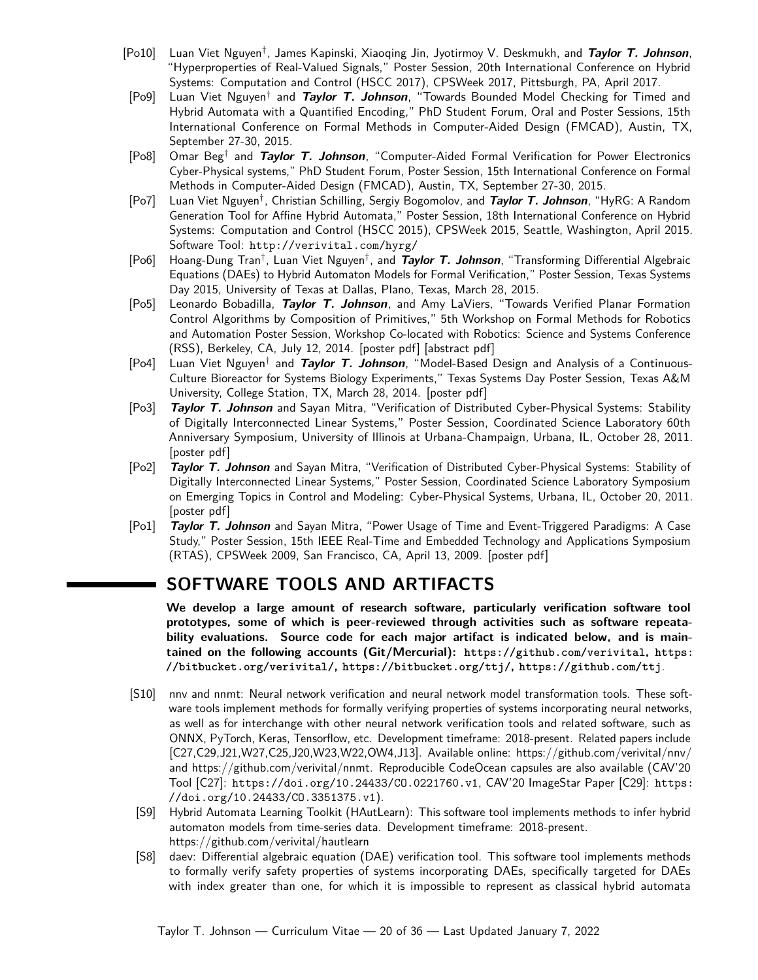- [Po10] Luan Viet Nguyen† , James Kapinski, Xiaoqing Jin, Jyotirmoy V. Deskmukh, and **Taylor T. Johnson**, "Hyperproperties of Real-Valued Signals," Poster Session, 20th International Conference on Hybrid Systems: Computation and Control (HSCC 2017), CPSWeek 2017, Pittsburgh, PA, April 2017.
- [Po9] Luan Viet Nguyen† and **Taylor T. Johnson**, "Towards Bounded Model Checking for Timed and Hybrid Automata with a Quantified Encoding," PhD Student Forum, Oral and Poster Sessions, 15th International Conference on Formal Methods in Computer-Aided Design (FMCAD), Austin, TX, September 27-30, 2015.
- [Po8] Omar Beg† and **Taylor T. Johnson**, "Computer-Aided Formal Verification for Power Electronics Cyber-Physical systems," PhD Student Forum, Poster Session, 15th International Conference on Formal Methods in Computer-Aided Design (FMCAD), Austin, TX, September 27-30, 2015.
- [Po7] Luan Viet Nguyen† , Christian Schilling, Sergiy Bogomolov, and **Taylor T. Johnson**, "HyRG: A Random Generation Tool for Affine Hybrid Automata," Poster Session, 18th International Conference on Hybrid Systems: Computation and Control (HSCC 2015), CPSWeek 2015, Seattle, Washington, April 2015. Software Tool: <http://verivital.com/hyrg/>
- [Po6] Hoang-Dung Tran† , Luan Viet Nguyen† , and **Taylor T. Johnson**, "Transforming Differential Algebraic Equations (DAEs) to Hybrid Automaton Models for Formal Verification," Poster Session, Texas Systems Day 2015, University of Texas at Dallas, Plano, Texas, March 28, 2015.
- [Po5] Leonardo Bobadilla, **Taylor T. Johnson**, and Amy LaViers, "Towards Verified Planar Formation Control Algorithms by Composition of Primitives," 5th Workshop on Formal Methods for Robotics and Automation Poster Session, Workshop Co-located with Robotics: Science and Systems Conference (RSS), Berkeley, CA, July 12, 2014. [\[poster pdf\]](http://www.taylortjohnson.com/research/bobadilla2014rss_fmra_poster.pdf) [\[abstract pdf\]](http://www.taylortjohnson.com/research/bobadilla2014rss_fmra.pdf)
- [Po4] Luan Viet Nguyen† and **Taylor T. Johnson**, "Model-Based Design and Analysis of a Continuous-Culture Bioreactor for Systems Biology Experiments," Texas Systems Day Poster Session, Texas A&M University, College Station, TX, March 28, 2014. [\[poster pdf\]](http://www.taylortjohnson.com/research/nguyen2014tsd_poster.pdf)
- [Po3] **Taylor T. Johnson** and Sayan Mitra, "Verification of Distributed Cyber-Physical Systems: Stability of Digitally Interconnected Linear Systems," Poster Session, [Coordinated Science Laboratory 60th](http://www.csl.illinois.edu/events/60th-anniversary/60th-anniversary-symposium) [Anniversary Symposium,](http://www.csl.illinois.edu/events/60th-anniversary/60th-anniversary-symposium) University of Illinois at Urbana-Champaign, Urbana, IL, October 28, 2011. [\[poster pdf\]](http://www.taylortjohnson.com/research/johnson2011cdc_poster.pdf)
- [Po2] **Taylor T. Johnson** and Sayan Mitra, "Verification of Distributed Cyber-Physical Systems: Stability of Digitally Interconnected Linear Systems," Poster Session, [Coordinated Science Laboratory Symposium](http://www.csl.illinois.edu/emerging-topics) [on Emerging Topics in Control and Modeling: Cyber-Physical Systems,](http://www.csl.illinois.edu/emerging-topics) Urbana, IL, October 20, 2011. [\[poster pdf\]](http://www.taylortjohnson.com/research/johnson2011cdc_poster.pdf)
- <span id="page-19-0"></span>[Po1] **Taylor T. Johnson** and Sayan Mitra, "Power Usage of Time and Event-Triggered Paradigms: A Case Study," [Poster Session,](http://www.rtas.org/rtas2009/09-demo-list.htm) [15th IEEE Real-Time and Embedded Technology and Applications Symposium](http://www.rtas.org/rtas2009/) [\(RTAS\),](http://www.rtas.org/rtas2009/) CPSWeek 2009, San Francisco, CA, April 13, 2009. [\[poster pdf\]](http://www.taylortjohnson.com/research/rtas2009.pdf)

# **SOFTWARE TOOLS AND ARTIFACTS**

**We develop a large amount of research software, particularly verification software tool prototypes, some of which is peer-reviewed through activities such as software repeatability evaluations. Source code for each major artifact is indicated below, and is maintained on the following accounts (Git/Mercurial): <https://github.com/verivital>, [https:](https://bitbucket.org/verivital/) [//bitbucket.org/verivital/](https://bitbucket.org/verivital/), <https://bitbucket.org/ttj/>, <https://github.com/ttj>**.

- [S10] [nnv](https://github.com/verivital/nnv) and [nnmt:](https://github.com/verivital/nnmt) Neural network verification and neural network model transformation tools. These software tools implement methods for formally verifying properties of systems incorporating neural networks, as well as for interchange with other neural network verification tools and related software, such as ONNX, PyTorch, Keras, Tensorflow, etc. Development timeframe: 2018-present. Related papers include [\[C27,](#page-6-1)[C29,](#page-6-2)[J21,](#page-4-0)[W27,](#page-11-5)[C25,](#page-6-0)[J20](#page-4-1)[,W23](#page-11-2)[,W22,](#page-11-6)[OW4,](#page-13-0)[J13\]](#page-4-2). Available online:<https://github.com/verivital/nnv/> and [https://github.com/verivital/nnmt.](https://github.com/verivital/nnmt) Reproducible CodeOcean capsules are also available (CAV'20 Tool [\[C27\]](#page-6-1): <https://doi.org/10.24433/CO.0221760.v1>, CAV'20 ImageStar Paper [\[C29\]](#page-6-2): [https:](https://doi.org/10.24433/CO.3351375.v1) [//doi.org/10.24433/CO.3351375.v1](https://doi.org/10.24433/CO.3351375.v1)).
- [S9] [Hybrid Automata Learning Toolkit \(HAutLearn\):](https://github.com/verivital/hautlearn) This software tool implements methods to infer hybrid automaton models from time-series data. Development timeframe: 2018-present. <https://github.com/verivital/hautlearn>
- [S8] [daev:](https://github.com/verivital/daev) Differential algebraic equation (DAE) verification tool. This software tool implements methods to formally verify safety properties of systems incorporating DAEs, specifically targeted for DAEs with index greater than one, for which it is impossible to represent as classical hybrid automata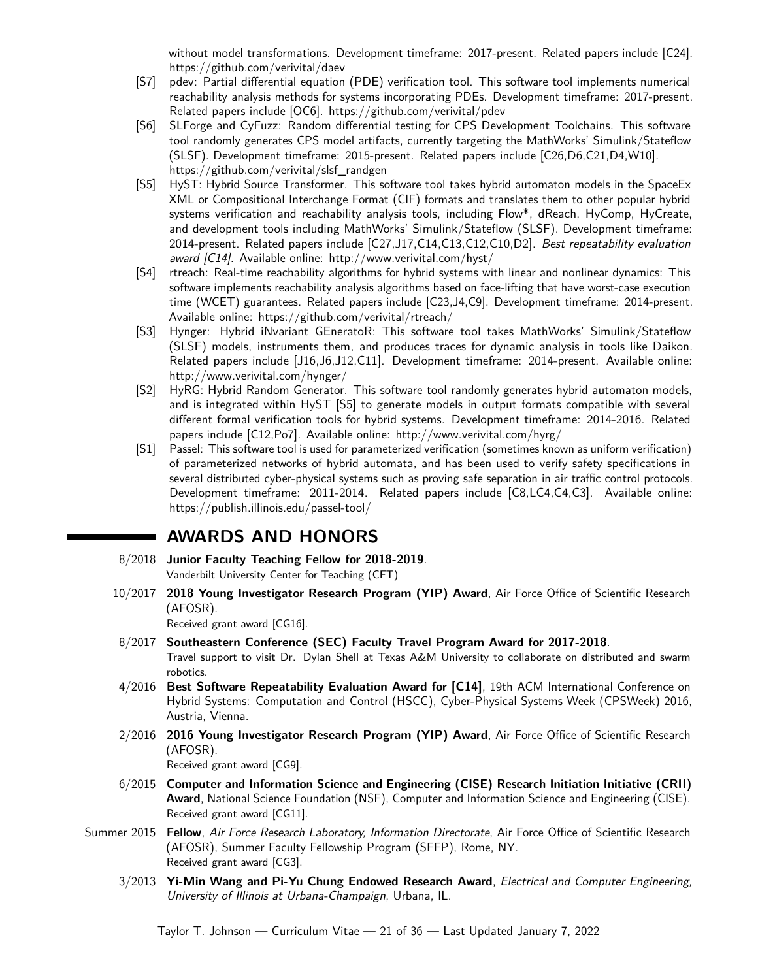without model transformations. Development timeframe: 2017-present. Related papers include [\[C24\]](#page-7-1). <https://github.com/verivital/daev>

- [S7] [pdev:](https://github.com/verivital/pdev) Partial differential equation (PDE) verification tool. This software tool implements numerical reachability analysis methods for systems incorporating PDEs. Development timeframe: 2017-present. Related papers include [\[OC6\]](#page-10-0).<https://github.com/verivital/pdev>
- [S6] [SLForge and CyFuzz:](https://github.com/verivital/slsf_randgen) Random differential testing for CPS Development Toolchains. This software tool randomly generates CPS model artifacts, currently targeting the MathWorks' Simulink/Stateflow (SLSF). Development timeframe: 2015-present. Related papers include [\[C26,](#page-6-3)[D6,](#page-18-0)[C21,](#page-7-3)[D4,](#page-18-1)[W10\]](#page-12-6). [https://github.com/verivital/slsf\\_randgen](https://github.com/verivital/slsf_randgen)
- [S5] [HyST:](http://verivital.com/hyst/) Hybrid Source Transformer. This software tool takes hybrid automaton models in the SpaceEx XML or Compositional Interchange Format (CIF) formats and translates them to other popular hybrid systems verification and reachability analysis tools, including Flow\*, dReach, HyComp, HyCreate, and development tools including MathWorks' Simulink/Stateflow (SLSF). Development timeframe: 2014-present. Related papers include [\[C27](#page-6-1)[,J17,](#page-4-3)[C14,](#page-8-7)[C13,](#page-8-3)[C12,](#page-8-8)[C10,](#page-8-1)[D2\]](#page-18-1). Best repeatability evaluation award [\[C14\]](#page-8-7). Available online:<http://www.verivital.com/hyst/>
- [S4] [rtreach:](http://verivital.com/rtreach/) Real-time reachability algorithms for hybrid systems with linear and nonlinear dynamics: This software implements reachability analysis algorithms based on face-lifting that have worst-case execution time (WCET) guarantees. Related papers include [\[C23,](#page-7-2)[J4](#page-5-0)[,C9\]](#page-8-0). Development timeframe: 2014-present. Available online:<https://github.com/verivital/rtreach/>
- [S3] [Hynger:](http://verivital.com/hynger/) Hybrid iNvariant GEneratoR: This software tool takes MathWorks' Simulink/Stateflow (SLSF) models, instruments them, and produces traces for dynamic analysis in tools like Daikon. Related papers include [\[J16,](#page-4-4)[J6,](#page-5-1)[J12,](#page-5-2)[C11\]](#page-8-2). Development timeframe: 2014-present. Available online: <http://www.verivital.com/hynger/>
- [S2] [HyRG:](http://verivital.com/hyrg/) Hybrid Random Generator. This software tool randomly generates hybrid automaton models, and is integrated within HyST [\[S5\]](#page-19-0) to generate models in output formats compatible with several different formal verification tools for hybrid systems. Development timeframe: 2014-2016. Related papers include [\[C12,](#page-8-8)[Po7\]](#page-18-2). Available online:<http://www.verivital.com/hyrg/>
- [S1] [Passel:](https://publish.illinois.edu/passel-tool/) This software tool is used for parameterized verification (sometimes known as uniform verification) of parameterized networks of hybrid automata, and has been used to verify safety specifications in several distributed cyber-physical systems such as proving safe separation in air traffic control protocols. Development timeframe: 2011-2014. Related papers include [\[C8,](#page-8-6)[LC4,](#page-11-7)[C4,](#page-9-2)[C3\]](#page-9-3). Available online: <https://publish.illinois.edu/passel-tool/>

# **AWARDS AND HONORS**

- 8/2018 **[Junior Faculty Teaching Fellow for 2018-2019](https://cft.vanderbilt.edu/programs/jftf/)**. Vanderbilt University Center for Teaching (CFT)
- 10/2017 **[2018 Young Investigator Research Program \(YIP\) Award](http://www.wpafb.af.mil/News/Article-Display/Article/1339310/afosr-awards-grants-to-43-scientists-and-engineers-through-its-young-investigat/)**, Air Force Office of Scientific Research (AFOSR).

Received grant award [\[CG16\]](#page-26-0).

- 8/2017 **[Southeastern Conference \(SEC\) Faculty Travel Program Award for 2017-2018](https://www.thesecu.com/programs/sec-faculty-travel-program/)**.
	- Travel support to visit Dr. Dylan Shell at Texas A&M University to collaborate on distributed and swarm robotics.
- 4/2016 **[Best Software Repeatability Evaluation Award for \[C14\]](http://www.cs.ox.ac.uk/conferences/hscc2016/re.html)**, 19th ACM International Conference on Hybrid Systems: Computation and Control (HSCC), Cyber-Physical Systems Week (CPSWeek) 2016, Austria, Vienna.
- 2/2016 **[2016 Young Investigator Research Program \(YIP\) Award](http://www.wpafb.af.mil/library/factsheets/factsheet.asp?id=9332)**, Air Force Office of Scientific Research (AFOSR).

Received grant award [\[CG9\]](#page-27-0).

- 6/2015 **[Computer and Information Science and Engineering \(CISE\) Research Initiation Initiative \(CRII\)](http://nsf.gov/pubs/2014/nsf14562/nsf14562.htm) [Award](http://nsf.gov/pubs/2014/nsf14562/nsf14562.htm)**, National Science Foundation (NSF), Computer and Information Science and Engineering (CISE). Received grant award [\[CG11\]](#page-27-1).
- Summer 2015 **Fellow**, Air Force Research Laboratory, Information Directorate, [Air Force Office of Scientific Research](http://afsffp.sysplus.com/) [\(AFOSR\), Summer Faculty Fellowship Program \(SFFP\),](http://afsffp.sysplus.com/) Rome, NY. Received grant award [\[CG3\]](#page-27-2).
	- 3/2013 **[Yi-Min Wang and Pi-Yu Chung Endowed Research Award](https://www.ece.illinois.edu/academics/grad/awards/wang_chung.asp)**, Electrical and Computer Engineering, University of Illinois at Urbana-Champaign, Urbana, IL.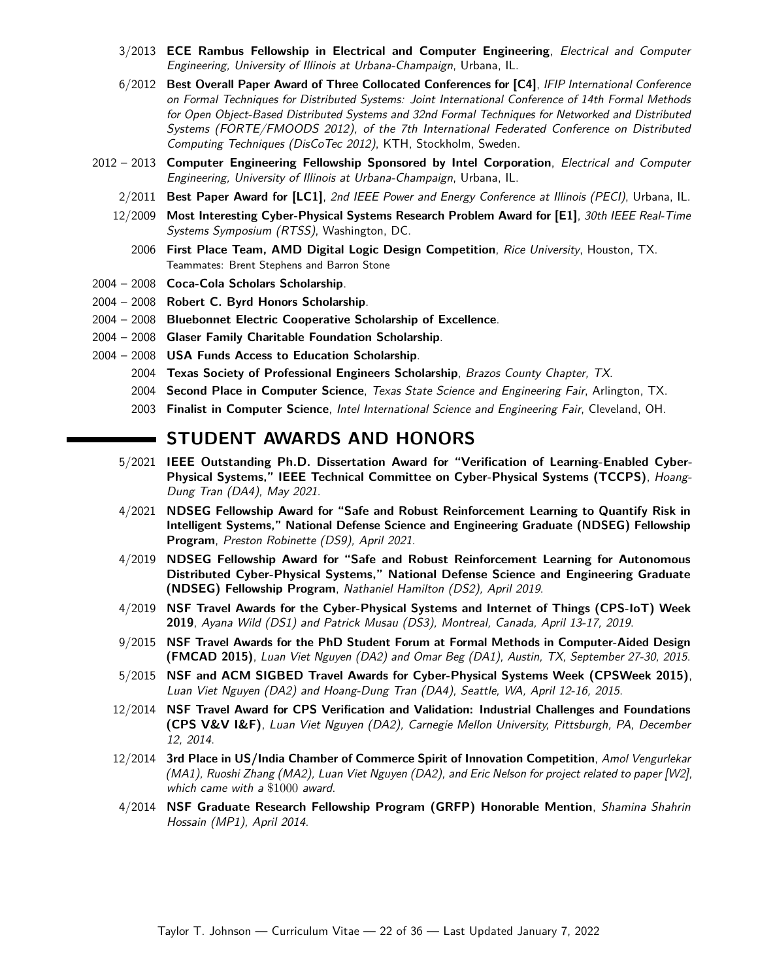- 3/2013 **[ECE Rambus Fellowship in Electrical and Computer Engineering](https://www.ece.illinois.edu/academics/grad/fellowships/rambus.asp)**, Electrical and Computer Engineering, University of Illinois at Urbana-Champaign, Urbana, IL.
- 6/2012 **Best Overall Paper Award of Three Collocated Conferences for [\[C4\]](#page-9-2)**, IFIP International Conference on Formal Techniques for Distributed Systems: Joint International Conference of 14th Formal Methods for Open Object-Based Distributed Systems and 32nd Formal Techniques for Networked and Distributed Systems (FORTE/FMOODS 2012), of the 7th International Federated Conference on Distributed Computing Techniques (DisCoTec 2012), KTH, Stockholm, Sweden.
- 2012 2013 **Computer Engineering Fellowship Sponsored by Intel Corporation**, Electrical and Computer Engineering, University of Illinois at Urbana-Champaign, Urbana, IL.
	- 2/2011 **Best Paper Award for [\[LC1\]](#page-11-0)**, 2nd IEEE Power and Energy Conference at Illinois (PECI), Urbana, IL.
	- 12/2009 **Most Interesting Cyber-Physical Systems Research Problem Award for [\[E1\]](#page-13-4)**, 30th IEEE Real-Time Systems Symposium (RTSS), Washington, DC.
		- 2006 **First Place Team, AMD Digital Logic Design Competition**, Rice University, Houston, TX. Teammates: Brent Stephens and Barron Stone
- 2004 2008 **[Coca-Cola Scholars Scholarship](http://www.coca-colascholarsfoundation.org/)**.
- 2004 2008 **[Robert C. Byrd Honors Scholarship](http://www2.ed.gov/programs/iduesbyrd/index.html)**.
- 2004 2008 **[Bluebonnet Electric Cooperative Scholarship of Excellence](https://www.bluebonnetelectric.coop/Community/Scholarships)**.
- 2004 2008 **Glaser Family Charitable Foundation Scholarship**.
- 2004 2008 **USA Funds Access to Education Scholarship**.
	- 2004 **Texas Society of Professional Engineers Scholarship**, Brazos County Chapter, TX.
	- 2004 **Second Place in Computer Science**, Texas State Science and Engineering Fair, Arlington, TX.
	- 2003 **Finalist in Computer Science**, Intel International Science and Engineering Fair, Cleveland, OH.

## **STUDENT AWARDS AND HONORS**

- 5/2021 **IEEE Outstanding Ph.D. Dissertation Award for "Verification of Learning-Enabled Cyber-Physical Systems," [IEEE Technical Committee on Cyber-Physical Systems \(TCCPS\)](http://www.cse.cuhk.edu.hk/~byu/TC-CCPS/award.html)**, Hoang-Dung Tran [\(DA4\)](#page-22-0), May 2021.
- 4/2021 **NDSEG Fellowship Award for "Safe and Robust Reinforcement Learning to Quantify Risk in Intelligent Systems," [National Defense Science and Engineering Graduate \(NDSEG\) Fellowship](http://ndseg.sysplus.com/) [Program](http://ndseg.sysplus.com/)**, Preston Robinette [\(DS9\)](#page-22-1), April 2021.
- 4/2019 **NDSEG Fellowship Award for "Safe and Robust Reinforcement Learning for Autonomous Distributed Cyber-Physical Systems," [National Defense Science and Engineering Graduate](https://www.ndsegfellowships.org/) [\(NDSEG\) Fellowship Program](https://www.ndsegfellowships.org/)**, Nathaniel Hamilton [\(DS2\)](#page-22-1), April 2019.
- 4/2019 **NSF Travel Awards for the [Cyber-Physical Systems and Internet of Things \(CPS-IoT\) Week](http://www.cs.utexas.edu/users/hunt/FMCAD/FMCAD15/index.shtml) [2019](http://www.cs.utexas.edu/users/hunt/FMCAD/FMCAD15/index.shtml)**, Ayana Wild [\(DS1\)](#page-22-1) and Patrick Musau [\(DS3\)](#page-22-1), Montreal, Canada, April 13-17, 2019.
- 9/2015 **NSF Travel Awards for the PhD Student Forum at [Formal Methods in Computer-Aided Design](http://www.cs.utexas.edu/users/hunt/FMCAD/FMCAD15/index.shtml) [\(FMCAD 2015\)](http://www.cs.utexas.edu/users/hunt/FMCAD/FMCAD15/index.shtml)**, Luan Viet Nguyen [\(DA2\)](#page-22-0) and Omar Beg [\(DA1\)](#page-22-0), Austin, TX, September 27-30, 2015.
- 5/2015 **NSF and ACM SIGBED Travel Awards for [Cyber-Physical Systems Week \(CPSWeek 2015\)](http://www.cpsweek.org/2015/)**, Luan Viet Nguyen [\(DA2\)](#page-22-0) and Hoang-Dung Tran [\(DA4\)](#page-22-0), Seattle, WA, April 12-16, 2015.
- 12/2014 **NSF Travel Award for [CPS Verification and Validation: Industrial Challenges and Foundations](http://www.ls.cs.cmu.edu/CPSVVIF) [\(CPS V&V I&F\)](http://www.ls.cs.cmu.edu/CPSVVIF)**, Luan Viet Nguyen [\(DA2\)](#page-22-0), Carnegie Mellon University, Pittsburgh, PA, December 12, 2014.
- 12/2014 **3rd Place in US/India Chamber of Commerce Spirit of Innovation Competition**, Amol Vengurlekar [\(MA1\)](#page-23-0), Ruoshi Zhang [\(MA2\)](#page-23-0), Luan Viet Nguyen [\(DA2\)](#page-22-0), and Eric Nelson for project related to paper [\[W2\]](#page-13-2), which came with a \$1000 award.
- 4/2014 **NSF Graduate Research Fellowship Program [\(GRFP\)](https://www.nsfgrfp.org/) Honorable Mention**, Shamina Shahrin Hossain [\(MP1\)](#page-23-1), April 2014.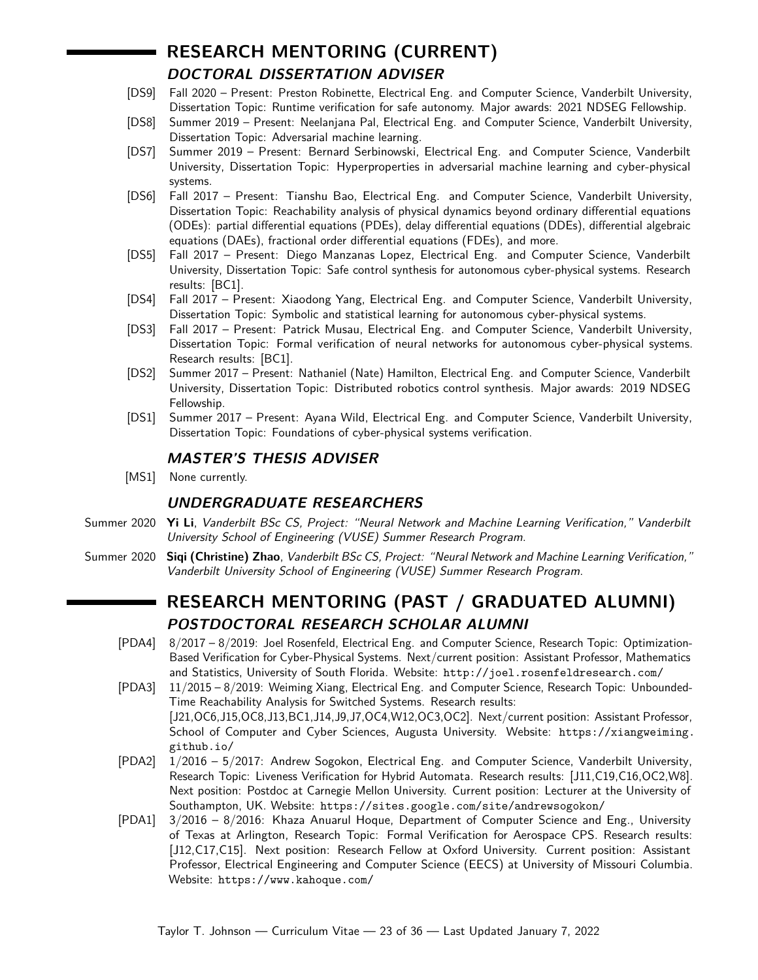# **RESEARCH MENTORING (CURRENT)**

## **DOCTORAL DISSERTATION ADVISER**

- <span id="page-22-1"></span>[DS9] Fall 2020 – Present: Preston Robinette, Electrical Eng. and Computer Science, Vanderbilt University, Dissertation Topic: Runtime verification for safe autonomy. Major awards: 2021 NDSEG Fellowship.
- [DS8] Summer 2019 Present: Neelanjana Pal, Electrical Eng. and Computer Science, Vanderbilt University, Dissertation Topic: Adversarial machine learning.
- [DS7] Summer 2019 Present: Bernard Serbinowski, Electrical Eng. and Computer Science, Vanderbilt University, Dissertation Topic: Hyperproperties in adversarial machine learning and cyber-physical systems.
- [DS6] Fall 2017 Present: Tianshu Bao, Electrical Eng. and Computer Science, Vanderbilt University, Dissertation Topic: Reachability analysis of physical dynamics beyond ordinary differential equations (ODEs): partial differential equations (PDEs), delay differential equations (DDEs), differential algebraic equations (DAEs), fractional order differential equations (FDEs), and more.
- [DS5] Fall 2017 Present: Diego Manzanas Lopez, Electrical Eng. and Computer Science, Vanderbilt University, Dissertation Topic: Safe control synthesis for autonomous cyber-physical systems. Research results: [\[BC1\]](#page-9-4).
- [DS4] Fall 2017 Present: Xiaodong Yang, Electrical Eng. and Computer Science, Vanderbilt University, Dissertation Topic: Symbolic and statistical learning for autonomous cyber-physical systems.
- [DS3] Fall 2017 Present: Patrick Musau, Electrical Eng. and Computer Science, Vanderbilt University, Dissertation Topic: Formal verification of neural networks for autonomous cyber-physical systems. Research results: [\[BC1\]](#page-9-4).
- [DS2] Summer 2017 Present: Nathaniel (Nate) Hamilton, Electrical Eng. and Computer Science, Vanderbilt University, Dissertation Topic: Distributed robotics control synthesis. Major awards: 2019 NDSEG Fellowship.
- [DS1] Summer 2017 Present: Ayana Wild, Electrical Eng. and Computer Science, Vanderbilt University, Dissertation Topic: Foundations of cyber-physical systems verification.

## **MASTER'S THESIS ADVISER**

[MS1] None currently.

# **UNDERGRADUATE RESEARCHERS**

- Summer 2020 **Yi Li**, Vanderbilt BSc CS, Project: "Neural Network and Machine Learning Verification," Vanderbilt University School of Engineering (VUSE) Summer Research Program.
- Summer 2020 **Siqi (Christine) Zhao**, Vanderbilt BSc CS, Project: "Neural Network and Machine Learning Verification," Vanderbilt University School of Engineering (VUSE) Summer Research Program.

# **RESEARCH MENTORING (PAST / GRADUATED ALUMNI) POSTDOCTORAL RESEARCH SCHOLAR ALUMNI**

- [PDA4] 8/2017 8/2019: Joel Rosenfeld, Electrical Eng. and Computer Science, Research Topic: Optimization-Based Verification for Cyber-Physical Systems. Next/current position: Assistant Professor, Mathematics and Statistics, University of South Florida. Website: <http://joel.rosenfeldresearch.com/>
- [PDA3] 11/2015 8/2019: Weiming Xiang, Electrical Eng. and Computer Science, Research Topic: Unbounded-Time Reachability Analysis for Switched Systems. Research results: [\[J21,](#page-4-0)[OC6,](#page-10-0)[J15,](#page-4-5)[OC8,](#page-9-5)[J13,](#page-4-2)[BC1,](#page-9-4)[J14,](#page-4-6)[J9,](#page-5-3)[J7,](#page-5-4)[OC4,](#page-10-4)[W12,](#page-12-7)[OC3,](#page-10-5)[OC2\]](#page-10-6). Next/current position: Assistant Professor, School of Computer and Cyber Sciences, Augusta University. Website: [https://xiangweiming.](https://xiangweiming.github.io/) [github.io/](https://xiangweiming.github.io/)
- [PDA2] 1/2016 5/2017: Andrew Sogokon, Electrical Eng. and Computer Science, Vanderbilt University, Research Topic: Liveness Verification for Hybrid Automata. Research results: [\[J11,](#page-5-5)[C19,](#page-7-0)[C16,](#page-7-4)[OC2,](#page-10-6)[W8\]](#page-12-8). Next position: Postdoc at Carnegie Mellon University. Current position: Lecturer at the University of Southampton, UK. Website: <https://sites.google.com/site/andrewsogokon/>
- <span id="page-22-0"></span>[PDA1] 3/2016 – 8/2016: Khaza Anuarul Hoque, Department of Computer Science and Eng., University of Texas at Arlington, Research Topic: Formal Verification for Aerospace CPS. Research results: [\[J12,](#page-5-2)[C17](#page-7-5)[,C15\]](#page-8-5). Next position: Research Fellow at Oxford University. Current position: Assistant Professor, Electrical Engineering and Computer Science (EECS) at University of Missouri Columbia. Website: <https://www.kahoque.com/>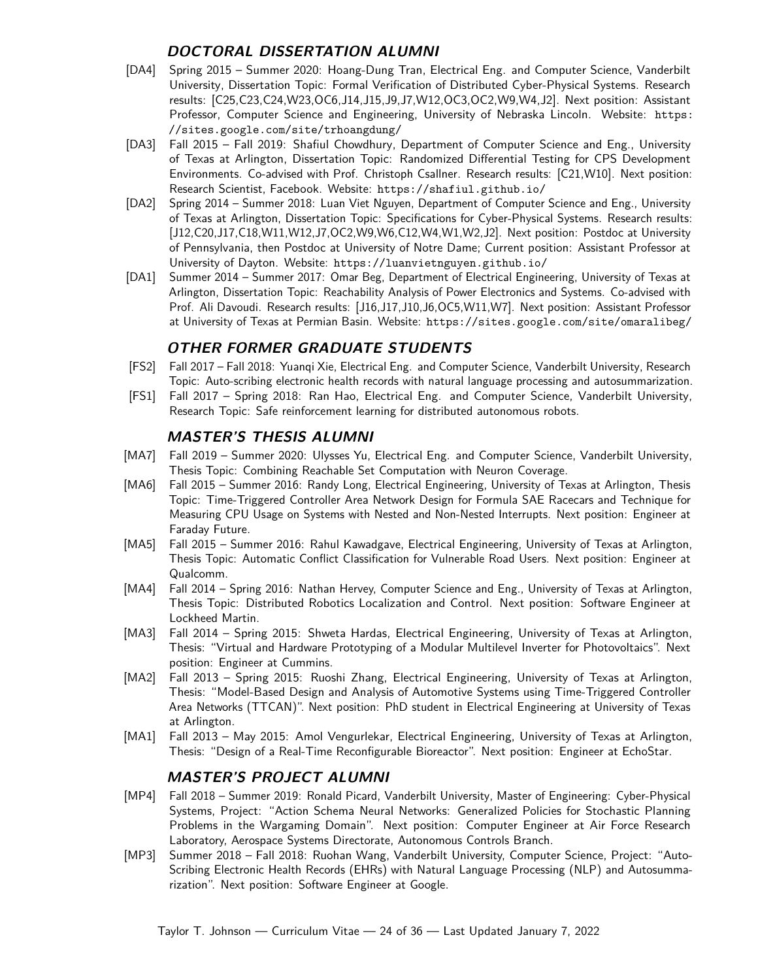### **DOCTORAL DISSERTATION ALUMNI**

- [DA4] Spring 2015 Summer 2020: Hoang-Dung Tran, Electrical Eng. and Computer Science, Vanderbilt University, Dissertation Topic: Formal Verification of Distributed Cyber-Physical Systems. Research results: [\[C25](#page-6-0)[,C23,](#page-7-2)[C24,](#page-7-1)[W23](#page-11-2)[,OC6,](#page-10-0)[J14,](#page-4-6)[J15,](#page-4-5)[J9,](#page-5-3)[J7](#page-5-4)[,W12,](#page-12-7)[OC3](#page-10-5)[,OC2,](#page-10-6)[W9,](#page-12-4)[W4,](#page-12-9)[J2\]](#page-5-6). Next position: Assistant Professor, Computer Science and Engineering, University of Nebraska Lincoln. Website: [https:](https://sites.google.com/site/trhoangdung/) [//sites.google.com/site/trhoangdung/](https://sites.google.com/site/trhoangdung/)
- [DA3] Fall 2015 Fall 2019: Shafiul Chowdhury, Department of Computer Science and Eng., University of Texas at Arlington, Dissertation Topic: Randomized Differential Testing for CPS Development Environments. Co-advised with Prof. Christoph Csallner. Research results: [\[C21,](#page-7-3)[W10\]](#page-12-6). Next position: Research Scientist, Facebook. Website: <https://shafiul.github.io/>
- [DA2] Spring 2014 Summer 2018: Luan Viet Nguyen, Department of Computer Science and Eng., University of Texas at Arlington, Dissertation Topic: Specifications for Cyber-Physical Systems. Research results: [\[J12,](#page-5-2)[C20](#page-7-6)[,J17,](#page-4-3)[C18,](#page-7-7)[W11,](#page-12-10)[W12,](#page-12-7)[J7,](#page-5-4)[OC2,](#page-10-6)[W9,](#page-12-4)[W6,](#page-12-5)[C12](#page-8-8)[,W4,](#page-12-9)[W1,](#page-13-3)[W2,](#page-13-2)[J2\]](#page-5-6). Next position: Postdoc at University of Pennsylvania, then Postdoc at University of Notre Dame; Current position: Assistant Professor at University of Dayton. Website: <https://luanvietnguyen.github.io/>
- [DA1] Summer 2014 Summer 2017: Omar Beg, Department of Electrical Engineering, University of Texas at Arlington, Dissertation Topic: Reachability Analysis of Power Electronics and Systems. Co-advised with Prof. Ali Davoudi. Research results: [\[J16,](#page-4-4)[J17,](#page-4-3)[J10,](#page-5-7)[J6,](#page-5-1)[OC5,](#page-10-7)[W11,](#page-12-10)[W7\]](#page-12-3). Next position: Assistant Professor at University of Texas at Permian Basin. Website: <https://sites.google.com/site/omaralibeg/>

## **OTHER FORMER GRADUATE STUDENTS**

- [FS2] Fall 2017 Fall 2018: Yuanqi Xie, Electrical Eng. and Computer Science, Vanderbilt University, Research Topic: Auto-scribing electronic health records with natural language processing and autosummarization.
- [FS1] Fall 2017 Spring 2018: Ran Hao, Electrical Eng. and Computer Science, Vanderbilt University, Research Topic: Safe reinforcement learning for distributed autonomous robots.

### **MASTER'S THESIS ALUMNI**

- <span id="page-23-0"></span>[MA7] Fall 2019 – Summer 2020: Ulysses Yu, Electrical Eng. and Computer Science, Vanderbilt University, Thesis Topic: Combining Reachable Set Computation with Neuron Coverage.
- [MA6] Fall 2015 Summer 2016: Randy Long, Electrical Engineering, University of Texas at Arlington, Thesis Topic: Time-Triggered Controller Area Network Design for Formula SAE Racecars and Technique for Measuring CPU Usage on Systems with Nested and Non-Nested Interrupts. Next position: Engineer at Faraday Future.
- [MA5] Fall 2015 Summer 2016: Rahul Kawadgave, Electrical Engineering, University of Texas at Arlington, Thesis Topic: Automatic Conflict Classification for Vulnerable Road Users. Next position: Engineer at Qualcomm.
- [MA4] Fall 2014 Spring 2016: Nathan Hervey, Computer Science and Eng., University of Texas at Arlington, Thesis Topic: Distributed Robotics Localization and Control. Next position: Software Engineer at Lockheed Martin.
- [MA3] Fall 2014 Spring 2015: Shweta Hardas, Electrical Engineering, University of Texas at Arlington, Thesis: "Virtual and Hardware Prototyping of a Modular Multilevel Inverter for Photovoltaics". Next position: Engineer at Cummins.
- [MA2] Fall 2013 Spring 2015: Ruoshi Zhang, Electrical Engineering, University of Texas at Arlington, Thesis: "Model-Based Design and Analysis of Automotive Systems using Time-Triggered Controller Area Networks (TTCAN)". Next position: PhD student in Electrical Engineering at University of Texas at Arlington.
- [MA1] Fall 2013 May 2015: Amol Vengurlekar, Electrical Engineering, University of Texas at Arlington, Thesis: "Design of a Real-Time Reconfigurable Bioreactor". Next position: Engineer at EchoStar.

### **MASTER'S PROJECT ALUMNI**

- <span id="page-23-1"></span>[MP4] Fall 2018 – Summer 2019: Ronald Picard, Vanderbilt University, Master of Engineering: Cyber-Physical Systems, Project: "Action Schema Neural Networks: Generalized Policies for Stochastic Planning Problems in the Wargaming Domain". Next position: Computer Engineer at Air Force Research Laboratory, Aerospace Systems Directorate, Autonomous Controls Branch.
- [MP3] Summer 2018 Fall 2018: Ruohan Wang, Vanderbilt University, Computer Science, Project: "Auto-Scribing Electronic Health Records (EHRs) with Natural Language Processing (NLP) and Autosummarization". Next position: Software Engineer at Google.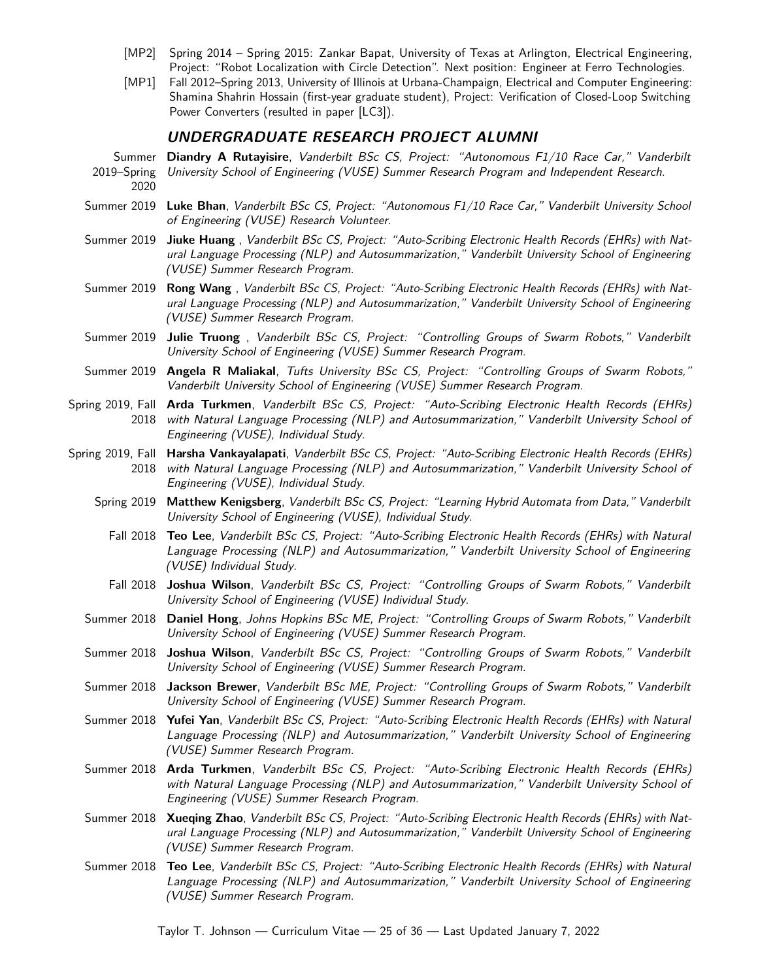- [MP2] Spring 2014 Spring 2015: Zankar Bapat, University of Texas at Arlington, Electrical Engineering, Project: "Robot Localization with Circle Detection". Next position: Engineer at Ferro Technologies.
- [MP1] Fall 2012–Spring 2013, University of Illinois at Urbana-Champaign, Electrical and Computer Engineering: Shamina Shahrin Hossain (first-year graduate student), Project: Verification of Closed-Loop Switching Power Converters (resulted in paper [\[LC3\]](#page-11-8)).

#### **UNDERGRADUATE RESEARCH PROJECT ALUMNI**

- Summer **Diandry A Rutayisire**, Vanderbilt BSc CS, Project: "Autonomous F1/10 Race Car," Vanderbilt 2019–Spring University School of Engineering (VUSE) Summer Research Program and Independent Research. 2020
- Summer 2019 **Luke Bhan**, Vanderbilt BSc CS, Project: "Autonomous F1/10 Race Car," Vanderbilt University School of Engineering (VUSE) Research Volunteer.
- Summer 2019 **Jiuke Huang** , Vanderbilt BSc CS, Project: "Auto-Scribing Electronic Health Records (EHRs) with Natural Language Processing (NLP) and Autosummarization," Vanderbilt University School of Engineering (VUSE) Summer Research Program.
- Summer 2019 **Rong Wang** , Vanderbilt BSc CS, Project: "Auto-Scribing Electronic Health Records (EHRs) with Natural Language Processing (NLP) and Autosummarization," Vanderbilt University School of Engineering (VUSE) Summer Research Program.
- Summer 2019 **Julie Truong** , Vanderbilt BSc CS, Project: "Controlling Groups of Swarm Robots," Vanderbilt University School of Engineering (VUSE) Summer Research Program.
- Summer 2019 **Angela R Maliakal**, Tufts University BSc CS, Project: "Controlling Groups of Swarm Robots," Vanderbilt University School of Engineering (VUSE) Summer Research Program.
- Spring 2019, Fall **Arda Turkmen**, Vanderbilt BSc CS, Project: "Auto-Scribing Electronic Health Records (EHRs) 2018 with Natural Language Processing (NLP) and Autosummarization," Vanderbilt University School of Engineering (VUSE), Individual Study.
- Spring 2019, Fall **Harsha Vankayalapati**, Vanderbilt BSc CS, Project: "Auto-Scribing Electronic Health Records (EHRs) 2018 with Natural Language Processing (NLP) and Autosummarization," Vanderbilt University School of Engineering (VUSE), Individual Study.
	- Spring 2019 **Matthew Kenigsberg**, Vanderbilt BSc CS, Project: "Learning Hybrid Automata from Data," Vanderbilt University School of Engineering (VUSE), Individual Study.
		- Fall 2018 **Teo Lee**, Vanderbilt BSc CS, Project: "Auto-Scribing Electronic Health Records (EHRs) with Natural Language Processing (NLP) and Autosummarization," Vanderbilt University School of Engineering (VUSE) Individual Study.
		- Fall 2018 **Joshua Wilson**, Vanderbilt BSc CS, Project: "Controlling Groups of Swarm Robots," Vanderbilt University School of Engineering (VUSE) Individual Study.
	- Summer 2018 **Daniel Hong**, Johns Hopkins BSc ME, Project: "Controlling Groups of Swarm Robots," Vanderbilt University School of Engineering (VUSE) Summer Research Program.
	- Summer 2018 **Joshua Wilson**, Vanderbilt BSc CS, Project: "Controlling Groups of Swarm Robots," Vanderbilt University School of Engineering (VUSE) Summer Research Program.
	- Summer 2018 **Jackson Brewer**, Vanderbilt BSc ME, Project: "Controlling Groups of Swarm Robots," Vanderbilt University School of Engineering (VUSE) Summer Research Program.
	- Summer 2018 **Yufei Yan**, Vanderbilt BSc CS, Project: "Auto-Scribing Electronic Health Records (EHRs) with Natural Language Processing (NLP) and Autosummarization," Vanderbilt University School of Engineering (VUSE) Summer Research Program.
	- Summer 2018 **Arda Turkmen**, Vanderbilt BSc CS, Project: "Auto-Scribing Electronic Health Records (EHRs) with Natural Language Processing (NLP) and Autosummarization," Vanderbilt University School of Engineering (VUSE) Summer Research Program.
	- Summer 2018 **Xueqing Zhao**, Vanderbilt BSc CS, Project: "Auto-Scribing Electronic Health Records (EHRs) with Natural Language Processing (NLP) and Autosummarization," Vanderbilt University School of Engineering (VUSE) Summer Research Program.
	- Summer 2018 **Teo Lee**, Vanderbilt BSc CS, Project: "Auto-Scribing Electronic Health Records (EHRs) with Natural Language Processing (NLP) and Autosummarization," Vanderbilt University School of Engineering (VUSE) Summer Research Program.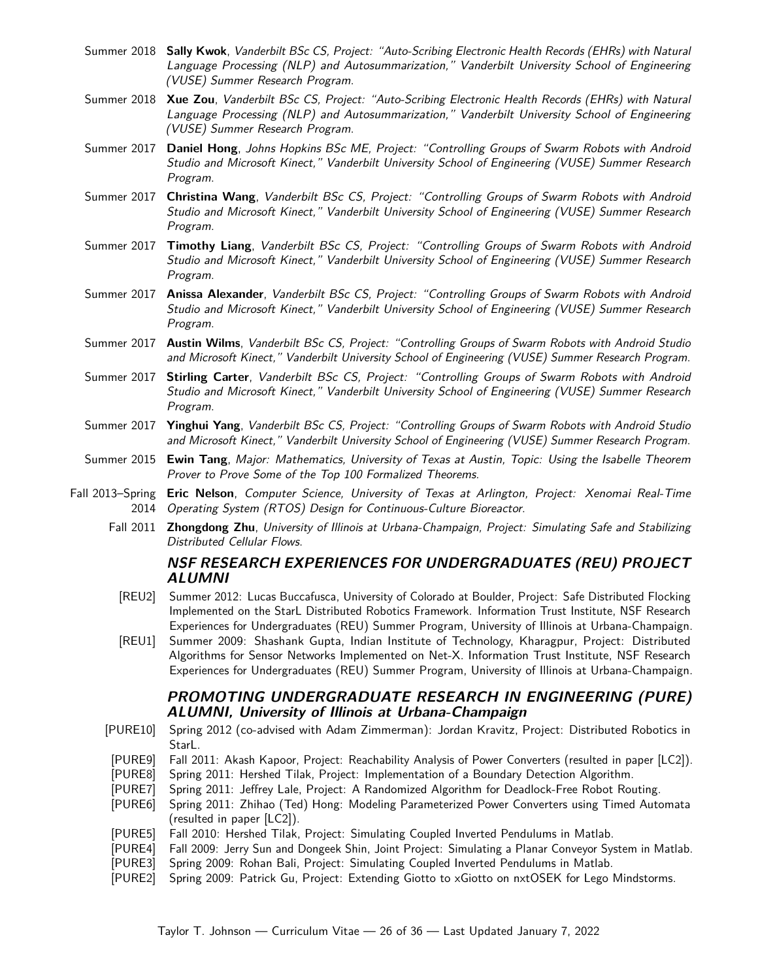- Summer 2018 **Sally Kwok**, Vanderbilt BSc CS, Project: "Auto-Scribing Electronic Health Records (EHRs) with Natural Language Processing (NLP) and Autosummarization," Vanderbilt University School of Engineering (VUSE) Summer Research Program.
- Summer 2018 **Xue Zou**, Vanderbilt BSc CS, Project: "Auto-Scribing Electronic Health Records (EHRs) with Natural Language Processing (NLP) and Autosummarization," Vanderbilt University School of Engineering (VUSE) Summer Research Program.
- Summer 2017 **Daniel Hong**, Johns Hopkins BSc ME, Project: "Controlling Groups of Swarm Robots with Android Studio and Microsoft Kinect," Vanderbilt University School of Engineering (VUSE) Summer Research Program.
- Summer 2017 **Christina Wang**, Vanderbilt BSc CS, Project: "Controlling Groups of Swarm Robots with Android Studio and Microsoft Kinect," Vanderbilt University School of Engineering (VUSE) Summer Research Program.
- Summer 2017 **Timothy Liang**, Vanderbilt BSc CS, Project: "Controlling Groups of Swarm Robots with Android Studio and Microsoft Kinect," Vanderbilt University School of Engineering (VUSE) Summer Research Program.
- Summer 2017 **Anissa Alexander**, Vanderbilt BSc CS, Project: "Controlling Groups of Swarm Robots with Android Studio and Microsoft Kinect," Vanderbilt University School of Engineering (VUSE) Summer Research Program.
- Summer 2017 **Austin Wilms**, Vanderbilt BSc CS, Project: "Controlling Groups of Swarm Robots with Android Studio and Microsoft Kinect," Vanderbilt University School of Engineering (VUSE) Summer Research Program.
- Summer 2017 **Stirling Carter**, Vanderbilt BSc CS, Project: "Controlling Groups of Swarm Robots with Android Studio and Microsoft Kinect," Vanderbilt University School of Engineering (VUSE) Summer Research Program.
- Summer 2017 **Yinghui Yang**, Vanderbilt BSc CS, Project: "Controlling Groups of Swarm Robots with Android Studio and Microsoft Kinect," Vanderbilt University School of Engineering (VUSE) Summer Research Program.
- Summer 2015 **Ewin Tang**, Major: Mathematics, University of Texas at Austin, Topic: Using the Isabelle Theorem Prover to Prove Some of the [Top 100 Formalized Theorems](http://www.cs.ru.nl/~freek/100/).
- Fall 2013–Spring **Eric Nelson**, Computer Science, University of Texas at Arlington, Project: Xenomai Real-Time 2014 Operating System (RTOS) Design for Continuous-Culture Bioreactor.
	- Fall 2011 **Zhongdong Zhu**, University of Illinois at Urbana-Champaign, Project: Simulating Safe and Stabilizing Distributed Cellular Flows.

### **NSF RESEARCH EXPERIENCES FOR UNDERGRADUATES (REU) PROJECT ALUMNI**

- [REU2] Summer 2012: Lucas Buccafusca, University of Colorado at Boulder, Project: Safe Distributed Flocking Implemented on the StarL Distributed Robotics Framework. [Information Trust Institute, NSF Research](http://www.iti.illinois.edu/education/internships/) [Experiences for Undergraduates \(REU\) Summer Program,](http://www.iti.illinois.edu/education/internships/) University of Illinois at Urbana-Champaign.
- [REU1] [Summer 2009:](http://www.iti.illinois.edu/news/press-releases/2009-iti-undergraduate-summer-intern-program-underway) Shashank Gupta, Indian Institute of Technology, Kharagpur, Project: Distributed Algorithms for Sensor Networks Implemented on Net-X. [Information Trust Institute, NSF Research](http://www.iti.illinois.edu/education/internships/) [Experiences for Undergraduates \(REU\) Summer Program,](http://www.iti.illinois.edu/education/internships/) University of Illinois at Urbana-Champaign.

#### **[PROMOTING UNDERGRADUATE RESEARCH IN ENGINEERING \(PURE\)](HTTPS://WIKI.ENGR.ILLINOIS.EDU/DISPLAY/PURE/HOME) ALUMNI, University of Illinois at Urbana-Champaign**

- [PURE10] Spring 2012 (co-advised with Adam Zimmerman): Jordan Kravitz, Project: Distributed Robotics in StarL.
- [PURE9] Fall 2011: Akash Kapoor, Project: Reachability Analysis of Power Converters (resulted in paper [\[LC2\]](#page-11-4)).
- [PURE8] Spring 2011: Hershed Tilak, Project: Implementation of a Boundary Detection Algorithm.
- [PURE7] Spring 2011: Jeffrey Lale, Project: A Randomized Algorithm for Deadlock-Free Robot Routing.
- [PURE6] Spring 2011: Zhihao (Ted) Hong: Modeling Parameterized Power Converters using Timed Automata (resulted in paper [\[LC2\]](#page-11-4)).
- [PURE5] Fall 2010: Hershed Tilak, Project: Simulating Coupled Inverted Pendulums in Matlab.
- [PURE4] Fall 2009: Jerry Sun and Dongeek Shin, Joint Project: Simulating a Planar Conveyor System in Matlab.
- [PURE3] Spring 2009: Rohan Bali, Project: Simulating Coupled Inverted Pendulums in Matlab.
- [PURE2] Spring 2009: Patrick Gu, Project: Extending Giotto to xGiotto on nxtOSEK for Lego Mindstorms.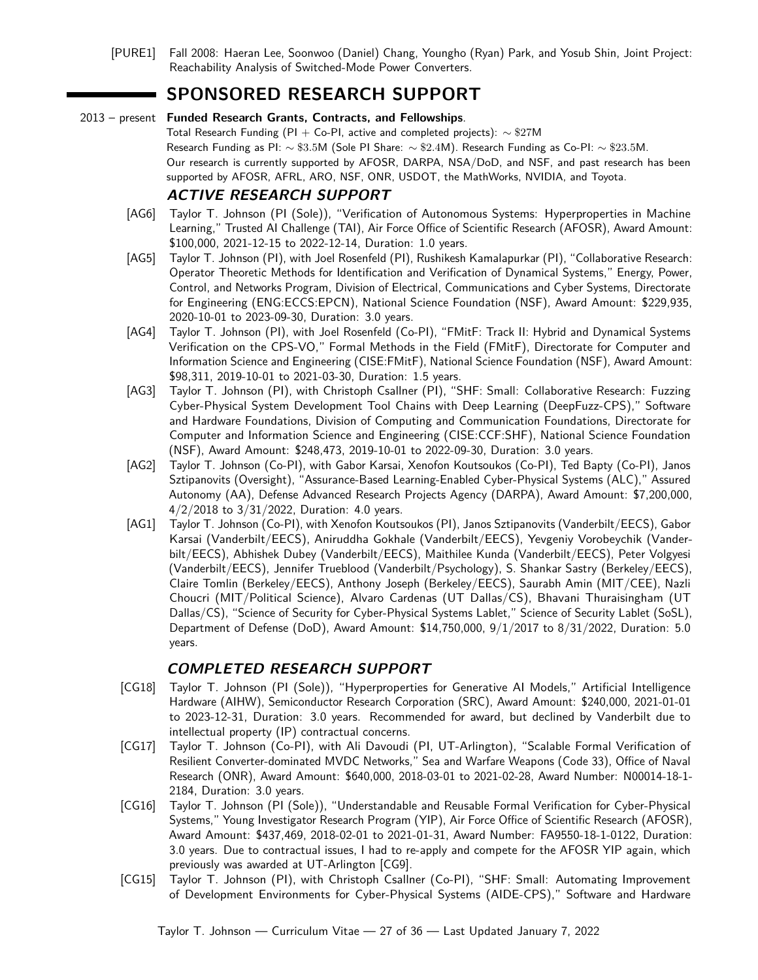[PURE1] Fall 2008: Haeran Lee, Soonwoo (Daniel) Chang, Youngho (Ryan) Park, and Yosub Shin, Joint Project: Reachability Analysis of Switched-Mode Power Converters.

# **SPONSORED RESEARCH SUPPORT**

#### 2013 – present **Funded Research Grants, Contracts, and Fellowships**.

Total Research Funding (PI + Co-PI, active and completed projects):  $\sim$  \$27M Research Funding as PI: ∼ \$3*.*5M (Sole PI Share: ∼ \$2*.*4M). Research Funding as Co-PI: ∼ \$23*.*5M. Our research is currently supported by AFOSR, DARPA, NSA/DoD, and NSF, and past research has been supported by AFOSR, AFRL, ARO, NSF, ONR, USDOT, the MathWorks, NVIDIA, and Toyota.

### **ACTIVE RESEARCH SUPPORT**

- [AG6] Taylor T. Johnson (PI (Sole)), "Verification of Autonomous Systems: Hyperproperties in Machine Learning," Trusted AI Challenge (TAI), Air Force Office of Scientific Research (AFOSR), Award Amount: \$100,000, 2021-12-15 to 2022-12-14, Duration: 1.0 years.
- [AG5] Taylor T. Johnson (PI), with Joel Rosenfeld (PI), Rushikesh Kamalapurkar (PI), "Collaborative Research: Operator Theoretic Methods for Identification and Verification of Dynamical Systems," Energy, Power, Control, and Networks Program, Division of Electrical, Communications and Cyber Systems, Directorate for Engineering (ENG:ECCS:EPCN), National Science Foundation (NSF), Award Amount: \$229,935, 2020-10-01 to 2023-09-30, Duration: 3.0 years.
- [AG4] Taylor T. Johnson (PI), with Joel Rosenfeld (Co-PI), "FMitF: Track II: Hybrid and Dynamical Systems Verification on the CPS-VO," Formal Methods in the Field (FMitF), Directorate for Computer and Information Science and Engineering (CISE:FMitF), National Science Foundation (NSF), Award Amount: \$98,311, 2019-10-01 to 2021-03-30, Duration: 1.5 years.
- [AG3] Taylor T. Johnson (PI), with Christoph Csallner (PI), "SHF: Small: Collaborative Research: Fuzzing Cyber-Physical System Development Tool Chains with Deep Learning (DeepFuzz-CPS)," Software and Hardware Foundations, Division of Computing and Communication Foundations, Directorate for Computer and Information Science and Engineering (CISE:CCF:SHF), National Science Foundation (NSF), Award Amount: \$248,473, 2019-10-01 to 2022-09-30, Duration: 3.0 years.
- [AG2] Taylor T. Johnson (Co-PI), with Gabor Karsai, Xenofon Koutsoukos (Co-PI), Ted Bapty (Co-PI), Janos Sztipanovits (Oversight), "Assurance-Based Learning-Enabled Cyber-Physical Systems (ALC)," Assured Autonomy (AA), Defense Advanced Research Projects Agency (DARPA), Award Amount: \$7,200,000, 4/2/2018 to 3/31/2022, Duration: 4.0 years.
- [AG1] Taylor T. Johnson (Co-PI), with Xenofon Koutsoukos (PI), Janos Sztipanovits (Vanderbilt/EECS), Gabor Karsai (Vanderbilt/EECS), Aniruddha Gokhale (Vanderbilt/EECS), Yevgeniy Vorobeychik (Vanderbilt/EECS), Abhishek Dubey (Vanderbilt/EECS), Maithilee Kunda (Vanderbilt/EECS), Peter Volgyesi (Vanderbilt/EECS), Jennifer Trueblood (Vanderbilt/Psychology), S. Shankar Sastry (Berkeley/EECS), Claire Tomlin (Berkeley/EECS), Anthony Joseph (Berkeley/EECS), Saurabh Amin (MIT/CEE), Nazli Choucri (MIT/Political Science), Alvaro Cardenas (UT Dallas/CS), Bhavani Thuraisingham (UT Dallas/CS), "Science of Security for Cyber-Physical Systems Lablet," Science of Security Lablet (SoSL), Department of Defense (DoD), Award Amount: \$14,750,000, 9/1/2017 to 8/31/2022, Duration: 5.0 years.

## **COMPLETED RESEARCH SUPPORT**

- [CG18] Taylor T. Johnson (PI (Sole)), "Hyperproperties for Generative AI Models," Artificial Intelligence Hardware (AIHW), Semiconductor Research Corporation (SRC), Award Amount: \$240,000, 2021-01-01 to 2023-12-31, Duration: 3.0 years. Recommended for award, but declined by Vanderbilt due to intellectual property (IP) contractual concerns.
- <span id="page-26-0"></span>[CG17] Taylor T. Johnson (Co-PI), with Ali Davoudi (PI, UT-Arlington), "Scalable Formal Verification of Resilient Converter-dominated MVDC Networks," Sea and Warfare Weapons (Code 33), Office of Naval Research (ONR), Award Amount: \$640,000, 2018-03-01 to 2021-02-28, Award Number: N00014-18-1- 2184, Duration: 3.0 years.
- [CG16] Taylor T. Johnson (PI (Sole)), "Understandable and Reusable Formal Verification for Cyber-Physical Systems," Young Investigator Research Program (YIP), Air Force Office of Scientific Research (AFOSR), Award Amount: \$437,469, 2018-02-01 to 2021-01-31, Award Number: FA9550-18-1-0122, Duration: 3.0 years. Due to contractual issues, I had to re-apply and compete for the AFOSR YIP again, which previously was awarded at UT-Arlington [\[CG9\]](#page-27-0).
- [CG15] Taylor T. Johnson (PI), with Christoph Csallner (Co-PI), "SHF: Small: Automating Improvement of Development Environments for Cyber-Physical Systems (AIDE-CPS)," Software and Hardware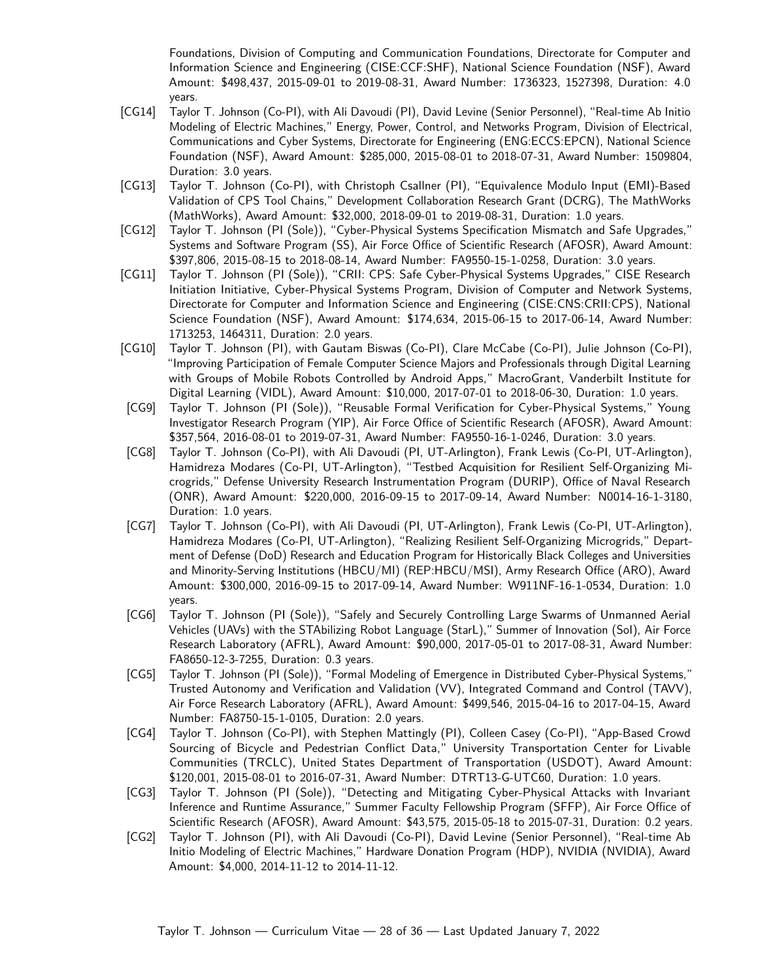Foundations, Division of Computing and Communication Foundations, Directorate for Computer and Information Science and Engineering (CISE:CCF:SHF), National Science Foundation (NSF), Award Amount: \$498,437, 2015-09-01 to 2019-08-31, Award Number: 1736323, 1527398, Duration: 4.0 years.

- [CG14] Taylor T. Johnson (Co-PI), with Ali Davoudi (PI), David Levine (Senior Personnel), "Real-time Ab Initio Modeling of Electric Machines," Energy, Power, Control, and Networks Program, Division of Electrical, Communications and Cyber Systems, Directorate for Engineering (ENG:ECCS:EPCN), National Science Foundation (NSF), Award Amount: \$285,000, 2015-08-01 to 2018-07-31, Award Number: 1509804, Duration: 3.0 years.
- [CG13] Taylor T. Johnson (Co-PI), with Christoph Csallner (PI), "Equivalence Modulo Input (EMI)-Based Validation of CPS Tool Chains," Development Collaboration Research Grant (DCRG), The MathWorks (MathWorks), Award Amount: \$32,000, 2018-09-01 to 2019-08-31, Duration: 1.0 years.
- <span id="page-27-1"></span>[CG12] Taylor T. Johnson (PI (Sole)), "Cyber-Physical Systems Specification Mismatch and Safe Upgrades," Systems and Software Program (SS), Air Force Office of Scientific Research (AFOSR), Award Amount: \$397,806, 2015-08-15 to 2018-08-14, Award Number: FA9550-15-1-0258, Duration: 3.0 years.
- [CG11] Taylor T. Johnson (PI (Sole)), "CRII: CPS: Safe Cyber-Physical Systems Upgrades," CISE Research Initiation Initiative, Cyber-Physical Systems Program, Division of Computer and Network Systems, Directorate for Computer and Information Science and Engineering (CISE:CNS:CRII:CPS), National Science Foundation (NSF), Award Amount: \$174,634, 2015-06-15 to 2017-06-14, Award Number: 1713253, 1464311, Duration: 2.0 years.
- <span id="page-27-0"></span>[CG10] Taylor T. Johnson (PI), with Gautam Biswas (Co-PI), Clare McCabe (Co-PI), Julie Johnson (Co-PI), "Improving Participation of Female Computer Science Majors and Professionals through Digital Learning with Groups of Mobile Robots Controlled by Android Apps," MacroGrant, Vanderbilt Institute for Digital Learning (VIDL), Award Amount: \$10,000, 2017-07-01 to 2018-06-30, Duration: 1.0 years.
- [CG9] Taylor T. Johnson (PI (Sole)), "Reusable Formal Verification for Cyber-Physical Systems," Young Investigator Research Program (YIP), Air Force Office of Scientific Research (AFOSR), Award Amount: \$357,564, 2016-08-01 to 2019-07-31, Award Number: FA9550-16-1-0246, Duration: 3.0 years.
- [CG8] Taylor T. Johnson (Co-PI), with Ali Davoudi (PI, UT-Arlington), Frank Lewis (Co-PI, UT-Arlington), Hamidreza Modares (Co-PI, UT-Arlington), "Testbed Acquisition for Resilient Self-Organizing Microgrids," Defense University Research Instrumentation Program (DURIP), Office of Naval Research (ONR), Award Amount: \$220,000, 2016-09-15 to 2017-09-14, Award Number: N0014-16-1-3180, Duration: 1.0 years.
- [CG7] Taylor T. Johnson (Co-PI), with Ali Davoudi (PI, UT-Arlington), Frank Lewis (Co-PI, UT-Arlington), Hamidreza Modares (Co-PI, UT-Arlington), "Realizing Resilient Self-Organizing Microgrids," Department of Defense (DoD) Research and Education Program for Historically Black Colleges and Universities and Minority-Serving Institutions (HBCU/MI) (REP:HBCU/MSI), Army Research Office (ARO), Award Amount: \$300,000, 2016-09-15 to 2017-09-14, Award Number: W911NF-16-1-0534, Duration: 1.0 years.
- [CG6] Taylor T. Johnson (PI (Sole)), "Safely and Securely Controlling Large Swarms of Unmanned Aerial Vehicles (UAVs) with the STAbilizing Robot Language (StarL)," Summer of Innovation (SoI), Air Force Research Laboratory (AFRL), Award Amount: \$90,000, 2017-05-01 to 2017-08-31, Award Number: FA8650-12-3-7255, Duration: 0.3 years.
- [CG5] Taylor T. Johnson (PI (Sole)), "Formal Modeling of Emergence in Distributed Cyber-Physical Systems," Trusted Autonomy and Verification and Validation (VV), Integrated Command and Control (TAVV), Air Force Research Laboratory (AFRL), Award Amount: \$499,546, 2015-04-16 to 2017-04-15, Award Number: FA8750-15-1-0105, Duration: 2.0 years.
- <span id="page-27-2"></span>[CG4] Taylor T. Johnson (Co-PI), with Stephen Mattingly (PI), Colleen Casey (Co-PI), "App-Based Crowd Sourcing of Bicycle and Pedestrian Conflict Data," University Transportation Center for Livable Communities (TRCLC), United States Department of Transportation (USDOT), Award Amount: \$120,001, 2015-08-01 to 2016-07-31, Award Number: DTRT13-G-UTC60, Duration: 1.0 years.
- [CG3] Taylor T. Johnson (PI (Sole)), "Detecting and Mitigating Cyber-Physical Attacks with Invariant Inference and Runtime Assurance," Summer Faculty Fellowship Program (SFFP), Air Force Office of Scientific Research (AFOSR), Award Amount: \$43,575, 2015-05-18 to 2015-07-31, Duration: 0.2 years.
- [CG2] Taylor T. Johnson (PI), with Ali Davoudi (Co-PI), David Levine (Senior Personnel), "Real-time Ab Initio Modeling of Electric Machines," Hardware Donation Program (HDP), NVIDIA (NVIDIA), Award Amount: \$4,000, 2014-11-12 to 2014-11-12.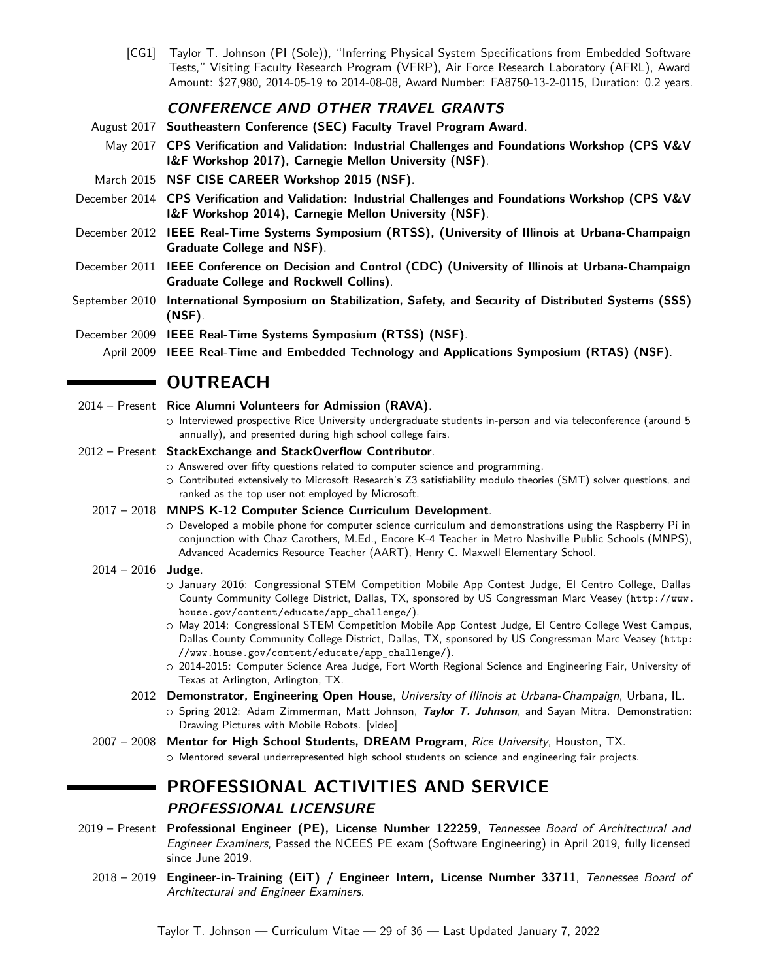[CG1] Taylor T. Johnson (PI (Sole)), "Inferring Physical System Specifications from Embedded Software Tests," Visiting Faculty Research Program (VFRP), Air Force Research Laboratory (AFRL), Award Amount: \$27,980, 2014-05-19 to 2014-08-08, Award Number: FA8750-13-2-0115, Duration: 0.2 years.

### **CONFERENCE AND OTHER TRAVEL GRANTS**

- August 2017 **Southeastern Conference (SEC) Faculty Travel Program Award**.
	- May 2017 **CPS Verification and Validation: Industrial Challenges and Foundations Workshop [\(CPS V&V](http://www.ls.cs.cmu.edu/CPSVVIF) [I&F Workshop 2017\)](http://www.ls.cs.cmu.edu/CPSVVIF), Carnegie Mellon University (NSF)**.
- March 2015 **[NSF CISE CAREER Workshop 2015](http://csl.seas.gwu.edu/nsf-cise-career/) (NSF)**.
- December 2014 **CPS Verification and Validation: Industrial Challenges and Foundations Workshop [\(CPS V&V](http://www.ls.cs.cmu.edu/CPSVVIF) [I&F Workshop 2014\)](http://www.ls.cs.cmu.edu/CPSVVIF), Carnegie Mellon University (NSF)**.
- December 2012 **IEEE Real-Time Systems Symposium (RTSS), (University of Illinois at Urbana-Champaign Graduate College and NSF)**.
- December 2011 **IEEE Conference on Decision and Control (CDC) (University of Illinois at Urbana-Champaign Graduate College and Rockwell Collins)**.
- September 2010 **International Symposium on Stabilization, Safety, and Security of Distributed Systems (SSS) (NSF)**.
- December 2009 **IEEE Real-Time Systems Symposium (RTSS) (NSF)**.
	- April 2009 **IEEE Real-Time and Embedded Technology and Applications Symposium (RTAS) (NSF)**.

# **NO OUTREACH**

- 2014 Present **Rice Alumni Volunteers for Admission (RAVA)**.
	- Interviewed prospective Rice University undergraduate students in-person and via teleconference (around 5 annually), and presented during high school college fairs.
- 2012 Present **[StackExchange](http://stackexchange.com/) and [StackOverflow](http://stackoverflow.com/) Contributor**.
	- Answered over fifty questions related to computer science and programming.
	- Contributed extensively to Microsoft Research's Z3 satisfiability modulo theories (SMT) solver questions, and [ranked as the top user not employed by Microsoft.](http://stackoverflow.com/tags/z3/topusers)
	- 2017 2018 **MNPS K-12 Computer Science Curriculum Development**.
		- Developed a mobile phone for computer science curriculum and demonstrations using the Raspberry Pi in conjunction with Chaz Carothers, M.Ed., Encore K-4 Teacher in Metro Nashville Public Schools (MNPS), Advanced Academics Resource Teacher (AART), Henry C. Maxwell Elementary School.
	- 2014 2016 **Judge**.
		- January 2016: Congressional STEM Competition Mobile App Contest Judge, El Centro College, Dallas County Community College District, Dallas, TX, sponsored by US Congressman Marc Veasey ([http://www.](http://www.house.gov/content/educate/app_challenge/) [house.gov/content/educate/app\\_challenge/](http://www.house.gov/content/educate/app_challenge/)).
		- May 2014: Congressional STEM Competition Mobile App Contest Judge, El Centro College West Campus, Dallas County Community College District, Dallas, TX, sponsored by US Congressman Marc Veasey ([http:](http://www.house.gov/content/educate/app_challenge/) [//www.house.gov/content/educate/app\\_challenge/](http://www.house.gov/content/educate/app_challenge/)).
		- 2014-2015: Computer Science Area Judge, [Fort Worth Regional Science and Engineering Fair,](http://www.fwrsef.org/) University of Texas at Arlington, Arlington, TX.
		- 2012 **Demonstrator, [Engineering Open House](http://eoh.ec.illinois.edu/)**, University of Illinois at Urbana-Champaign, Urbana, IL.
			- Spring 2012: Adam Zimmerman, Matt Johnson, **Taylor T. Johnson**, and Sayan Mitra. Demonstration: Drawing Pictures with Mobile Robots. [\[video\]](https://www.youtube.com/watch?v=XjCXgqJlSVU)
	- 2007 2008 **Mentor for High School Students, [DREAM Program](http://dream.rice.edu)**, Rice University, Houston, TX. ○ Mentored several underrepresented high school students on science and engineering fair projects.

# **PROFESSIONAL ACTIVITIES AND SERVICE PROFESSIONAL LICENSURE**

- 2019 Present **Professional Engineer (PE), License Number 122259**, [Tennessee Board of Architectural and](https://www.tn.gov/commerce/regboards/architects-engineers.html) [Engineer Examiners](https://www.tn.gov/commerce/regboards/architects-engineers.html), Passed the NCEES PE exam (Software Engineering) in April 2019, fully licensed since June 2019.
	- 2018 2019 **Engineer-in-Training (EiT) / Engineer Intern, License Number 33711**, [Tennessee Board of](https://www.tn.gov/commerce/regboards/architects-engineers.html) [Architectural and Engineer Examiners](https://www.tn.gov/commerce/regboards/architects-engineers.html).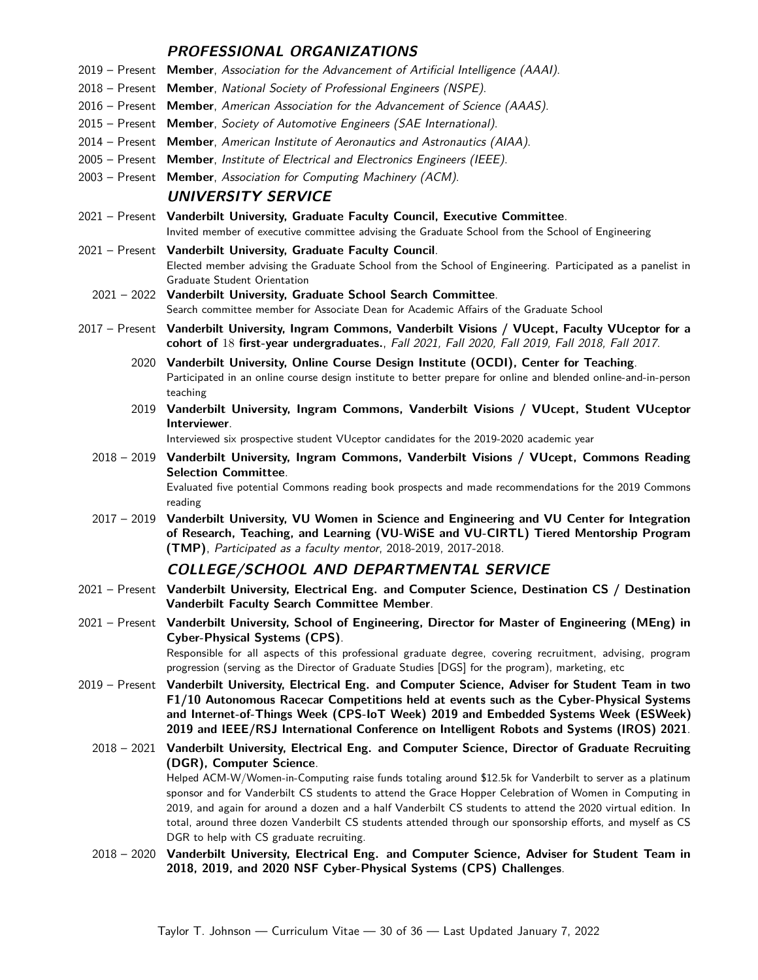## **PROFESSIONAL ORGANIZATIONS**

|                  | 2019 – Present Member, Association for the Advancement of Artificial Intelligence (AAAI).                                                                                                                                                                                                                                                                                  |
|------------------|----------------------------------------------------------------------------------------------------------------------------------------------------------------------------------------------------------------------------------------------------------------------------------------------------------------------------------------------------------------------------|
|                  | 2018 - Present Member, National Society of Professional Engineers (NSPE).                                                                                                                                                                                                                                                                                                  |
|                  | 2016 - Present Member, American Association for the Advancement of Science (AAAS).                                                                                                                                                                                                                                                                                         |
|                  | 2015 - Present Member, Society of Automotive Engineers (SAE International).                                                                                                                                                                                                                                                                                                |
|                  | 2014 – Present Member, American Institute of Aeronautics and Astronautics (AIAA).                                                                                                                                                                                                                                                                                          |
|                  | 2005 - Present Member, Institute of Electrical and Electronics Engineers (IEEE).                                                                                                                                                                                                                                                                                           |
|                  | 2003 – Present Member, Association for Computing Machinery (ACM).                                                                                                                                                                                                                                                                                                          |
|                  | <b>UNIVERSITY SERVICE</b>                                                                                                                                                                                                                                                                                                                                                  |
|                  | 2021 - Present Vanderbilt University, Graduate Faculty Council, Executive Committee.                                                                                                                                                                                                                                                                                       |
|                  | Invited member of executive committee advising the Graduate School from the School of Engineering                                                                                                                                                                                                                                                                          |
|                  | 2021 - Present Vanderbilt University, Graduate Faculty Council.<br>Elected member advising the Graduate School from the School of Engineering. Participated as a panelist in<br>Graduate Student Orientation                                                                                                                                                               |
|                  | 2021 - 2022 Vanderbilt University, Graduate School Search Committee.<br>Search committee member for Associate Dean for Academic Affairs of the Graduate School                                                                                                                                                                                                             |
|                  | 2017 - Present Vanderbilt University, Ingram Commons, Vanderbilt Visions / VUcept, Faculty VUceptor for a                                                                                                                                                                                                                                                                  |
|                  | cohort of 18 first-year undergraduates., Fall 2021, Fall 2020, Fall 2019, Fall 2018, Fall 2017.                                                                                                                                                                                                                                                                            |
|                  | 2020 Vanderbilt University, Online Course Design Institute (OCDI), Center for Teaching.<br>Participated in an online course design institute to better prepare for online and blended online-and-in-person<br>teaching                                                                                                                                                     |
|                  | 2019 Vanderbilt University, Ingram Commons, Vanderbilt Visions / VUcept, Student VUceptor<br>Interviewer.                                                                                                                                                                                                                                                                  |
|                  | Interviewed six prospective student VUceptor candidates for the 2019-2020 academic year                                                                                                                                                                                                                                                                                    |
|                  | 2018 - 2019 Vanderbilt University, Ingram Commons, Vanderbilt Visions / VUcept, Commons Reading<br><b>Selection Committee.</b><br>Evaluated five potential Commons reading book prospects and made recommendations for the 2019 Commons<br>reading                                                                                                                         |
|                  | 2017 - 2019 Vanderbilt University, VU Women in Science and Engineering and VU Center for Integration<br>of Research, Teaching, and Learning (VU-WiSE and VU-CIRTL) Tiered Mentorship Program<br>(TMP), Participated as a faculty mentor, 2018-2019, 2017-2018.                                                                                                             |
|                  | COLLEGE/SCHOOL AND DEPARTMENTAL SERVICE                                                                                                                                                                                                                                                                                                                                    |
| $2021 -$ Present | Vanderbilt University, Electrical Eng. and Computer Science, Destination CS / Destination<br>Vanderbilt Faculty Search Committee Member.                                                                                                                                                                                                                                   |
|                  | 2021 - Present Vanderbilt University, School of Engineering, Director for Master of Engineering (MEng) in<br><b>Cyber-Physical Systems (CPS).</b><br>Responsible for all aspects of this professional graduate degree, covering recruitment, advising, program                                                                                                             |
|                  | progression (serving as the Director of Graduate Studies [DGS] for the program), marketing, etc                                                                                                                                                                                                                                                                            |
| $2019 -$ Present | Vanderbilt University, Electrical Eng. and Computer Science, Adviser for Student Team in two<br>F1/10 Autonomous Racecar Competitions held at events such as the Cyber-Physical Systems<br>and Internet-of-Things Week (CPS-IoT Week) 2019 and Embedded Systems Week (ESWeek)<br>2019 and IEEE/RSJ International Conference on Intelligent Robots and Systems (IROS) 2021. |
|                  | 2018 - 2021 Vanderbilt University, Electrical Eng. and Computer Science, Director of Graduate Recruiting                                                                                                                                                                                                                                                                   |
|                  | (DGR), Computer Science.<br>Helped ACM-W/Women-in-Computing raise funds totaling around \$12.5k for Vanderbilt to server as a platinum                                                                                                                                                                                                                                     |
|                  | sponsor and for Vanderbilt CS students to attend the Grace Hopper Celebration of Women in Computing in                                                                                                                                                                                                                                                                     |
|                  | 2019, and again for around a dozen and a half Vanderbilt CS students to attend the 2020 virtual edition. In                                                                                                                                                                                                                                                                |
|                  | total, around three dozen Vanderbilt CS students attended through our sponsorship efforts, and myself as CS                                                                                                                                                                                                                                                                |
|                  | DGR to help with CS graduate recruiting.<br>2018 - 2020 Vanderbilt University, Electrical Eng. and Computer Science, Adviser for Student Team in                                                                                                                                                                                                                           |
|                  | 2018, 2019, and 2020 NSF Cyber-Physical Systems (CPS) Challenges.                                                                                                                                                                                                                                                                                                          |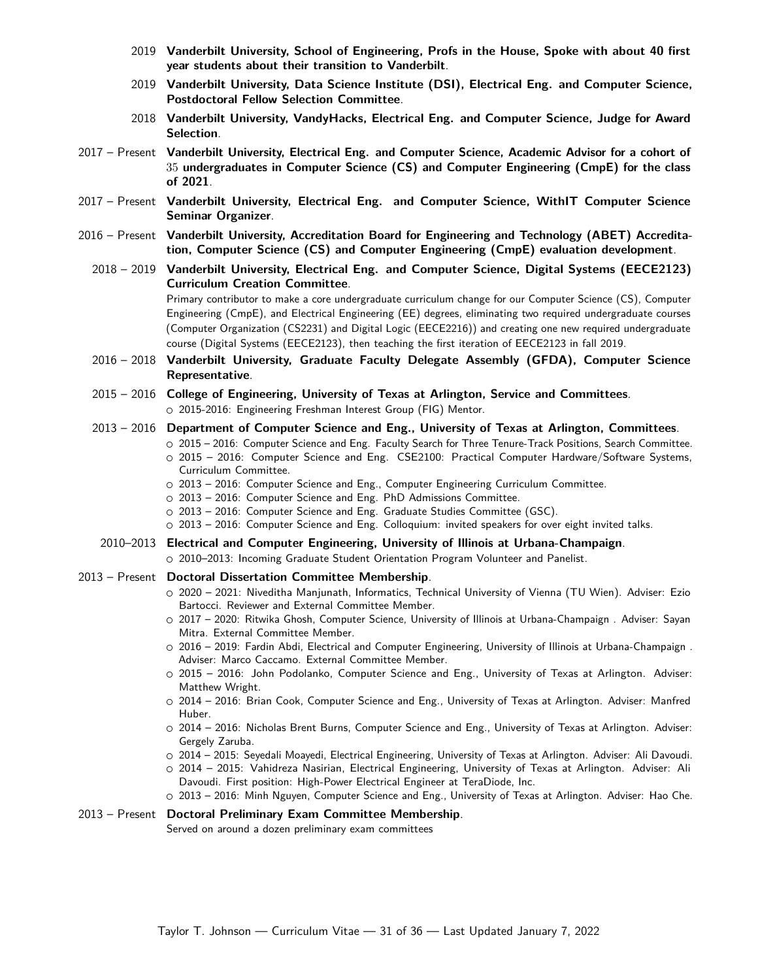- 2019 **Vanderbilt University, School of Engineering, Profs in the House, Spoke with about 40 first year students about their transition to Vanderbilt**.
- 2019 **Vanderbilt University, Data Science Institute (DSI), Electrical Eng. and Computer Science, Postdoctoral Fellow Selection Committee**.
- 2018 **Vanderbilt University, [VandyHacks,](https://vandyhacks.org/) Electrical Eng. and Computer Science, Judge for Award Selection**.
- 2017 Present **Vanderbilt University, Electrical Eng. and Computer Science, Academic Advisor for a cohort of** 35 **undergraduates in Computer Science (CS) and Computer Engineering (CmpE) for the class of 2021**.
- 2017 Present **Vanderbilt University, Electrical Eng. and Computer Science, WithIT Computer Science Seminar Organizer**.
- 2016 Present **Vanderbilt University, Accreditation Board for Engineering and Technology (ABET) Accreditation, Computer Science (CS) and Computer Engineering (CmpE) evaluation development**.
	- 2018 2019 **Vanderbilt University, Electrical Eng. and Computer Science, Digital Systems (EECE2123) Curriculum Creation Committee**.

Primary contributor to make a core undergraduate curriculum change for our Computer Science (CS), Computer Engineering (CmpE), and Electrical Engineering (EE) degrees, eliminating two required undergraduate courses (Computer Organization (CS2231) and Digital Logic (EECE2216)) and creating one new required undergraduate course (Digital Systems (EECE2123), then teaching the first iteration of EECE2123 in fall 2019.

- 2016 2018 **Vanderbilt University, Graduate Faculty Delegate Assembly (GFDA), Computer Science Representative**.
- 2015 2016 **College of Engineering, University of Texas at Arlington, Service and Committees**. ○ 2015-2016: Engineering Freshman Interest Group (FIG) Mentor.
- 2013 2016 **Department of Computer Science and Eng., University of Texas at Arlington, Committees**.
	- 2015 2016: Computer Science and Eng. Faculty Search for Three Tenure-Track Positions, Search Committee.  $\circ$  2015 – 2016: Computer Science and Eng. CSE2100: Practical Computer Hardware/Software Systems, Curriculum Committee.
	- 2013 2016: Computer Science and Eng., Computer Engineering Curriculum Committee.
	- 2013 2016: Computer Science and Eng. PhD Admissions Committee.
	- 2013 2016: Computer Science and Eng. Graduate Studies Committee (GSC).
	- 2013 2016: Computer Science and Eng. Colloquium: invited speakers for over eight invited talks.
- 2010–2013 **Electrical and Computer Engineering, University of Illinois at Urbana-Champaign**.
	- O 2010-2013: Incoming Graduate Student Orientation Program Volunteer and Panelist.
- 2013 Present **Doctoral Dissertation Committee Membership**.
	- 2020 2021: Niveditha Manjunath, Informatics, Technical University of Vienna (TU Wien). Adviser: Ezio Bartocci. Reviewer and External Committee Member.
	- 2017 2020: Ritwika Ghosh, Computer Science, University of Illinois at Urbana-Champaign . Adviser: Sayan Mitra. External Committee Member.
	- 2016 2019: Fardin Abdi, Electrical and Computer Engineering, University of Illinois at Urbana-Champaign . Adviser: Marco Caccamo. External Committee Member.
	- $\circ$  2015 2016: John Podolanko, Computer Science and Eng., University of Texas at Arlington. Adviser: Matthew Wright.
	- 2014 2016: Brian Cook, Computer Science and Eng., University of Texas at Arlington. Adviser: Manfred Huber.
	- 2014 2016: Nicholas Brent Burns, Computer Science and Eng., University of Texas at Arlington. Adviser: Gergely Zaruba.
	- 2014 2015: Seyedali Moayedi, Electrical Engineering, University of Texas at Arlington. Adviser: Ali Davoudi.
	- 2014 2015: Vahidreza Nasirian, Electrical Engineering, University of Texas at Arlington. Adviser: Ali Davoudi. First position: High-Power Electrical Engineer at TeraDiode, Inc.
	- 2013 2016: Minh Nguyen, Computer Science and Eng., University of Texas at Arlington. Adviser: Hao Che.

### 2013 – Present **Doctoral Preliminary Exam Committee Membership**.

Served on around a dozen preliminary exam committees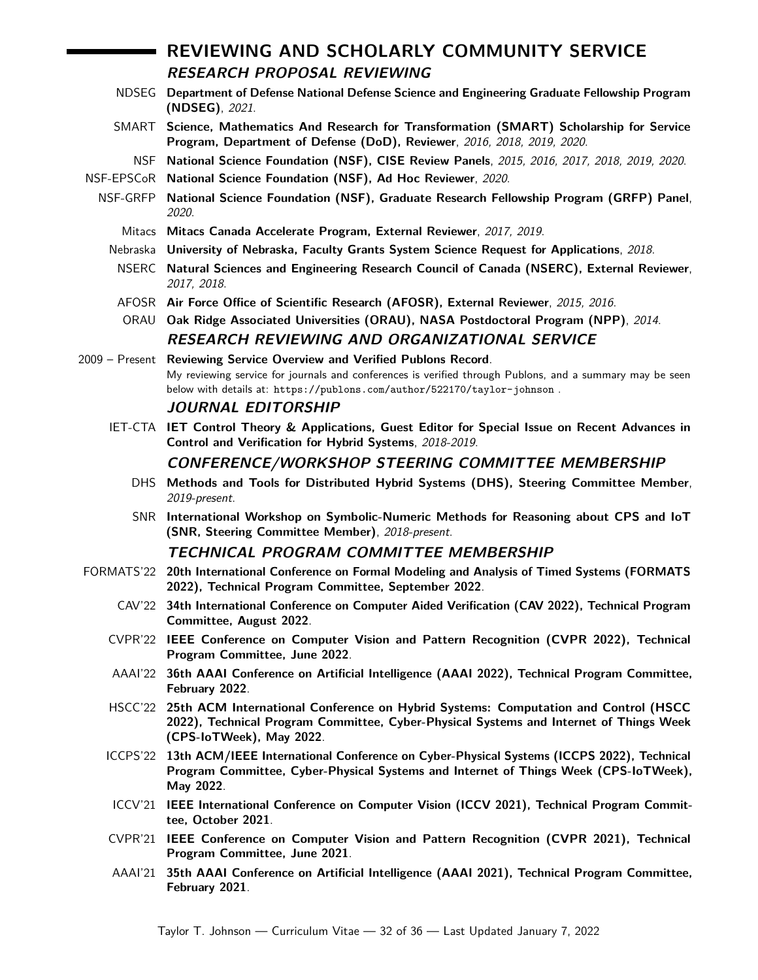# **REVIEWING AND SCHOLARLY COMMUNITY SERVICE RESEARCH PROPOSAL REVIEWING**

- NDSEG **Department of Defense National Defense Science and Engineering Graduate Fellowship Program (NDSEG)**, 2021.
- SMART **Science, Mathematics And Research for Transformation (SMART) Scholarship for Service Program, Department of Defense (DoD), Reviewer**, 2016, 2018, 2019, 2020.
- NSF **National Science Foundation (NSF), CISE Review Panels**, 2015, 2016, 2017, 2018, 2019, 2020.
- NSF-EPSCoR **National Science Foundation (NSF), Ad Hoc Reviewer**, 2020.
- NSF-GRFP **National Science Foundation (NSF), Graduate Research Fellowship Program (GRFP) Panel**, 2020.
	- Mitacs **Mitacs Canada Accelerate Program, External Reviewer**, 2017, 2019.
	- Nebraska **University of Nebraska, Faculty Grants System Science Request for Applications**, 2018.
	- NSERC **Natural Sciences and Engineering Research Council of Canada (NSERC), External Reviewer**, 2017, 2018.
	- AFOSR **Air Force Office of Scientific Research (AFOSR), External Reviewer**, 2015, 2016.
	- ORAU **Oak Ridge Associated Universities (ORAU), NASA Postdoctoral Program (NPP)**, 2014. **RESEARCH REVIEWING AND ORGANIZATIONAL SERVICE**
- 2009 Present **Reviewing Service Overview and Verified Publons Record**. My reviewing service for journals and conferences is verified through [Publons,](https://www.publons.com) and a summary may be seen below with details at: <https://publons.com/author/522170/taylor-johnson> .

#### **JOURNAL EDITORSHIP**

IET-CTA **IET Control Theory & Applications, Guest Editor for Special Issue on Recent Advances in Control and Verification for Hybrid Systems**, 2018-2019.

### **CONFERENCE/WORKSHOP STEERING COMMITTEE MEMBERSHIP**

- DHS **Methods and Tools for Distributed Hybrid Systems [\(DHS\)](http://dhs.gforge.inria.fr/), Steering Committee Member**, 2019-present.
- SNR **International Workshop on Symbolic-Numeric Methods for Reasoning about CPS and IoT [\(SNR,](http://snr19.ncl.ac.uk/) Steering Committee Member)**, 2018-present.

#### **TECHNICAL PROGRAM COMMITTEE MEMBERSHIP**

- FORMATS'22 **20th International Conference on Formal Modeling and Analysis of Timed Systems (FORMATS 2022), Technical Program Committee, September 2022**.
	- CAV'22 **34th International Conference on Computer Aided Verification (CAV 2022), Technical Program Committee, August 2022**.
	- CVPR'22 **IEEE Conference on Computer Vision and Pattern Recognition (CVPR 2022), Technical Program Committee, June 2022**.
	- AAAI'22 **36th AAAI Conference on Artificial Intelligence (AAAI 2022), Technical Program Committee, February 2022**.
	- HSCC'22 **25th ACM International Conference on Hybrid Systems: Computation and Control (HSCC 2022), Technical Program Committee, [Cyber-Physical Systems and Internet of Things Week](http://www.cpsweek.org/2022/) [\(CPS-IoTWeek\),](http://www.cpsweek.org/2022/) May [2022](https://hscc.acm.org/2022)**.
	- ICCPS'22 **13th ACM/IEEE International Conference on Cyber-Physical Systems (ICCPS 2022), Technical Program Committee, [Cyber-Physical Systems and Internet of Things Week \(CPS-IoTWeek\),](http://www.cpsweek.org/2022/) May [2022](https://iccps.acm.org/2022)**.
	- ICCV'21 **IEEE International Conference on Computer Vision (ICCV 2021), Technical Program Committee, October 2021**.
	- CVPR'21 **IEEE Conference on Computer Vision and Pattern Recognition (CVPR 2021), Technical Program Committee, June 2021**.
	- AAAI'21 **35th AAAI Conference on Artificial Intelligence (AAAI 2021), Technical Program Committee, February 2021**.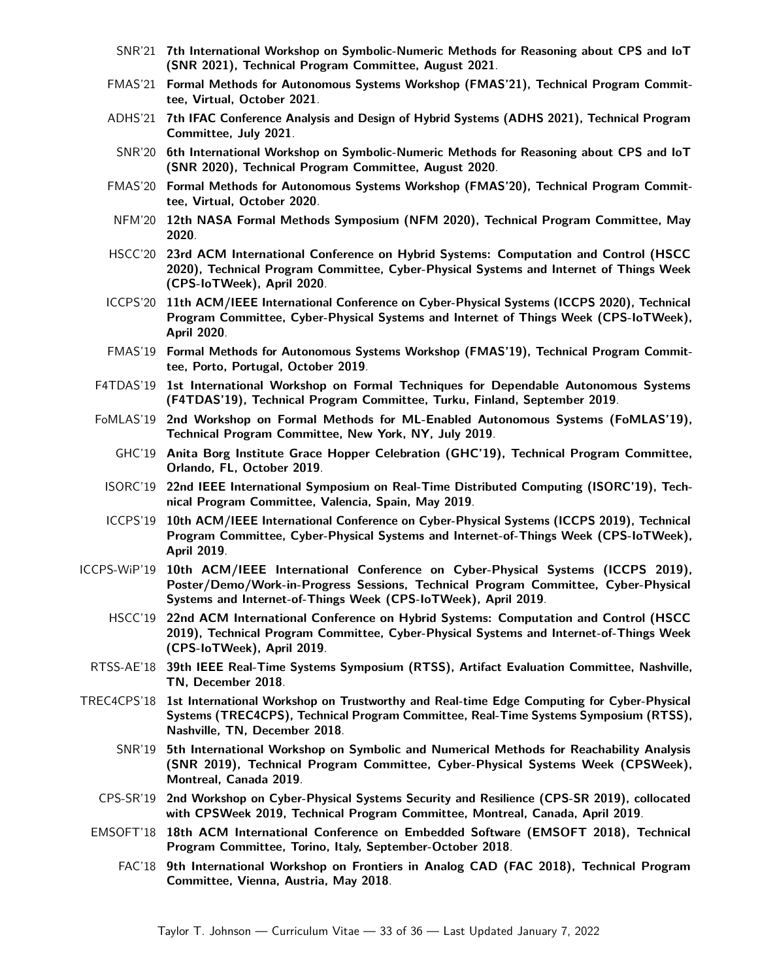- SNR'21 **7th International Workshop on Symbolic-Numeric Methods for Reasoning about CPS and IoT (SNR 2021), Technical Program Committee, August 2021**.
- FMAS'21 **Formal Methods for Autonomous Systems Workshop (FMAS'21), Technical Program Committee, Virtual, October [2021](https://fmasworkshop.github.io/FMAS2021/)**.
- ADHS'21 **7th IFAC Conference Analysis and Design of Hybrid Systems (ADHS 2021), Technical Program Committee, July [2021](https://www.ifac-control.org/events/analysis-and-design-of-hybrid-systems-7th-adhs-2021tm)**.
- SNR'20 **6th International Workshop on Symbolic-Numeric Methods for Reasoning about CPS and IoT (SNR 2020), Technical Program Committee, August [2020](http://www.cs.cas.cz/snr2020/)**.
- FMAS'20 **Formal Methods for Autonomous Systems Workshop (FMAS'20), Technical Program Committee, Virtual, October [2020](https://fmasworkshop.github.io/FMAS2020/)**.
- NFM'20 **12th NASA Formal Methods Symposium (NFM 2020), Technical Program Committee, May [2020](https://ti.arc.nasa.gov/events/nfm-2020/)**.
- HSCC'20 **23rd ACM International Conference on Hybrid Systems: Computation and Control (HSCC 2020), Technical Program Committee, [Cyber-Physical Systems and Internet of Things Week](http://www.cpsweek.org/2020/) [\(CPS-IoTWeek\),](http://www.cpsweek.org/2020/) April [2020](https://berkeleylearnverify.github.io/HSCC_2020/)**.
- ICCPS'20 **11th ACM/IEEE International Conference on Cyber-Physical Systems (ICCPS 2020), Technical Program Committee, [Cyber-Physical Systems and Internet of Things Week \(CPS-IoTWeek\),](http://www.cpsweek.org/2020/) April [2020](http://iccps.acm.org/2020/)**.
- FMAS'19 **Formal Methods for Autonomous Systems Workshop (FMAS'19), Technical Program Committee, Porto, Portugal, October [2019](https://autonomy-and-verification-uol.github.io/events/fmas/)**.
- F4TDAS'19 **1st International Workshop on Formal Techniques for Dependable Autonomous Systems (F4TDAS'19), Technical Program Committee, Turku, Finland, September [2019](https://ft4das.github.io/)**.
- FoMLAS'19 **2nd Workshop on Formal Methods for ML-Enabled Autonomous Systems (FoMLAS'19), Technical Program Committee, New York, NY, July [2019](https://fomlas2019.wixsite.com/fomlas2019)**.
	- GHC'19 **Anita Borg Institute Grace Hopper Celebration (GHC'19), Technical Program Committee, Orlando, FL, October [2019](https://ghc.anitab.org/)**.
	- ISORC'19 **22nd IEEE International Symposium on Real-Time Distributed Computing (ISORC'19), Technical Program Committee, Valencia, Spain, May [2019](https://isorc2019.github.io/)**.
	- ICCPS'19 **10th ACM/IEEE International Conference on Cyber-Physical Systems (ICCPS 2019), Technical Program Committee, [Cyber-Physical Systems and Internet-of-Things Week \(CPS-IoTWeek\),](http://www.cpsweek.org/2019/) April [2019](http://iccps.acm.org/2019/)**.
- ICCPS-WiP'19 **10th ACM/IEEE International Conference on Cyber-Physical Systems (ICCPS 2019), Poster/Demo/Work-in-Progress Sessions, Technical Program Committee, [Cyber-Physical](http://www.cpsweek.org/2019/) [Systems and Internet-of-Things Week \(CPS-IoTWeek\),](http://www.cpsweek.org/2019/) April [2019](http://iccps.acm.org/2019/)**.
	- HSCC'19 **22nd ACM International Conference on Hybrid Systems: Computation and Control (HSCC 2019), Technical Program Committee, [Cyber-Physical Systems and Internet-of-Things Week](http://www.cpsweek.org/2019/) [\(CPS-IoTWeek\),](http://www.cpsweek.org/2019/) April [2019](http://hscc2019.eecs.umich.edu)**.
	- RTSS-AE'18 **39th IEEE Real-Time Systems Symposium (RTSS), Artifact Evaluation Committee, Nashville, TN, December [2018](http://2018.rtss.org/)**.
- TREC4CPS'18 **1st International Workshop on Trustworthy and Real-time Edge Computing for Cyber-Physical Systems (TREC4CPS), Technical Program Committee, Real-Time Systems Symposium (RTSS), Nashville, TN, December [2018](https://cps-vo.org/group/TREC4CPS_conference/)**.
	- SNR'19 **5th International Workshop on Symbolic and Numerical Methods for Reachability Analysis (SNR 2019), Technical Program Committee, Cyber-Physical Systems Week (CPSWeek), Montreal, Canada [2019](http://snrworkshop.github.io/)**.
	- CPS-SR'19 **2nd Workshop on Cyber-Physical Systems Security and Resilience (CPS-SR 2019), collocated with CPSWeek 2019, Technical Program Committee, Montreal, Canada, April 2019**.
	- EMSOFT'18 **18th ACM International Conference on Embedded Software (EMSOFT 2018), Technical Program Committee, Torino, Italy, September-October [2018](http://www.esweek.org/)**.
		- FAC'18 **9th International Workshop on Frontiers in Analog CAD (FAC 2018), Technical Program Committee, Vienna, Austria, May [2018](https://fac18.ait.ac.at/)**.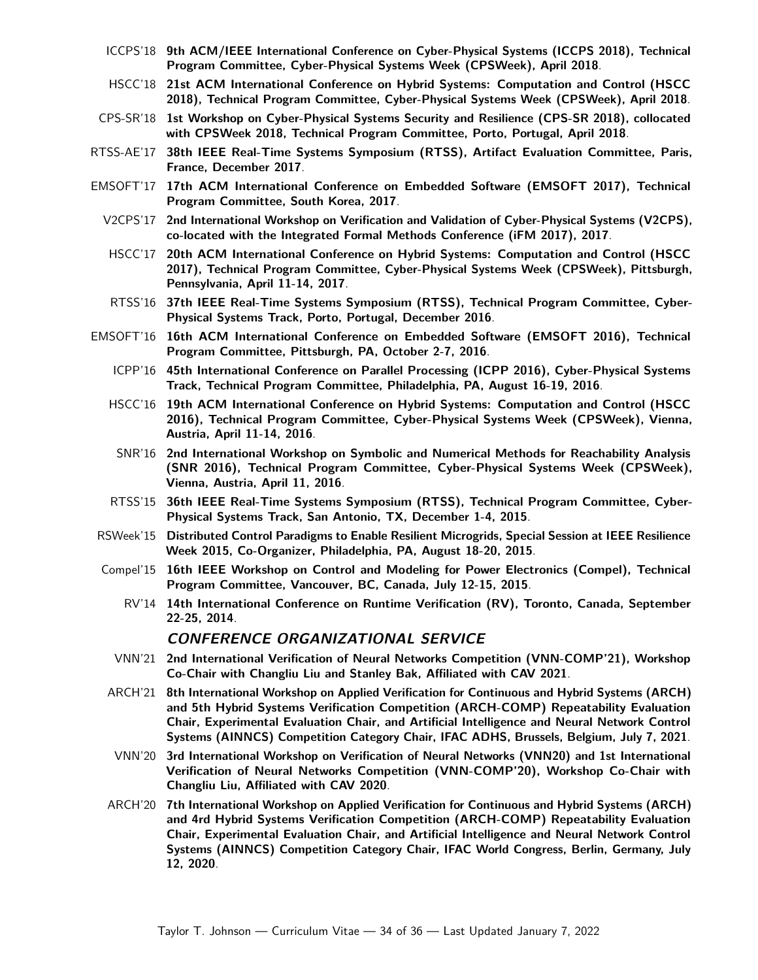- ICCPS'18 **9th ACM/IEEE International Conference on Cyber-Physical Systems (ICCPS 2018), Technical Program Committee, [Cyber-Physical Systems Week \(CPSWeek\),](http://www.cpsweek.org/2018/) April [2018](http://iccps.acm.org/2018/)**.
- HSCC'18 **21st ACM International Conference on Hybrid Systems: Computation and Control (HSCC 2018), Technical Program Committee, [Cyber-Physical Systems Week \(CPSWeek\),](http://www.cpsweek.org/2018/) April [2018](https://www.hscc2018.deib.polimi.it/)**.
- CPS-SR'18 **1st Workshop on Cyber-Physical Systems Security and Resilience (CPS-SR 2018), collocated with CPSWeek 2018, Technical Program Committee, Porto, Portugal, April 2018**.
- RTSS-AE'17 **38th IEEE Real-Time Systems Symposium (RTSS), Artifact Evaluation Committee, Paris, France, December [2017](http://2017.rtss.org/)**.
- EMSOFT'17 **17th ACM International Conference on Embedded Software (EMSOFT 2017), Technical Program Committee, South Korea, [2017](http://www.esweek.org/)**.
	- V2CPS'17 **2nd International Workshop on Verification and Validation of Cyber-Physical Systems (V2CPS), co-located with the Integrated Formal Methods Conference (iFM 2017), [2017](https://v2cps17.mpi-sws.org/)**.
	- HSCC'17 **20th ACM International Conference on Hybrid Systems: Computation and Control (HSCC 2017), Technical Program Committee, [Cyber-Physical Systems Week \(CPSWeek\),](http://www.cpsweek.org/2017/) Pittsburgh, Pennsylvania, April 11-14, [2017](http://hscc2017.ece.illinois.edu/)**.
	- RTSS'16 **37th IEEE Real-Time Systems Symposium (RTSS), Technical Program Committee, Cyber-Physical Systems Track, Porto, Portugal, December [2016](http://2016.rtss.org/)**.
- EMSOFT'16 **16th ACM International Conference on Embedded Software (EMSOFT 2016), Technical Program Committee, Pittsburgh, PA, October 2-7, [2016](http://www.esweek.org/)**.
	- ICPP'16 **45th International Conference on Parallel Processing (ICPP 2016), Cyber-Physical Systems Track, Technical Program Committee, Philadelphia, PA, August 16-19, [2016](http://icpp2016.cs.wcupa.edu/)**.
	- HSCC'16 **19th ACM International Conference on Hybrid Systems: Computation and Control (HSCC 2016), Technical Program Committee, [Cyber-Physical Systems Week \(CPSWeek\),](http://cpsweek2016.ocg.at/) Vienna, Austria, April 11-14, [2016](http://2016.hscc-conference.org)**.
	- SNR'16 **2nd International Workshop on Symbolic and Numerical Methods for Reachability Analysis (SNR 2016), Technical Program Committee, [Cyber-Physical Systems Week \(CPSWeek\),](http://cpsweek2016.ocg.at/) Vienna, Austria, April 11, [2016](http://snrworkshop.github.io/)**.
	- RTSS'15 **36th IEEE Real-Time Systems Symposium (RTSS), Technical Program Committee, Cyber-Physical Systems Track, San Antonio, TX, December 1-4, [2015](http://2015.rtss.org/)**.
- RSWeek'15 **Distributed Control Paradigms to Enable Resilient Microgrids, Special Session at IEEE Resilience Week 2015, Co-Organizer, Philadelphia, PA, August 18-20, [2015](https://secureweb.inl.gov/Resweek2015/)**.
- Compel'15 **16th IEEE Workshop on Control and Modeling for Power Electronics (Compel), Technical Program Committee, Vancouver, BC, Canada, July 12-15, [2015](http://ieee-compel.org/)**.
	- RV'14 **14th International Conference on [Runtime Verification \(RV\),](http://runtime-verification.org/) Toronto, Canada, September 22-25, [2014](http://rv2014.imag.fr/)**.

#### **CONFERENCE ORGANIZATIONAL SERVICE**

- VNN'21 **2nd International Verification of Neural Networks Competition (VNN-COMP'21), Workshop Co-Chair with Changliu Liu and Stanley Bak, Affiliated with CAV 2021**.
- ARCH'21 **8th International Workshop on Applied Verification for Continuous and Hybrid Systems (ARCH) and 5th Hybrid Systems Verification Competition (ARCH-COMP) Repeatability Evaluation Chair, Experimental Evaluation Chair, and Artificial Intelligence and Neural Network Control Systems (AINNCS) Competition Category Chair, IFAC ADHS, Brussels, Belgium, July 7, [2021](http://cps-vo.org/group/ARCH/)**.
- VNN'20 **3rd International Workshop on Verification of Neural Networks (VNN20) and 1st International Verification of Neural Networks Competition (VNN-COMP'20), Workshop Co-Chair with Changliu Liu, Affiliated with CAV 2020**.
- ARCH'20 **7th International Workshop on Applied Verification for Continuous and Hybrid Systems (ARCH) and 4rd Hybrid Systems Verification Competition (ARCH-COMP) Repeatability Evaluation Chair, Experimental Evaluation Chair, and Artificial Intelligence and Neural Network Control Systems (AINNCS) Competition Category Chair, IFAC World Congress, Berlin, Germany, July 12, [2020](http://cps-vo.org/group/ARCH/)**.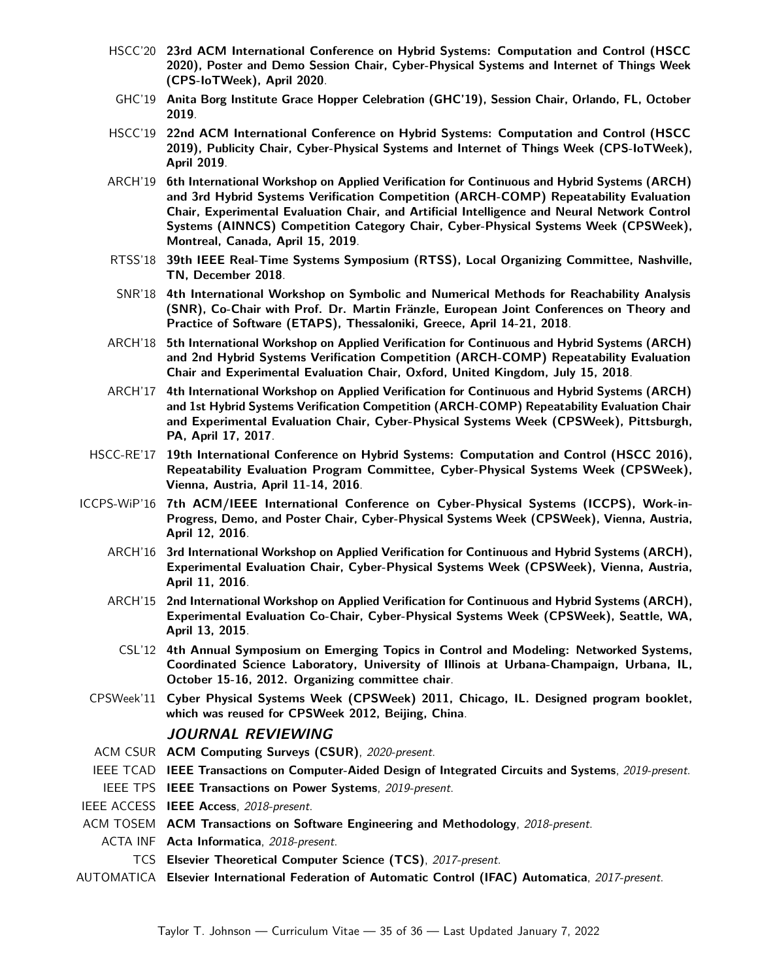- HSCC'20 **23rd ACM International Conference on Hybrid Systems: Computation and Control (HSCC 2020), Poster and Demo Session Chair, [Cyber-Physical Systems and Internet of Things Week](http://www.cpsweek.org/2020/) [\(CPS-IoTWeek\),](http://www.cpsweek.org/2020/) April [2020](https://berkeleylearnverify.github.io/HSCC_2020/)**.
- GHC'19 **Anita Borg Institute Grace Hopper Celebration (GHC'19), Session Chair, Orlando, FL, October [2019](https://ghc.anitab.org/)**.
- HSCC'19 **22nd ACM International Conference on Hybrid Systems: Computation and Control (HSCC 2019), Publicity Chair, [Cyber-Physical Systems and Internet of Things Week \(CPS-IoTWeek\),](http://www.cpsweek.org/2019/) April [2019](http://hscc2019.eecs.umich.edu)**.
- ARCH'19 **6th International Workshop on Applied Verification for Continuous and Hybrid Systems (ARCH) and 3rd Hybrid Systems Verification Competition (ARCH-COMP) Repeatability Evaluation Chair, Experimental Evaluation Chair, and Artificial Intelligence and Neural Network Control Systems (AINNCS) Competition Category Chair, Cyber-Physical Systems Week (CPSWeek), Montreal, Canada, April 15, [2019](http://cps-vo.org/group/ARCH/)**.
- RTSS'18 **39th IEEE Real-Time Systems Symposium (RTSS), Local Organizing Committee, Nashville, TN, December [2018](http://2018.rtss.org/)**.
- SNR'18 **4th International Workshop on Symbolic and Numerical Methods for Reachability Analysis (SNR), Co-Chair with Prof. Dr. Martin Fränzle, [European Joint Conferences on Theory and](http://www.etaps.org/2018) [Practice of Software \(ETAPS\),](http://www.etaps.org/2018) Thessaloniki, Greece, April 14-21, [2018](http://snr2017.pages.ist.ac.at/)**.
- ARCH'18 **5th International Workshop on Applied Verification for Continuous and Hybrid Systems (ARCH) and 2nd Hybrid Systems Verification Competition (ARCH-COMP) Repeatability Evaluation Chair and Experimental Evaluation Chair, Oxford, United Kingdom, July 15, [2018](http://cps-vo.org/group/ARCH/)**.
- ARCH'17 **4th International Workshop on Applied Verification for Continuous and Hybrid Systems (ARCH) and 1st Hybrid Systems Verification Competition (ARCH-COMP) Repeatability Evaluation Chair and Experimental Evaluation Chair, [Cyber-Physical Systems Week \(CPSWeek\),](http://cpsweek2017.ece.cmu.edu) Pittsburgh, PA, April 17, [2017](http://cps-vo.org/group/ARCH/)**.
- HSCC-RE'17 **19th International Conference on Hybrid Systems: Computation and Control (HSCC 2016), Repeatability Evaluation Program Committee, [Cyber-Physical Systems Week \(CPSWeek\),](http://cpsweek2016.ocg.at/) Vienna, Austria, April 11-14, [2016](http://2016.hscc-conference.org)**.
- ICCPS-WiP'16 **7th ACM/IEEE International Conference on Cyber-Physical Systems (ICCPS), Work-in-Progress, Demo, and Poster Chair, [Cyber-Physical Systems Week \(CPSWeek\),](http://cpsweek2016.ocg.at/) Vienna, Austria, April 12, [2016](http://iccps.acm.org/2016/)**.
	- ARCH'16 **3rd International Workshop on Applied Verification for Continuous and Hybrid Systems (ARCH), Experimental Evaluation Chair, [Cyber-Physical Systems Week \(CPSWeek\),](http://cpsweek2016.ocg.at/) Vienna, Austria, April 11, [2016](http://cps-vo.org/group/ARCH/)**.
	- ARCH'15 **2nd International Workshop on Applied Verification for Continuous and Hybrid Systems (ARCH), Experimental Evaluation Co-Chair, [Cyber-Physical Systems Week \(CPSWeek\),](http://www.cpsweek.org/2015/) Seattle, WA, April 13, [2015](http://cps-vo.org/group/ARCH/)**.
	- CSL'12 **[4th Annual Symposium on Emerging Topics in Control and Modeling: Networked Systems,](http://csl.illinois.edu/emerging-topics-2012) Coordinated Science Laboratory, University of Illinois at Urbana-Champaign, Urbana, IL, October 15-16, 2012. Organizing committee chair**.
	- CPSWeek'11 **[Cyber Physical Systems Week \(CPSWeek\) 2011,](http://www.cpsweek.org/) Chicago, IL. Designed program booklet, which was reused for CPSWeek 2012, Beijing, China**.

#### **JOURNAL REVIEWING**

- ACM CSUR **ACM Computing Surveys (CSUR)**, 2020-present.
- IEEE TCAD **IEEE Transactions on Computer-Aided Design of Integrated Circuits and Systems**, 2019-present.
- IEEE TPS **IEEE Transactions on Power Systems**, 2019-present.
- IEEE ACCESS **IEEE Access**, 2018-present.
- ACM TOSEM **ACM Transactions on Software Engineering and Methodology**, 2018-present.
- ACTA INF **Acta Informatica**, 2018-present.
	- TCS **Elsevier Theoretical Computer Science (TCS)**, 2017-present.
- AUTOMATICA **Elsevier International Federation of Automatic Control (IFAC) Automatica**, 2017-present.